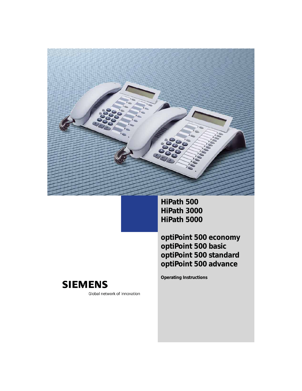**HiPath 500 HiPath 3000 HiPath 5000**

**Operating Instructions**

**optiPoint 500 economy optiPoint 500 basic optiPoint 500 standard optiPoint 500 advance**



Global network of innovation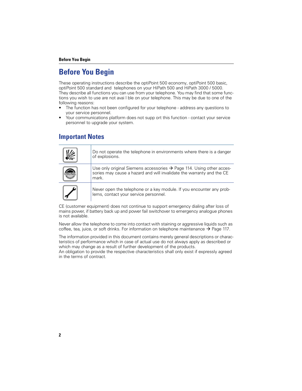#### **Before You Begin**

### **Before You Begin**

These operating instructions describe the optiPoint 500 economy, optiPoint 500 basic, optiPoint 500 standard and telephones on your HiPath 500 and HiPath 3000 / 5000. They describe all functions you can use from your telephone. You may find that some functions you wish to use are not avai l ble on your telephone. This may be due to one of the following reasons:

- The function has not been configured for your telephone address any questions to your service personnel.
- Your communications platform does not supp ort this function contact your service personnel to upgrade your system.

#### **Important Notes**

| Do not operate the telephone in environments where there is a danger<br>of explosions.                                                                 |
|--------------------------------------------------------------------------------------------------------------------------------------------------------|
| Use only original Siemens accessories → Page 114. Using other acces-<br>sories may cause a hazard and will invalidate the warranty and the CE<br>mark. |
| Never open the telephone or a key module. If you encounter any prob-<br>lems, contact your service personnel.                                          |

CE (customer equipment) does not continue to support emergency dialing after loss of mains power, if battery back up and power fail switchover to emergency analogue phones is not available.

Never allow the telephone to come into contact with staining or aggressive liquids such as coffee, tea, juice, or soft drinks. For information on telephone maintenance  $\rightarrow$  Page 117.

The information provided in this document contains merely general descriptions or characteristics of performance which in case of actual use do not always apply as described or which may change as a result of further development of the products.

An obligation to provide the respective characteristics shall only exist if expressly agreed in the terms of contract.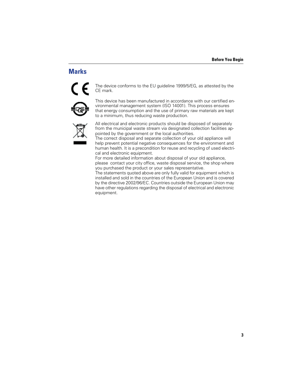### **Marks**



The device conforms to the EU guideline 1999/5/EG, as attested by the CE mark.



This device has been manufactured in accordance with our certified environmental management system (ISO 14001). This process ensures that energy consumption and the use of primary raw materials are kept to a minimum, thus reducing waste production.



All electrical and electronic products should be disposed of separately from the municipal waste stream via designated collection facilities appointed by the government or the local authorities.

The correct disposal and separate collection of your old appliance will help prevent potential negative consequences for the environment and human health. It is a precondition for reuse and recycling of used electrical and electronic equipment.

For more detailed information about disposal of your old appliance, please contact your city office, waste disposal service, the shop where you purchased the product or your sales representative.

The statements quoted above are only fully valid for equipment which is installed and sold in the countries of the European Union and is covered by the directive 2002/96/EC. Countries outside the European Union may have other regulations regarding the disposal of electrical and electronic equipment.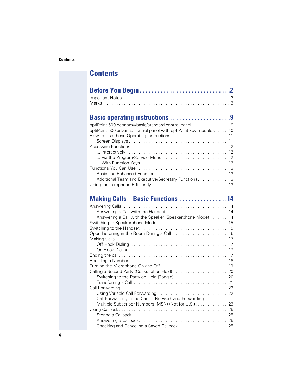| Basic operating instructions 9                                    |
|-------------------------------------------------------------------|
| optiPoint 500 economy/basic/standard control panel 9              |
| optiPoint 500 advance control panel with optiPoint key modules 10 |
| How to Use these Operating Instructions 11                        |
|                                                                   |
|                                                                   |
|                                                                   |
| Via the Program/Service Menu  12                                  |
|                                                                   |
|                                                                   |
|                                                                   |
| Additional Team and Executive/Secretary Functions 13              |
|                                                                   |

# **Making Calls – Basic Functions . . . . . . . . . . . . . . . .14**

| Answering a Call with the Speaker (Speakerphone Mode) 14 |  |
|----------------------------------------------------------|--|
|                                                          |  |
|                                                          |  |
| Open Listening in the Room During a Call  16             |  |
|                                                          |  |
|                                                          |  |
|                                                          |  |
|                                                          |  |
|                                                          |  |
|                                                          |  |
|                                                          |  |
|                                                          |  |
|                                                          |  |
|                                                          |  |
|                                                          |  |
| Call Forwarding in the Carrier Network and Forwarding    |  |
|                                                          |  |
|                                                          |  |
|                                                          |  |
|                                                          |  |
| Checking and Canceling a Saved Callback 25               |  |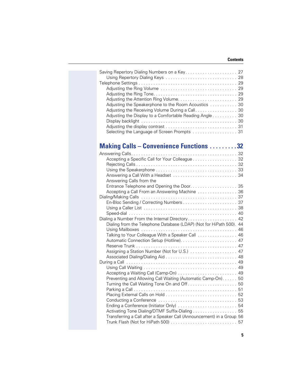| Adjusting the Speakerphone to the Room Acoustics  30<br>Adjusting the Receiving Volume During a Call. 30<br>Adjusting the Display to a Comfortable Reading Angle 30<br>Selecting the Language of Screen Prompts 31 |  |
|--------------------------------------------------------------------------------------------------------------------------------------------------------------------------------------------------------------------|--|
| <b>Making Calls - Convenience Functions 32</b>                                                                                                                                                                     |  |
|                                                                                                                                                                                                                    |  |
| Accepting a Specific Call for Your Colleague 32                                                                                                                                                                    |  |
|                                                                                                                                                                                                                    |  |
|                                                                                                                                                                                                                    |  |
| Answering Calls from the                                                                                                                                                                                           |  |
|                                                                                                                                                                                                                    |  |
|                                                                                                                                                                                                                    |  |
|                                                                                                                                                                                                                    |  |
|                                                                                                                                                                                                                    |  |
|                                                                                                                                                                                                                    |  |
|                                                                                                                                                                                                                    |  |
| Dialing a Number From the Internal Directory 42                                                                                                                                                                    |  |
| Dialing from the Telephone Database (LDAP) (Not for HiPath 500). 44                                                                                                                                                |  |
| Talking to Your Colleague With a Speaker Call 46                                                                                                                                                                   |  |
|                                                                                                                                                                                                                    |  |
|                                                                                                                                                                                                                    |  |
|                                                                                                                                                                                                                    |  |
|                                                                                                                                                                                                                    |  |
|                                                                                                                                                                                                                    |  |
|                                                                                                                                                                                                                    |  |
| Accepting a Waiting Call (Camp-On)  49<br>Preventing and Allowing Call Waiting (Automatic Camp-On). 50                                                                                                             |  |
|                                                                                                                                                                                                                    |  |
|                                                                                                                                                                                                                    |  |
|                                                                                                                                                                                                                    |  |
|                                                                                                                                                                                                                    |  |
| Ending a Conference (Initiator Only)  54                                                                                                                                                                           |  |
| Activating Tone Dialing/DTMF Suffix-Dialing 55                                                                                                                                                                     |  |
| Transferring a Call after a Speaker Call (Announcement) in a Group 56                                                                                                                                              |  |
|                                                                                                                                                                                                                    |  |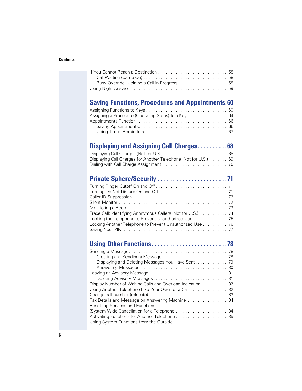| <b>Saving Functions, Procedures and Appointments.60</b>         |  |
|-----------------------------------------------------------------|--|
| Assigning a Procedure (Operating Steps) to a Key 64             |  |
|                                                                 |  |
|                                                                 |  |
|                                                                 |  |
| <b>Displaying and Assigning Call Charges68</b>                  |  |
|                                                                 |  |
| Displaying Call Charges for Another Telephone (Not for U.S.) 69 |  |
|                                                                 |  |
|                                                                 |  |
|                                                                 |  |
|                                                                 |  |
|                                                                 |  |
| Trace Call: Identifying Anonymous Callers (Not for U.S.) 74     |  |
| Locking the Telephone to Prevent Unauthorized Use 75            |  |
| Locking Another Telephone to Prevent Unauthorized Use 76        |  |
|                                                                 |  |
|                                                                 |  |
|                                                                 |  |
|                                                                 |  |
|                                                                 |  |
|                                                                 |  |
| Display Number of Waiting Calls and Overload Indication 82      |  |
| Using Another Telephone Like Your Own for a Call 82             |  |
| Fax Details and Message on Answering Machine  84                |  |
| <b>Resetting Services and Functions</b>                         |  |
| Activating Functions for Another Telephone 85                   |  |
| Using System Functions from the Outside                         |  |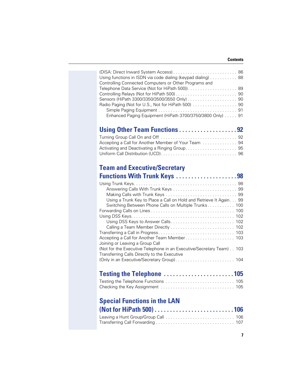| Using functions in ISDN via code dialing (keypad dialing) 88 |  |
|--------------------------------------------------------------|--|
| Controlling Connected Computers or Other Programs and        |  |
| Telephone Data Service (Not for HiPath 500)) 89              |  |
|                                                              |  |
|                                                              |  |
| Radio Paging (Not for U.S., Not for HiPath 500) 90           |  |
|                                                              |  |
| Enhanced Paging Equipment (HiPath 3700/3750/3800 Only) 91    |  |

## **Using Other Team Functions . . . . . . . . . . . . . . . . . . . 92**

## **Team and Executive/Secretary**

| <b>Functions With Trunk Keys</b> 98                                  |  |
|----------------------------------------------------------------------|--|
|                                                                      |  |
|                                                                      |  |
|                                                                      |  |
| Using a Trunk Key to Place a Call on Hold and Retrieve It Again 99   |  |
| Switching Between Phone Calls on Multiple Trunks 100                 |  |
|                                                                      |  |
|                                                                      |  |
|                                                                      |  |
|                                                                      |  |
|                                                                      |  |
|                                                                      |  |
| Joining or Leaving a Group Call                                      |  |
| (Not for the Executive Telephone in an Executive/Secretary Team) 103 |  |
| Transferring Calls Directly to the Executive                         |  |
| (Only in an Executive/Secretary Group) 104                           |  |
|                                                                      |  |

# **Testing the Telephone . . . . . . . . . . . . . . . . . . . . . . . 105**

### **Special Functions in the LAN**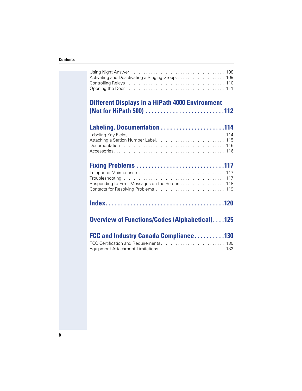| <b>Different Displays in a HiPath 4000 Environment</b> |  |
|--------------------------------------------------------|--|
| Activating and Deactivating a Ringing Group. 109       |  |

| Labeling, Documentation 114 |  |
|-----------------------------|--|
|                             |  |

**(Not for HiPath 500) . . . . . . . . . . . . . . . . . . . . . . . . . .112**

| Responding to Error Messages on the Screen 118 |  |
|------------------------------------------------|--|
|                                                |  |
|                                                |  |

|--|--|--|

## **Overview of Functions/Codes (Alphabetical). . . .125**

| <b>FCC and Industry Canada Compliance130</b> |  |
|----------------------------------------------|--|
| FCC Certification and Requirements 130       |  |
|                                              |  |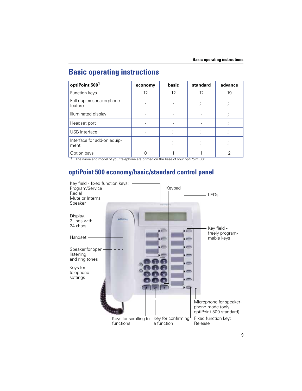# **Basic operating instructions**

| optiPoint 500 <sup>1</sup>          | economy | basic | standard | advance |
|-------------------------------------|---------|-------|----------|---------|
| Function keys                       | 12      | 12    | 12       | 19      |
| Full-duplex speakerphone<br>feature |         |       |          |         |
| Illuminated display                 |         |       |          |         |
| Headset port                        |         |       |          |         |
| USB interface                       |         |       |          |         |
| Interface for add-on equip-<br>ment |         |       |          |         |
| Option bays<br>11 - L<br>.          | C       |       |          | っ       |

The name and model of your telephone are printed on the base of your optiPoint 500.

## **optiPoint 500 economy/basic/standard control panel**

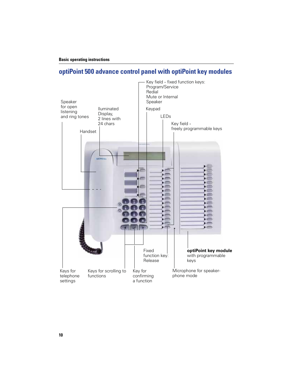## **optiPoint 500 advance control panel with optiPoint key modules**

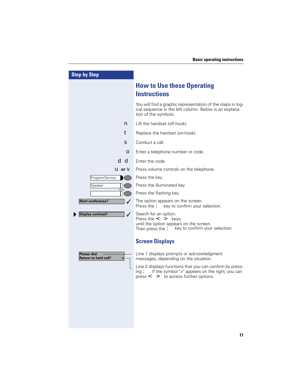| <b>Step by Step</b>                                    |                                                                                                                                                                  |
|--------------------------------------------------------|------------------------------------------------------------------------------------------------------------------------------------------------------------------|
|                                                        | <b>How to Use these Operating</b><br><b>Instructions</b>                                                                                                         |
|                                                        | You will find a graphic representation of the steps in log-<br>ical sequence in the left column. Below is an explana-<br>tion of the symbols:                    |
| n                                                      | Lift the handset (off-hook).                                                                                                                                     |
| t                                                      | Replace the handset (on-hook).                                                                                                                                   |
| s                                                      | Conduct a call.                                                                                                                                                  |
| О                                                      | Enter a telephone number or code.                                                                                                                                |
| d d                                                    | Enter the code.                                                                                                                                                  |
| $u$ or $v$                                             | Press volume controls on the telephone.                                                                                                                          |
| Program/Service                                        | Press the key.                                                                                                                                                   |
| Speaker                                                | Press the illuminated key.                                                                                                                                       |
|                                                        | Press the flashing key.                                                                                                                                          |
| <b>Start conference?</b><br>$\checkmark$               | The option appears on the screen.<br>key to confirm your selection.<br>Press the :                                                                               |
| <b>Display contrast?</b><br>$\checkmark$               | Search for an option.<br>Press the $\leq$ > keys,<br>until the option appears on the screen.<br>Then press the $\ddot{\bullet}$ key to confirm your selection.   |
|                                                        | <b>Screen Displays</b>                                                                                                                                           |
| <b>Please dial</b><br><b>Return to held call?</b><br>> | Line 1 displays prompts or acknowledgment<br>messages, depending on the situation.                                                                               |
|                                                        | Line 2 displays functions that you can confirm by press-<br>ing: If the symbol ">" appears on the right, you can<br>press $\lt$ $\gt$ to access further options. |
|                                                        |                                                                                                                                                                  |
|                                                        |                                                                                                                                                                  |
|                                                        |                                                                                                                                                                  |
|                                                        |                                                                                                                                                                  |
|                                                        |                                                                                                                                                                  |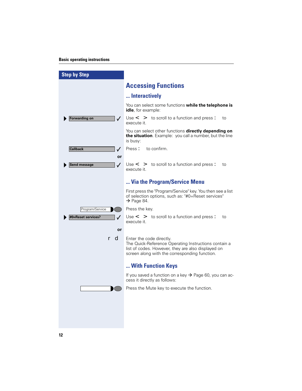#### **Basic operating instructions**

| <b>Step by Step</b>                |                                                                                                                                                                                         |
|------------------------------------|-----------------------------------------------------------------------------------------------------------------------------------------------------------------------------------------|
|                                    | <b>Accessing Functions</b>                                                                                                                                                              |
|                                    | Interactively                                                                                                                                                                           |
|                                    | You can select some functions while the telephone is<br><b>idle</b> , for example:                                                                                                      |
| <b>Forwarding on</b><br>✓          | Use $\leq$ $\geq$ to scroll to a function and press :<br>to<br>execute it.                                                                                                              |
|                                    | You can select other functions <b>directly depending on</b><br>the situation. Example: you call a number, but the line<br>is busy:                                                      |
| <b>Callback</b><br>$\checkmark$    | Press:<br>to confirm.                                                                                                                                                                   |
| or                                 |                                                                                                                                                                                         |
| $\checkmark$<br>Send message       | Use $\leq$ $\geq$ to scroll to a function and press:<br>to<br>execute it.                                                                                                               |
|                                    | Via the Program/Service Menu                                                                                                                                                            |
|                                    | First press the "Program/Service" key. You then see a list<br>of selection options, such as: "#0=Reset services"<br>$\rightarrow$ Page 84.                                              |
| Program/Service                    | Press the key.                                                                                                                                                                          |
| #0=Reset services?<br>$\checkmark$ | Use $\leq$ $\geq$ to scroll to a function and press:<br>to<br>execute it.                                                                                                               |
| or                                 |                                                                                                                                                                                         |
| r d                                | Enter the code directly.<br>The Quick-Reference Operating Instructions contain a<br>list of codes. However, they are also displayed on<br>screen along with the corresponding function. |
|                                    | With Function Keys                                                                                                                                                                      |
|                                    | If you saved a function on a key $\rightarrow$ Page 60, you can ac-<br>cess it directly as follows:                                                                                     |
|                                    | Press the Mute key to execute the function.                                                                                                                                             |
|                                    |                                                                                                                                                                                         |
|                                    |                                                                                                                                                                                         |
|                                    |                                                                                                                                                                                         |
|                                    |                                                                                                                                                                                         |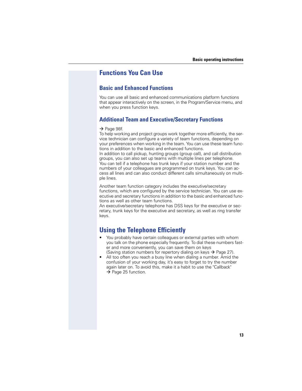### **Functions You Can Use**

#### **Basic and Enhanced Functions**

You can use all basic and enhanced communications platform functions that appear interactively on the screen, in the Program/Service menu, and when you press function keys.

#### **Additional Team and Executive/Secretary Functions**

#### $\rightarrow$  Page 98f.

To help working and project groups work together more efficiently, the service technician can configure a variety of team functions, depending on your preferences when working in the team. You can use these team functions in addition to the basic and enhanced functions.

In addition to call pickup, hunting groups (group call), and call distribution groups, you can also set up teams with multiple lines per telephone. You can tell if a telephone has trunk keys if your station number and the numbers of your colleagues are programmed on trunk keys. You can access all lines and can also conduct different calls simultaneously on multiple lines.

Another team function category includes the executive/secretary functions, which are configured by the service technician. You can use executive and secretary functions in addition to the basic and enhanced functions as well as other team functions.

An executive/secretary telephone has DSS keys for the executive or secretary, trunk keys for the executive and secretary, as well as ring transfer keys.

### **Using the Telephone Efficiently**

- You probably have certain colleagues or external parties with whom you talk on the phone especially frequently. To dial these numbers faster and more conveniently, you can save them on keys
- (Saving station numbers for repertory dialing on keys  $\rightarrow$  Page 27). All too often you reach a busy line when dialing a number. Amid the confusion of your working day, it's easy to forget to try the number again later on. To avoid this, make it a habit to use the "Callback"  $\rightarrow$  Page 25 function.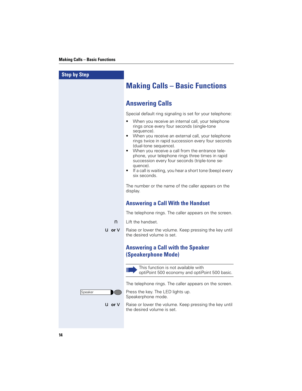| <b>Step by Step</b>  |                                                                                                                                                                                                                                                                                                                                                                                                                                                                                                                                                                                                                                                              |
|----------------------|--------------------------------------------------------------------------------------------------------------------------------------------------------------------------------------------------------------------------------------------------------------------------------------------------------------------------------------------------------------------------------------------------------------------------------------------------------------------------------------------------------------------------------------------------------------------------------------------------------------------------------------------------------------|
|                      | <b>Making Calls - Basic Functions</b>                                                                                                                                                                                                                                                                                                                                                                                                                                                                                                                                                                                                                        |
|                      | <b>Answering Calls</b>                                                                                                                                                                                                                                                                                                                                                                                                                                                                                                                                                                                                                                       |
|                      | Special default ring signaling is set for your telephone:<br>When you receive an internal call, your telephone<br>rings once every four seconds (single-tone<br>sequence).<br>When you receive an external call, your telephone<br>$\bullet$<br>rings twice in rapid succession every four seconds<br>(dual-tone sequence).<br>When you receive a call from the entrance tele-<br>$\bullet$<br>phone, your telephone rings three times in rapid<br>succession every four seconds (triple-tone se-<br>quence).<br>If a call is waiting, you hear a short tone (beep) every<br>six seconds.<br>The number or the name of the caller appears on the<br>display. |
|                      | <b>Answering a Call With the Handset</b>                                                                                                                                                                                                                                                                                                                                                                                                                                                                                                                                                                                                                     |
|                      | The telephone rings. The caller appears on the screen.                                                                                                                                                                                                                                                                                                                                                                                                                                                                                                                                                                                                       |
| n                    | Lift the handset.                                                                                                                                                                                                                                                                                                                                                                                                                                                                                                                                                                                                                                            |
| $U$ or $V$           | Raise or lower the volume. Keep pressing the key until<br>the desired volume is set.                                                                                                                                                                                                                                                                                                                                                                                                                                                                                                                                                                         |
|                      | <b>Answering a Call with the Speaker</b><br><b>(Speakerphone Mode)</b>                                                                                                                                                                                                                                                                                                                                                                                                                                                                                                                                                                                       |
|                      | This function is not available with<br>Ш<br>optiPoint 500 economy and optiPoint 500 basic.                                                                                                                                                                                                                                                                                                                                                                                                                                                                                                                                                                   |
|                      | The telephone rings. The caller appears on the screen.                                                                                                                                                                                                                                                                                                                                                                                                                                                                                                                                                                                                       |
| Speaker              | Press the key. The LED lights up.<br>Speakerphone mode.                                                                                                                                                                                                                                                                                                                                                                                                                                                                                                                                                                                                      |
| <b>U</b> or <b>V</b> | Raise or lower the volume. Keep pressing the key until<br>the desired volume is set.                                                                                                                                                                                                                                                                                                                                                                                                                                                                                                                                                                         |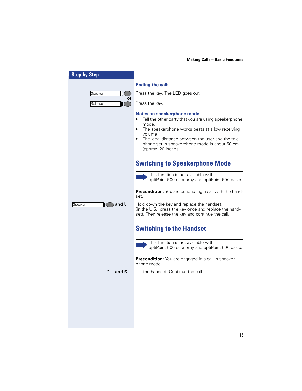| <b>Step by Step</b>                         |                                                                                                                                                                                                                                                                                                                           |
|---------------------------------------------|---------------------------------------------------------------------------------------------------------------------------------------------------------------------------------------------------------------------------------------------------------------------------------------------------------------------------|
|                                             | <b>Ending the call:</b>                                                                                                                                                                                                                                                                                                   |
| Speaker<br>or                               | Press the key. The LED goes out.                                                                                                                                                                                                                                                                                          |
| Release                                     | Press the key.                                                                                                                                                                                                                                                                                                            |
|                                             | <b>Notes on speakerphone mode:</b><br>Tell the other party that you are using speakerphone<br>mode.<br>The speakerphone works bests at a low receiving<br>$\bullet$<br>volume.<br>The ideal distance between the user and the tele-<br>$\bullet$<br>phone set in speakerphone mode is about 50 cm<br>(approx. 20 inches). |
|                                             | <b>Switching to Speakerphone Mode</b>                                                                                                                                                                                                                                                                                     |
|                                             | This function is not available with<br>Ш<br>optiPoint 500 economy and optiPoint 500 basic.                                                                                                                                                                                                                                |
|                                             | <b>Precondition:</b> You are conducting a call with the hand-<br>set.                                                                                                                                                                                                                                                     |
| $\triangleright$ and $\mathbf t$<br>Speaker | Hold down the key and replace the handset.<br>(in the U.S.: press the key once and replace the hand-<br>set). Then release the key and continue the call.                                                                                                                                                                 |
|                                             | <b>Switching to the Handset</b>                                                                                                                                                                                                                                                                                           |
|                                             | This function is not available with<br>optiPoint 500 economy and optiPoint 500 basic.                                                                                                                                                                                                                                     |
|                                             | <b>Precondition:</b> You are engaged in a call in speaker-<br>phone mode.                                                                                                                                                                                                                                                 |
| $n$ and $s$                                 | Lift the handset. Continue the call.                                                                                                                                                                                                                                                                                      |
|                                             |                                                                                                                                                                                                                                                                                                                           |
|                                             |                                                                                                                                                                                                                                                                                                                           |
|                                             |                                                                                                                                                                                                                                                                                                                           |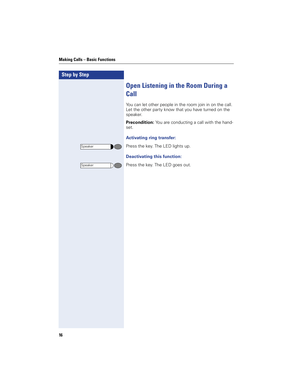| <b>Step by Step</b> |                                                                                                                               |
|---------------------|-------------------------------------------------------------------------------------------------------------------------------|
|                     | <b>Open Listening in the Room During a</b><br><b>Call</b>                                                                     |
|                     | You can let other people in the room join in on the call.<br>Let the other party know that you have turned on the<br>speaker. |
|                     | Precondition: You are conducting a call with the hand-<br>set.                                                                |
|                     | <b>Activating ring transfer:</b>                                                                                              |
| Speaker             | Press the key. The LED lights up.                                                                                             |
|                     | <b>Deactivating this function:</b>                                                                                            |
| Speaker             | Press the key. The LED goes out.                                                                                              |
|                     |                                                                                                                               |
|                     |                                                                                                                               |
|                     |                                                                                                                               |
|                     |                                                                                                                               |
|                     |                                                                                                                               |
|                     |                                                                                                                               |
|                     |                                                                                                                               |
|                     |                                                                                                                               |
|                     |                                                                                                                               |
|                     |                                                                                                                               |
|                     |                                                                                                                               |
|                     |                                                                                                                               |
|                     |                                                                                                                               |
|                     |                                                                                                                               |
|                     |                                                                                                                               |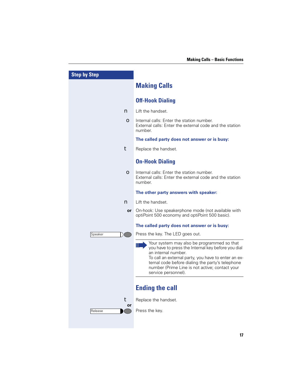| <b>Step by Step</b> |                                                                                                                                                                                                                                                                                                             |
|---------------------|-------------------------------------------------------------------------------------------------------------------------------------------------------------------------------------------------------------------------------------------------------------------------------------------------------------|
|                     | <b>Making Calls</b>                                                                                                                                                                                                                                                                                         |
|                     | <b>Off-Hook Dialing</b>                                                                                                                                                                                                                                                                                     |
| n                   | Lift the handset.                                                                                                                                                                                                                                                                                           |
| $\bullet$           | Internal calls: Enter the station number.<br>External calls: Enter the external code and the station<br>number.                                                                                                                                                                                             |
|                     | The called party does not answer or is busy:                                                                                                                                                                                                                                                                |
| t                   | Replace the handset.                                                                                                                                                                                                                                                                                        |
|                     | <b>On-Hook Dialing</b>                                                                                                                                                                                                                                                                                      |
| $\bullet$           | Internal calls: Enter the station number.<br>External calls: Enter the external code and the station<br>number.                                                                                                                                                                                             |
|                     | The other party answers with speaker:                                                                                                                                                                                                                                                                       |
| n                   | Lift the handset.                                                                                                                                                                                                                                                                                           |
| <b>or</b>           | On-hook: Use speakerphone mode (not available with<br>optiPoint 500 economy and optiPoint 500 basic).                                                                                                                                                                                                       |
|                     | The called party does not answer or is busy:                                                                                                                                                                                                                                                                |
| Speaker             | Press the key. The LED goes out.                                                                                                                                                                                                                                                                            |
|                     | Your system may also be programmed so that<br>you have to press the Internal key before you dial<br>an internal number.<br>To call an external party, you have to enter an ex-<br>ternal code before dialing the party's telephone<br>number (Prime Line is not active; contact your<br>service personnel). |
|                     | <b>Ending the call</b>                                                                                                                                                                                                                                                                                      |
| t                   | Replace the handset.                                                                                                                                                                                                                                                                                        |
| or<br>Release       | Press the key.                                                                                                                                                                                                                                                                                              |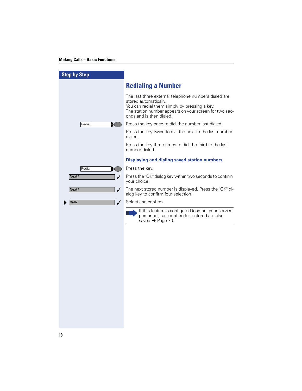| <b>Step by Step</b>   |                                                                                                                                                                                                                      |
|-----------------------|----------------------------------------------------------------------------------------------------------------------------------------------------------------------------------------------------------------------|
|                       | <b>Redialing a Number</b>                                                                                                                                                                                            |
|                       | The last three external telephone numbers dialed are<br>stored automatically.<br>You can redial them simply by pressing a key.<br>The station number appears on your screen for two sec-<br>onds and is then dialed. |
| Redial                | Press the key once to dial the number last dialed.                                                                                                                                                                   |
|                       | Press the key twice to dial the next to the last number<br>dialed.                                                                                                                                                   |
|                       | Press the key three times to dial the third-to-the-last<br>number dialed.                                                                                                                                            |
|                       | <b>Displaying and dialing saved station numbers</b>                                                                                                                                                                  |
| Redial                | Press the key.                                                                                                                                                                                                       |
| Next?<br>$\checkmark$ | Press the "OK" dialog key within two seconds to confirm<br>your choice.                                                                                                                                              |
| Next?<br>$\checkmark$ | The next stored number is displayed. Press the "OK" di-<br>alog key to confirm four selection.                                                                                                                       |
| Call?<br>✓            | Select and confirm.                                                                                                                                                                                                  |
|                       | If this feature is configured (contact your service<br>Ш<br>personnel), account codes entered are also<br>saved $\rightarrow$ Page 70.                                                                               |
|                       |                                                                                                                                                                                                                      |
|                       |                                                                                                                                                                                                                      |
|                       |                                                                                                                                                                                                                      |
|                       |                                                                                                                                                                                                                      |
|                       |                                                                                                                                                                                                                      |
|                       |                                                                                                                                                                                                                      |
|                       |                                                                                                                                                                                                                      |
|                       |                                                                                                                                                                                                                      |
|                       |                                                                                                                                                                                                                      |
|                       |                                                                                                                                                                                                                      |
|                       |                                                                                                                                                                                                                      |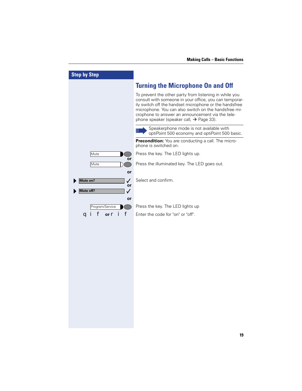| <b>Step by Step</b>        |                                                                                                                                                                                                                                                                                                                                                |
|----------------------------|------------------------------------------------------------------------------------------------------------------------------------------------------------------------------------------------------------------------------------------------------------------------------------------------------------------------------------------------|
|                            | <b>Turning the Microphone On and Off</b>                                                                                                                                                                                                                                                                                                       |
|                            | To prevent the other party from listening in while you<br>consult with someone in your office, you can temporar-<br>ily switch off the handset microphone or the handsfree<br>microphone. You can also switch on the handsfree mi-<br>crophone to answer an announcement via the tele-<br>phone speaker (speaker call, $\rightarrow$ Page 33). |
|                            | Speakerphone mode is not available with<br>optiPoint 500 economy and optiPoint 500 basic.                                                                                                                                                                                                                                                      |
|                            | Precondition: You are conducting a call. The micro-<br>phone is switched on.                                                                                                                                                                                                                                                                   |
| Mute                       | Press the key. The LED lights up.                                                                                                                                                                                                                                                                                                              |
| or<br>Mute                 | Press the illuminated key. The LED goes out.                                                                                                                                                                                                                                                                                                   |
| or                         |                                                                                                                                                                                                                                                                                                                                                |
| Mute on?<br>✓<br>or        | Select and confirm.                                                                                                                                                                                                                                                                                                                            |
| Mute off?<br>✓             |                                                                                                                                                                                                                                                                                                                                                |
| or<br>Program/Service      | Press the key. The LED lights up                                                                                                                                                                                                                                                                                                               |
| f<br>f or <b>ri</b><br>a ı | Enter the code for "on" or "off".                                                                                                                                                                                                                                                                                                              |
|                            |                                                                                                                                                                                                                                                                                                                                                |
|                            |                                                                                                                                                                                                                                                                                                                                                |
|                            |                                                                                                                                                                                                                                                                                                                                                |
|                            |                                                                                                                                                                                                                                                                                                                                                |
|                            |                                                                                                                                                                                                                                                                                                                                                |
|                            |                                                                                                                                                                                                                                                                                                                                                |
|                            |                                                                                                                                                                                                                                                                                                                                                |
|                            |                                                                                                                                                                                                                                                                                                                                                |
|                            |                                                                                                                                                                                                                                                                                                                                                |
|                            |                                                                                                                                                                                                                                                                                                                                                |
|                            |                                                                                                                                                                                                                                                                                                                                                |
|                            |                                                                                                                                                                                                                                                                                                                                                |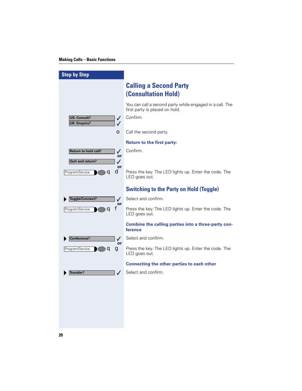I

| <b>Step by Step</b>                                                        |                                                                                            |
|----------------------------------------------------------------------------|--------------------------------------------------------------------------------------------|
|                                                                            | <b>Calling a Second Party</b><br><b>(Consultation Hold)</b>                                |
|                                                                            | You can call a second party while engaged in a call. The<br>first party is placed on hold. |
| <b>US: Consult?</b><br>$\checkmark$<br><b>UK: Enguiry?</b><br>✓            | Confirm.                                                                                   |
| О                                                                          | Call the second party.                                                                     |
|                                                                            | <b>Return to the first party:</b>                                                          |
| <b>Return to held call?</b><br>$\checkmark$<br>or<br>Quit and return?<br>✓ | Confirm.                                                                                   |
| or<br>d<br>Program/Service<br>0                                            | Press the key. The LED lights up. Enter the code. The<br>LED goes out.                     |
|                                                                            | <b>Switching to the Party on Hold (Toggle)</b>                                             |
| Toggle/Connect?<br>$\checkmark$                                            | Select and confirm.                                                                        |
| or<br>f<br>Program/Service<br>q                                            | Press the key. The LED lights up. Enter the code. The<br>LED goes out.                     |
|                                                                            | Combine the calling parties into a three-party con-<br>ference                             |
| Conference?<br>✓<br>or                                                     | Select and confirm.                                                                        |
| Program/Service<br>99                                                      | Press the key. The LED lights up. Enter the code. The<br>LED goes out.                     |
|                                                                            | Connecting the other parties to each other                                                 |
| <b>Transfer?</b><br>✓                                                      | Select and confirm.                                                                        |
|                                                                            |                                                                                            |
|                                                                            |                                                                                            |
|                                                                            |                                                                                            |
|                                                                            |                                                                                            |
|                                                                            |                                                                                            |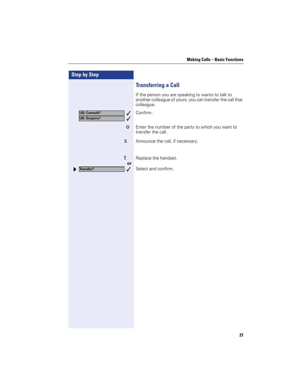| <b>Step by Step</b>                                                        |                                                                                                                                |
|----------------------------------------------------------------------------|--------------------------------------------------------------------------------------------------------------------------------|
|                                                                            | <b>Transferring a Call</b>                                                                                                     |
|                                                                            | If the person you are speaking to wants to talk to<br>another colleague of yours, you can transfer the call that<br>colleague. |
| <b>US: Consult?</b><br>$\checkmark$<br><b>UK: Enquiry?</b><br>$\checkmark$ | Confirm.                                                                                                                       |
| $\bullet$                                                                  | Enter the number of the party to which you want to<br>transfer the call.                                                       |
| s                                                                          | Announce the call, if necessary.                                                                                               |
| t                                                                          | Replace the handset.                                                                                                           |
| or<br><b>Transfer?</b><br>$\checkmark$                                     | Select and confirm.                                                                                                            |
|                                                                            |                                                                                                                                |
|                                                                            |                                                                                                                                |
|                                                                            |                                                                                                                                |
|                                                                            |                                                                                                                                |
|                                                                            |                                                                                                                                |
|                                                                            |                                                                                                                                |
|                                                                            |                                                                                                                                |
|                                                                            |                                                                                                                                |
|                                                                            |                                                                                                                                |
|                                                                            |                                                                                                                                |
|                                                                            |                                                                                                                                |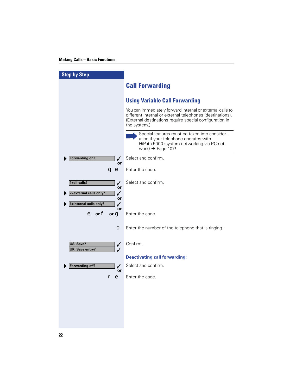| <b>Step by Step</b>                                                                         |                                                                                                                                                                                                   |
|---------------------------------------------------------------------------------------------|---------------------------------------------------------------------------------------------------------------------------------------------------------------------------------------------------|
|                                                                                             | <b>Call Forwarding</b>                                                                                                                                                                            |
|                                                                                             | <b>Using Variable Call Forwarding</b>                                                                                                                                                             |
|                                                                                             | You can immediately forward internal or external calls to<br>different internal or external telephones (destinations).<br>(External destinations require special configuration in<br>the system.) |
|                                                                                             | Special features must be taken into consider-<br>Ш<br>ation if your telephone operates with<br>HiPath 5000 (system networking via PC net-<br>work) $\rightarrow$ Page 107!                        |
| <b>Forwarding on?</b><br>✓<br>or                                                            | Select and confirm.                                                                                                                                                                               |
| a e                                                                                         | Enter the code.                                                                                                                                                                                   |
| 1=all calls?<br>✓<br>or<br>2=external calls only?<br>✓<br>or<br>3=internal calls only?<br>✓ | Select and confirm.                                                                                                                                                                               |
| or<br>$e$ or $f$<br>or $\mathbf q$                                                          | Enter the code.                                                                                                                                                                                   |
| О                                                                                           | Enter the number of the telephone that is ringing.                                                                                                                                                |
| US: Save?<br>$\checkmark$<br>UK: Save entry?<br>$\checkmark$                                | Confirm.                                                                                                                                                                                          |
|                                                                                             | <b>Deactivating call forwarding:</b>                                                                                                                                                              |
| <b>Forwarding off?</b><br>✓<br>or                                                           | Select and confirm.                                                                                                                                                                               |
| $\bullet$                                                                                   | Enter the code.                                                                                                                                                                                   |
|                                                                                             |                                                                                                                                                                                                   |
|                                                                                             |                                                                                                                                                                                                   |
|                                                                                             |                                                                                                                                                                                                   |
|                                                                                             |                                                                                                                                                                                                   |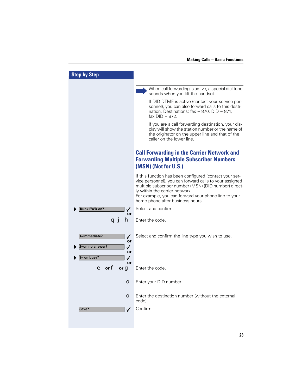| <b>Step by Step</b>                                                             |                                                                                                                                                                                                                                                                                                           |
|---------------------------------------------------------------------------------|-----------------------------------------------------------------------------------------------------------------------------------------------------------------------------------------------------------------------------------------------------------------------------------------------------------|
|                                                                                 | When call forwarding is active, a special dial tone<br>Ш<br>sounds when you lift the handset.                                                                                                                                                                                                             |
|                                                                                 | If DID DTMF is active (contact your service per-<br>sonnel), you can also forward calls to this desti-<br>nation. Destinations: $\text{fax} = 870$ , DID = 871,<br>fax $DID = 872$ .                                                                                                                      |
|                                                                                 | If you are a call forwarding destination, your dis-<br>play will show the station number or the name of<br>the originator on the upper line and that of the<br>caller on the lower line.                                                                                                                  |
|                                                                                 | <b>Call Forwarding in the Carrier Network and</b><br><b>Forwarding Multiple Subscriber Numbers</b><br>(MSN) (Not for U.S.)                                                                                                                                                                                |
|                                                                                 | If this function has been configured (contact your ser-<br>vice personnel), you can forward calls to your assigned<br>multiple subscriber number (MSN) (DID number) direct-<br>ly within the carrier network.<br>For example, you can forward your phone line to your<br>home phone after business hours. |
| Trunk FWD on?<br>or                                                             | Select and confirm.                                                                                                                                                                                                                                                                                       |
| n                                                                               | Enter the code.                                                                                                                                                                                                                                                                                           |
| 1=immediate?<br>$\checkmark$<br>or<br>2=on no answer?<br>✓<br>or<br>3= on busy? | Select and confirm the line type you wish to use.                                                                                                                                                                                                                                                         |
| or<br>e or f<br>or $g$                                                          | Enter the code.                                                                                                                                                                                                                                                                                           |
| О                                                                               | Enter your DID number.                                                                                                                                                                                                                                                                                    |
| О                                                                               | Enter the destination number (without the external<br>code).                                                                                                                                                                                                                                              |
| Save?                                                                           | Confirm.                                                                                                                                                                                                                                                                                                  |
|                                                                                 |                                                                                                                                                                                                                                                                                                           |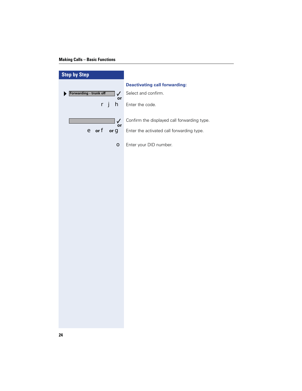| <b>Step by Step</b>                    |                                             |
|----------------------------------------|---------------------------------------------|
|                                        | <b>Deactivating call forwarding:</b>        |
| Forwarding - trunk off<br>$\checkmark$ | Select and confirm.                         |
| or<br>h<br>r j                         | Enter the code.                             |
|                                        |                                             |
| $\checkmark$<br>or                     | Confirm the displayed call forwarding type. |
| e or f<br>or $g$                       | Enter the activated call forwarding type.   |
| $\bullet$                              | Enter your DID number.                      |
|                                        |                                             |
|                                        |                                             |
|                                        |                                             |
|                                        |                                             |
|                                        |                                             |
|                                        |                                             |
|                                        |                                             |
|                                        |                                             |
|                                        |                                             |
|                                        |                                             |
|                                        |                                             |
|                                        |                                             |
|                                        |                                             |
|                                        |                                             |
|                                        |                                             |
|                                        |                                             |
|                                        |                                             |
|                                        |                                             |
|                                        |                                             |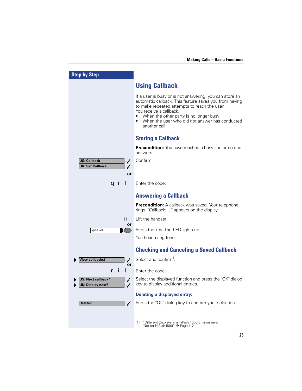| <b>Step by Step</b>                                            |                                                                                                                                                                                                                                                                                                          |
|----------------------------------------------------------------|----------------------------------------------------------------------------------------------------------------------------------------------------------------------------------------------------------------------------------------------------------------------------------------------------------|
|                                                                | <b>Using Callback</b>                                                                                                                                                                                                                                                                                    |
|                                                                | If a user is busy or is not answering, you can store an<br>automatic callback. This feature saves you from having<br>to make repeated attempts to reach the user.<br>You receive a callback,<br>When the other party is no longer busy<br>When the user who did not answer has conducted<br>another call |
|                                                                | <b>Storing a Callback</b>                                                                                                                                                                                                                                                                                |
|                                                                | <b>Precondition:</b> You have reached a busy line or no one<br>answers.                                                                                                                                                                                                                                  |
| <b>US: Callback</b><br>$\checkmark$<br><b>UK: Set Callback</b> | Confirm.                                                                                                                                                                                                                                                                                                 |
| or                                                             |                                                                                                                                                                                                                                                                                                          |
| a ı                                                            | Enter the code.                                                                                                                                                                                                                                                                                          |
|                                                                | <b>Answering a Callback</b>                                                                                                                                                                                                                                                                              |
|                                                                | <b>Precondition:</b> A callback was saved. Your telephone<br>rings. "Callback: " appears on the display.                                                                                                                                                                                                 |
| n<br>or                                                        | Lift the handset.                                                                                                                                                                                                                                                                                        |
| Speaker                                                        | Press the key. The LED lights up.                                                                                                                                                                                                                                                                        |
|                                                                | You hear a ring tone.                                                                                                                                                                                                                                                                                    |
|                                                                | <b>Checking and Canceling a Saved Callback</b>                                                                                                                                                                                                                                                           |
| <b>View callbacks?</b><br>$\checkmark$                         | Select and confirm <sup>1</sup> .                                                                                                                                                                                                                                                                        |
| or                                                             | Enter the code.                                                                                                                                                                                                                                                                                          |
| US: Next callback?<br>$\checkmark$<br>UK: Display next?<br>✓   | Select the displayed function and press the "OK" dialog<br>key to display additional entries.                                                                                                                                                                                                            |
|                                                                | <b>Deleting a displayed entry:</b>                                                                                                                                                                                                                                                                       |
| Delete?<br>$\checkmark$                                        | Press the "OK" dialog key to confirm your selection.                                                                                                                                                                                                                                                     |
|                                                                | "Different Displays in a HiPath 4000 Environment<br> 1 <br>(Not for HiPath 500)" $\rightarrow$ Page 112                                                                                                                                                                                                  |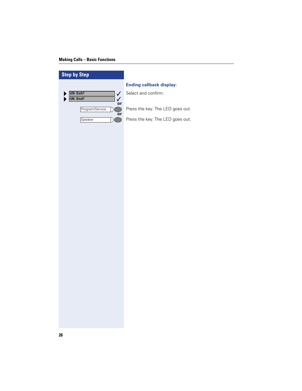| <b>Step by Step</b>                 |                                  |
|-------------------------------------|----------------------------------|
|                                     | <b>Ending callback display:</b>  |
| US: Exit?<br>$\checkmark$           | Select and confirm.              |
| UK: End?<br>$\checkmark$<br>or      |                                  |
| Program/Service<br>$\bigcirc$<br>or | Press the key. The LED goes out. |
| Speaker<br>$\bigcirc$               | Press the key. The LED goes out. |
|                                     |                                  |
|                                     |                                  |
|                                     |                                  |
|                                     |                                  |
|                                     |                                  |
|                                     |                                  |
|                                     |                                  |
|                                     |                                  |
|                                     |                                  |
|                                     |                                  |
|                                     |                                  |
|                                     |                                  |
|                                     |                                  |
|                                     |                                  |
|                                     |                                  |
|                                     |                                  |
|                                     |                                  |
|                                     |                                  |
|                                     |                                  |
|                                     |                                  |
|                                     |                                  |
|                                     |                                  |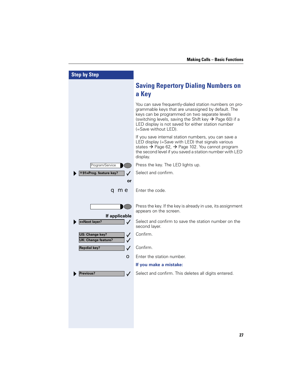| <b>Step by Step</b>                                       |                                                                                                                                                                                                                                                                                                                    |
|-----------------------------------------------------------|--------------------------------------------------------------------------------------------------------------------------------------------------------------------------------------------------------------------------------------------------------------------------------------------------------------------|
|                                                           | <b>Saving Repertory Dialing Numbers on</b><br>a Key                                                                                                                                                                                                                                                                |
|                                                           | You can save frequently-dialed station numbers on pro-<br>grammable keys that are unassigned by default. The<br>keys can be programmed on two separate levels<br>(switching levels, saving the Shift key $\rightarrow$ Page 60) if a<br>LED display is not saved for either station number<br>(=Save without LED). |
|                                                           | If you save internal station numbers, you can save a<br>LED display (=Save with LED) that signals various<br>states → Page 62, → Page 102. You cannot program<br>the second level if you saved a station number with LED<br>display.                                                                               |
| Program/Service                                           | Press the key. The LED lights up.                                                                                                                                                                                                                                                                                  |
| *91=Prog. feature key?<br>✓                               | Select and confirm.                                                                                                                                                                                                                                                                                                |
| or                                                        |                                                                                                                                                                                                                                                                                                                    |
| qme                                                       | Enter the code.                                                                                                                                                                                                                                                                                                    |
|                                                           |                                                                                                                                                                                                                                                                                                                    |
|                                                           | Press the key. If the key is already in use, its assignment<br>appears on the screen.                                                                                                                                                                                                                              |
| If applicable<br>+=Next layer?<br>✓                       | Select and confirm to save the station number on the<br>second layer.                                                                                                                                                                                                                                              |
| <b>US: Change key?</b><br>✓<br><b>UK: Change feature?</b> | Confirm.                                                                                                                                                                                                                                                                                                           |
| <b>Repdial key?</b><br>$\checkmark$                       | Confirm.                                                                                                                                                                                                                                                                                                           |
| O                                                         | Enter the station number.                                                                                                                                                                                                                                                                                          |
|                                                           | If you make a mistake:                                                                                                                                                                                                                                                                                             |
| Previous?<br>$\checkmark$                                 | Select and confirm. This deletes all digits entered.                                                                                                                                                                                                                                                               |
|                                                           |                                                                                                                                                                                                                                                                                                                    |
|                                                           |                                                                                                                                                                                                                                                                                                                    |
|                                                           |                                                                                                                                                                                                                                                                                                                    |
|                                                           |                                                                                                                                                                                                                                                                                                                    |
|                                                           |                                                                                                                                                                                                                                                                                                                    |
|                                                           |                                                                                                                                                                                                                                                                                                                    |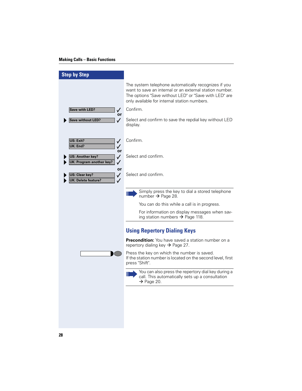| <b>Step by Step</b>                                                                |                                                                                                                                                                                                                          |
|------------------------------------------------------------------------------------|--------------------------------------------------------------------------------------------------------------------------------------------------------------------------------------------------------------------------|
|                                                                                    | The system telephone automatically recognizes if you<br>want to save an internal or an external station number.<br>The options "Save without LED" or "Save with LED" are<br>only available for internal station numbers. |
| <b>Save with LED?</b><br>✓                                                         | Confirm.                                                                                                                                                                                                                 |
| or<br><b>Save without LED?</b><br>$\checkmark$                                     | Select and confirm to save the repdial key without LED<br>display.                                                                                                                                                       |
| US: Exit?<br>$\checkmark$<br>UK: End?<br>$\checkmark$<br>or                        | Confirm.                                                                                                                                                                                                                 |
| <b>US: Another key?</b><br>✓<br>UK: Program another key?<br>$\checkmark$           | Select and confirm.                                                                                                                                                                                                      |
| or<br>US: Clear key?<br>$\checkmark$<br><b>UK: Delete feature?</b><br>$\checkmark$ | Select and confirm.                                                                                                                                                                                                      |
|                                                                                    | Simply press the key to dial a stored telephone<br>Ш<br>number $\rightarrow$ Page 28.                                                                                                                                    |
|                                                                                    | You can do this while a call is in progress.                                                                                                                                                                             |
|                                                                                    | For information on display messages when sav-<br>ing station numbers $\rightarrow$ Page 118.                                                                                                                             |
|                                                                                    | <b>Using Repertory Dialing Keys</b>                                                                                                                                                                                      |
|                                                                                    | Precondition: You have saved a station number on a<br>repertory dialing key $\rightarrow$ Page 27.                                                                                                                       |
|                                                                                    | Press the key on which the number is saved.<br>If the station number is located on the second level, first<br>press "Shift".                                                                                             |
|                                                                                    | You can also press the repertory dial key during a<br>Ш<br>call. This automatically sets up a consultation<br>$\rightarrow$ Page 20.                                                                                     |
|                                                                                    |                                                                                                                                                                                                                          |
|                                                                                    |                                                                                                                                                                                                                          |
|                                                                                    |                                                                                                                                                                                                                          |
|                                                                                    |                                                                                                                                                                                                                          |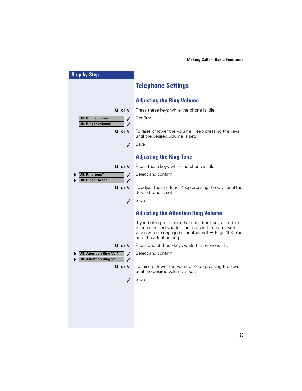| <b>Step by Step</b>                                                                |                                                                                                                                                                                                                |
|------------------------------------------------------------------------------------|----------------------------------------------------------------------------------------------------------------------------------------------------------------------------------------------------------------|
|                                                                                    | <b>Telephone Settings</b>                                                                                                                                                                                      |
|                                                                                    | <b>Adjusting the Ring Volume</b>                                                                                                                                                                               |
| $u$ or $v$                                                                         | Press these keys while the phone is idle.                                                                                                                                                                      |
| <b>US: Ring volume?</b><br>$\checkmark$                                            | Confirm.                                                                                                                                                                                                       |
| <b>UK: Ringer volume?</b>                                                          |                                                                                                                                                                                                                |
| <b>U</b> or <b>V</b>                                                               | To raise or lower the volume: Keep pressing the keys<br>until the desired volume is set.                                                                                                                       |
| $\checkmark$                                                                       | Save.                                                                                                                                                                                                          |
|                                                                                    | <b>Adjusting the Ring Tone</b>                                                                                                                                                                                 |
| <b>U</b> or <b>V</b>                                                               | Press these keys while the phone is idle.                                                                                                                                                                      |
| US: Ring tone?<br>$\checkmark$<br>UK: Ringer tone?<br>✓                            | Select and confirm.                                                                                                                                                                                            |
| $U$ or $V$                                                                         | To adjust the ring tone: Keep pressing the keys until the<br>desired tone is set.                                                                                                                              |
| $\checkmark$                                                                       | Save.                                                                                                                                                                                                          |
|                                                                                    | <b>Adjusting the Attention Ring Volume</b>                                                                                                                                                                     |
|                                                                                    | If you belong to a team that uses trunk keys, the tele-<br>phone can alert you to other calls in the team even<br>when you are engaged in another call $\rightarrow$ Page 103. You<br>hear the attention ring. |
| <b>U</b> or $V$                                                                    | Press one of these keys while the phone is idle.                                                                                                                                                               |
| <b>US: Attention Ring Vol?</b><br>$\sqrt{}$<br><b>UK: Attention Ring Vol-</b><br>✓ | Select and confirm.                                                                                                                                                                                            |
| <b>U</b> or <b>V</b>                                                               | To raise or lower the volume: Keep pressing the keys<br>until the desired volume is set.                                                                                                                       |
|                                                                                    | Save.                                                                                                                                                                                                          |
|                                                                                    |                                                                                                                                                                                                                |
|                                                                                    |                                                                                                                                                                                                                |
|                                                                                    |                                                                                                                                                                                                                |
|                                                                                    |                                                                                                                                                                                                                |
|                                                                                    |                                                                                                                                                                                                                |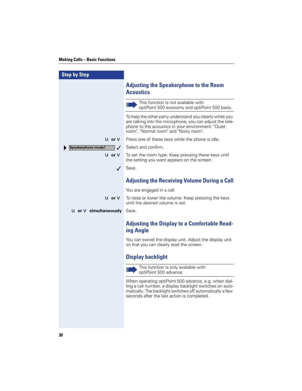I

| <b>Step by Step</b>                 |                                                                                                                                                                                                                                |
|-------------------------------------|--------------------------------------------------------------------------------------------------------------------------------------------------------------------------------------------------------------------------------|
|                                     | <b>Adjusting the Speakerphone to the Room</b><br><b>Acoustics</b>                                                                                                                                                              |
|                                     | This function is not available with<br>Ш<br>optiPoint 500 economy and optiPoint 500 basic.                                                                                                                                     |
|                                     | To help the other party understand you clearly while you<br>are talking into the microphone, you can adjust the tele-<br>phone to the acoustics in your environment: "Quiet<br>room", "Normal room" and "Noisy room".          |
| $\mathbf U$ or $\mathbf V$          | Press one of these keys while the phone is idle.                                                                                                                                                                               |
| Speakerphone mode?                  | Select and confirm.                                                                                                                                                                                                            |
| $u$ or $v$                          | To set the room type: Keep pressing these keys until<br>the setting you want appears on the screen.                                                                                                                            |
| $\checkmark$                        | Save.                                                                                                                                                                                                                          |
|                                     | <b>Adjusting the Receiving Volume During a Call</b>                                                                                                                                                                            |
|                                     | You are engaged in a call.                                                                                                                                                                                                     |
|                                     | <b>u</b> or <b>v</b> To raise or lower the volume: Keep pressing the keys<br>until the desired volume is set.                                                                                                                  |
| <b>U</b> or <b>V</b> simultaneously | Save.                                                                                                                                                                                                                          |
|                                     | <b>Adjusting the Display to a Comfortable Read-</b><br>ing Angle                                                                                                                                                               |
|                                     | You can swivel the display unit. Adjust the display unit<br>so that you can clearly read the screen.                                                                                                                           |
|                                     | <b>Display backlight</b>                                                                                                                                                                                                       |
|                                     | This function is only available with<br>Ш<br>optiPoint 500 advance.                                                                                                                                                            |
|                                     | When operating optiPoint 500 advance, e.g. when dial-<br>ling a call number, a display backlight switches on auto-<br>matically. The backlight switches off automatically a few<br>seconds after the last action is completed. |
|                                     |                                                                                                                                                                                                                                |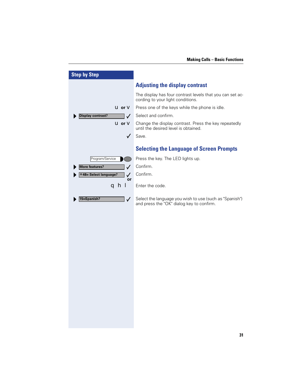| <b>Step by Step</b>                      |                                                                                                      |
|------------------------------------------|------------------------------------------------------------------------------------------------------|
|                                          | <b>Adjusting the display contrast</b>                                                                |
|                                          | The display has four contrast levels that you can set ac-<br>cording to your light conditions.       |
| $u$ or $v$                               | Press one of the keys while the phone is idle.                                                       |
| <b>Display contrast?</b><br>$\checkmark$ | Select and confirm.                                                                                  |
| $U$ or $V$                               | Change the display contrast. Press the key repeatedly<br>until the desired level is obtained.        |
| $\checkmark$                             | Save.                                                                                                |
|                                          | <b>Selecting the Language of Screen Prompts</b>                                                      |
| Program/Service                          | Press the key. The LED lights up.                                                                    |
| <b>More features?</b><br>$\checkmark$    | Confirm.                                                                                             |
| *48= Select language?<br>✓               | Confirm.                                                                                             |
| or<br>qhl                                | Enter the code.                                                                                      |
| 15=Spanish?<br>$\checkmark$              | Select the language you wish to use (such as "Spanish")<br>and press the "OK" dialog key to confirm. |
|                                          |                                                                                                      |
|                                          |                                                                                                      |
|                                          |                                                                                                      |
|                                          |                                                                                                      |
|                                          |                                                                                                      |
|                                          |                                                                                                      |
|                                          |                                                                                                      |
|                                          |                                                                                                      |
|                                          |                                                                                                      |
|                                          |                                                                                                      |
|                                          |                                                                                                      |
|                                          |                                                                                                      |
|                                          |                                                                                                      |
|                                          |                                                                                                      |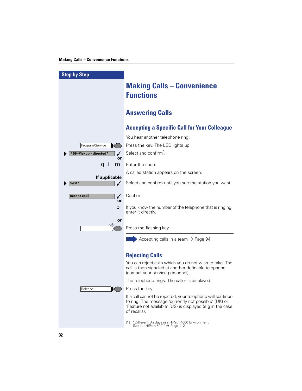| <b>Step by Step</b>                |                                                                                                                                                                                                   |
|------------------------------------|---------------------------------------------------------------------------------------------------------------------------------------------------------------------------------------------------|
|                                    | <b>Making Calls - Convenience</b><br><b>Functions</b>                                                                                                                                             |
|                                    | <b>Answering Calls</b>                                                                                                                                                                            |
|                                    | <b>Accepting a Specific Call for Your Colleague</b>                                                                                                                                               |
|                                    | You hear another telephone ring.                                                                                                                                                                  |
| Program/Service                    | Press the key. The LED lights up.                                                                                                                                                                 |
| <sup>⊁</sup> 59=Pickup - directed? | Select and confirm <sup>1</sup> .                                                                                                                                                                 |
| or<br>m<br>a ı                     | Enter the code.                                                                                                                                                                                   |
|                                    | A called station appears on the screen.                                                                                                                                                           |
| If applicable                      |                                                                                                                                                                                                   |
| Next?<br>$\checkmark$              | Select and confirm until you see the station you want.                                                                                                                                            |
| <b>Accept call?</b><br>✓<br>or     | Confirm.                                                                                                                                                                                          |
| О                                  | If you know the number of the telephone that is ringing,<br>enter it directly.                                                                                                                    |
| or<br>$\sqrt{17}$                  | Press the flashing key.                                                                                                                                                                           |
|                                    | Accepting calls in a team $\rightarrow$ Page 94.                                                                                                                                                  |
|                                    | <b>Rejecting Calls</b>                                                                                                                                                                            |
|                                    | You can reject calls which you do not wish to take. The<br>call is then signaled at another definable telephone<br>(contact your service personnel).                                              |
|                                    | The telephone rings. The caller is displayed.                                                                                                                                                     |
| Release                            | Press the key.                                                                                                                                                                                    |
|                                    | If a call cannot be rejected, your telephone will continue<br>to ring. The message "currently not possible" (UK) or<br>"Feature not available" (US) is displayed (e.g in the case<br>of recalls). |
|                                    | "Different Displays in a HiPath 4000 Environment<br>$\lceil 1 \rceil$<br>(Not for HiPath 500)" $\rightarrow$ Page 112                                                                             |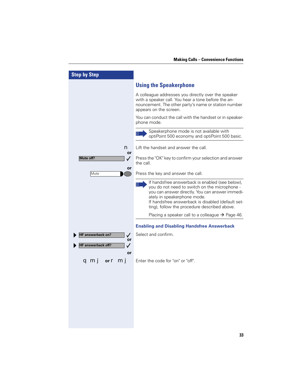| <b>Step by Step</b>                                                  |                                                                                                                                                                                                                                                                                                |
|----------------------------------------------------------------------|------------------------------------------------------------------------------------------------------------------------------------------------------------------------------------------------------------------------------------------------------------------------------------------------|
|                                                                      | <b>Using the Speakerphone</b>                                                                                                                                                                                                                                                                  |
|                                                                      | A colleague addresses you directly over the speaker<br>with a speaker call. You hear a tone before the an-<br>nouncement. The other party's name or station number<br>appears on the screen.                                                                                                   |
|                                                                      | You can conduct the call with the handset or in speaker-<br>phone mode.                                                                                                                                                                                                                        |
|                                                                      | Speakerphone mode is not available with<br>optiPoint 500 economy and optiPoint 500 basic.                                                                                                                                                                                                      |
| n<br>or                                                              | Lift the handset and answer the call.                                                                                                                                                                                                                                                          |
| Mute off?<br>$\checkmark$                                            | Press the "OK" key to confirm your selection and answer<br>the call.                                                                                                                                                                                                                           |
| or<br>Mute                                                           | Press the key and answer the call.                                                                                                                                                                                                                                                             |
|                                                                      | If handsfree answerback is enabled (see below),<br>III<br>you do not need to switch on the microphone -<br>you can answer directly. You can answer immedi-<br>ately in speakerphone mode.<br>If handsfree answerback is disabled (default set-<br>ting), follow the procedure described above. |
|                                                                      | Placing a speaker call to a colleague $\rightarrow$ Page 46.                                                                                                                                                                                                                                   |
|                                                                      | <b>Enabling and Disabling Handsfree Answerback</b>                                                                                                                                                                                                                                             |
| <b>IF answerback on?</b><br>✓<br>or<br>IF answerback off?<br>✓<br>or | Select and confirm.                                                                                                                                                                                                                                                                            |
| or <b>r</b> mi                                                       | Enter the code for "on" or "off".                                                                                                                                                                                                                                                              |
|                                                                      |                                                                                                                                                                                                                                                                                                |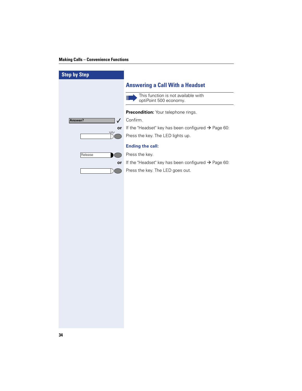#### **Making Calls – Convenience Functions**

| <b>Step by Step</b>     |                                                                    |
|-------------------------|--------------------------------------------------------------------|
|                         | <b>Answering a Call With a Headset</b>                             |
|                         | This function is not available with<br>Ш<br>optiPoint 500 economy. |
|                         | Precondition: Your telephone rings.                                |
| Answer?<br>$\checkmark$ | Confirm.                                                           |
| or                      | If the "Headset" key has been configured $\rightarrow$ Page 60:    |
| $\sqrt{17}$             | Press the key. The LED lights up.                                  |
|                         | <b>Ending the call:</b>                                            |
| Release                 | Press the key.                                                     |
| or                      | If the "Headset" key has been configured $\rightarrow$ Page 60:    |
|                         | Press the key. The LED goes out.                                   |
|                         |                                                                    |
|                         |                                                                    |
|                         |                                                                    |
|                         |                                                                    |
|                         |                                                                    |
|                         |                                                                    |
|                         |                                                                    |
|                         |                                                                    |
|                         |                                                                    |
|                         |                                                                    |
|                         |                                                                    |
|                         |                                                                    |
|                         |                                                                    |
|                         |                                                                    |
|                         |                                                                    |
|                         |                                                                    |
|                         |                                                                    |
|                         |                                                                    |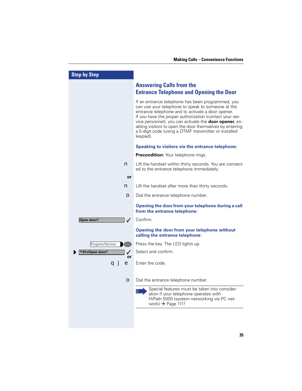| <b>Step by Step</b>        |                                                                                                                                                                                                                                                                                                                                                                                                                          |
|----------------------------|--------------------------------------------------------------------------------------------------------------------------------------------------------------------------------------------------------------------------------------------------------------------------------------------------------------------------------------------------------------------------------------------------------------------------|
|                            | <b>Answering Calls from the</b><br><b>Entrance Telephone and Opening the Door</b>                                                                                                                                                                                                                                                                                                                                        |
|                            | If an entrance telephone has been programmed, you<br>can use your telephone to speak to someone at the<br>entrance telephone and to activate a door opener.<br>If you have the proper authorization (contact your ser-<br>vice personnel), you can activate the <b>door opener</b> , en-<br>abling visitors to open the door themselves by entering<br>a 5-digit code (using a DTMF transmitter or installed<br>keypad). |
|                            | Speaking to visitors via the entrance telephone:                                                                                                                                                                                                                                                                                                                                                                         |
|                            | Precondition: Your telephone rings.                                                                                                                                                                                                                                                                                                                                                                                      |
| n                          | Lift the handset within thirty seconds. You are connect-<br>ed to the entrance telephone immediately.                                                                                                                                                                                                                                                                                                                    |
| or                         |                                                                                                                                                                                                                                                                                                                                                                                                                          |
| n                          | Lift the handset after more than thirty seconds.                                                                                                                                                                                                                                                                                                                                                                         |
| O                          | Dial the entrance telephone number.                                                                                                                                                                                                                                                                                                                                                                                      |
|                            | Opening the door from your telephone during a call<br>from the entrance telephone:                                                                                                                                                                                                                                                                                                                                       |
| Open door?<br>$\checkmark$ | Confirm.                                                                                                                                                                                                                                                                                                                                                                                                                 |
|                            | Opening the door from your telephone without<br>calling the entrance telephone:                                                                                                                                                                                                                                                                                                                                          |
| Program/Service            | Press the key. The LED lights up.                                                                                                                                                                                                                                                                                                                                                                                        |
| *61=Open door?<br>✓        | Select and confirm.                                                                                                                                                                                                                                                                                                                                                                                                      |
| or<br>e<br>a」              | Enter the code.                                                                                                                                                                                                                                                                                                                                                                                                          |
| $\bullet$                  | Dial the entrance telephone number.                                                                                                                                                                                                                                                                                                                                                                                      |
|                            | Special features must be taken into consider-<br>Ш<br>ation if your telephone operates with<br>HiPath 5000 (system networking via PC net-<br>work) $\rightarrow$ Page 111!                                                                                                                                                                                                                                               |
|                            |                                                                                                                                                                                                                                                                                                                                                                                                                          |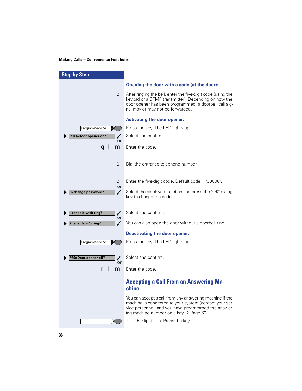#### **Making Calls – Convenience Functions**

| <b>Step by Step</b>                        |                                                                                                                                                                                                                                |
|--------------------------------------------|--------------------------------------------------------------------------------------------------------------------------------------------------------------------------------------------------------------------------------|
|                                            | Opening the door with a code (at the door):                                                                                                                                                                                    |
| О                                          | After ringing the bell, enter the five-digit code (using the<br>keypad or a DTMF transmitter). Depending on how the<br>door opener has been programmed, a doorbell call sig-<br>nal may or may not be forwarded.               |
|                                            | <b>Activating the door opener:</b>                                                                                                                                                                                             |
| Program/Service                            | Press the key. The LED lights up                                                                                                                                                                                               |
| *89=Door opener on?<br>or                  | Select and confirm.                                                                                                                                                                                                            |
| m<br>q                                     | Enter the code.                                                                                                                                                                                                                |
| О                                          | Dial the entrance telephone number.                                                                                                                                                                                            |
| O<br>or                                    | Enter the five-digit code. Default code $=$ "00000".                                                                                                                                                                           |
| $\checkmark$<br>3=change password?         | Select the displayed function and press the "OK" dialog<br>key to change the code.                                                                                                                                             |
| 1=enable with ring?<br>$\checkmark$        | Select and confirm.                                                                                                                                                                                                            |
| or<br>2=enable w/o ring?<br>$\sqrt{2}$     | You can also open the door without a doorbell ring.                                                                                                                                                                            |
|                                            | <b>Deactivating the door opener:</b>                                                                                                                                                                                           |
| Program/Service                            | Press the key. The LED lights up.                                                                                                                                                                                              |
| #89=Door opener off?<br>$\checkmark$<br>or | Select and confirm.                                                                                                                                                                                                            |
| m                                          | Enter the code.                                                                                                                                                                                                                |
|                                            | <b>Accepting a Call From an Answering Ma-</b><br>chine                                                                                                                                                                         |
|                                            | You can accept a call from any answering machine if the<br>machine is connected to your system (contact your ser-<br>vice personnel) and you have programmed the answer-<br>ing machine number on a key $\rightarrow$ Page 60. |
|                                            | The LED lights up. Press the key.                                                                                                                                                                                              |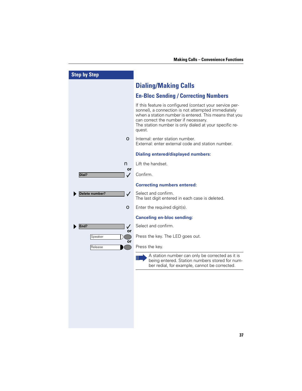| <b>Step by Step</b>         |                                                                                                                                                                                                                                                                                     |
|-----------------------------|-------------------------------------------------------------------------------------------------------------------------------------------------------------------------------------------------------------------------------------------------------------------------------------|
|                             | <b>Dialing/Making Calls</b>                                                                                                                                                                                                                                                         |
|                             | <b>En-Bloc Sending / Correcting Numbers</b>                                                                                                                                                                                                                                         |
|                             | If this feature is configured (contact your service per-<br>sonnel), a connection is not attempted immediately<br>when a station number is entered. This means that you<br>can correct the number if necessary.<br>The station number is only dialed at your specific re-<br>quest. |
| $\bullet$                   | Internal: enter station number.<br>External: enter external code and station number.                                                                                                                                                                                                |
|                             | <b>Dialing entered/displayed numbers:</b>                                                                                                                                                                                                                                           |
| n<br>or                     | Lift the handset.                                                                                                                                                                                                                                                                   |
| Dial?<br>✓                  | Confirm.                                                                                                                                                                                                                                                                            |
|                             | <b>Correcting numbers entered:</b>                                                                                                                                                                                                                                                  |
| $\sqrt{}$<br>Delete number? | Select and confirm.<br>The last digit entered in each case is deleted.                                                                                                                                                                                                              |
| О                           | Enter the required digit(s).                                                                                                                                                                                                                                                        |
|                             | <b>Canceling en-bloc sending:</b>                                                                                                                                                                                                                                                   |
| End?<br>$\checkmark$        | Select and confirm.                                                                                                                                                                                                                                                                 |
| or<br>Speaker               | Press the key. The LED goes out.                                                                                                                                                                                                                                                    |
| or<br>Release               | Press the key.                                                                                                                                                                                                                                                                      |
|                             | A station number can only be corrected as it is<br>being entered. Station numbers stored for num-<br>ber redial, for example, cannot be corrected.                                                                                                                                  |
|                             |                                                                                                                                                                                                                                                                                     |
|                             |                                                                                                                                                                                                                                                                                     |
|                             |                                                                                                                                                                                                                                                                                     |
|                             |                                                                                                                                                                                                                                                                                     |
|                             |                                                                                                                                                                                                                                                                                     |
|                             |                                                                                                                                                                                                                                                                                     |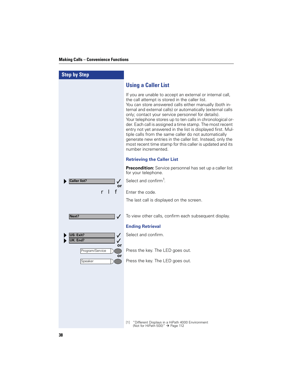| <b>Step by Step</b>                        |                                                                                                                                                                                                                                                                                                                                                                                                                                                                                                                                                                                                                                                                                                |
|--------------------------------------------|------------------------------------------------------------------------------------------------------------------------------------------------------------------------------------------------------------------------------------------------------------------------------------------------------------------------------------------------------------------------------------------------------------------------------------------------------------------------------------------------------------------------------------------------------------------------------------------------------------------------------------------------------------------------------------------------|
|                                            | <b>Using a Caller List</b>                                                                                                                                                                                                                                                                                                                                                                                                                                                                                                                                                                                                                                                                     |
|                                            | If you are unable to accept an external or internal call,<br>the call attempt is stored in the caller list.<br>You can store answered calls either manually (both in-<br>ternal and external calls) or automatically (external calls<br>only; contact your service personnel for details).<br>Your telephone stores up to ten calls in chronological or-<br>der. Each call is assigned a time stamp. The most recent<br>entry not yet answered in the list is displayed first. Mul-<br>tiple calls from the same caller do not automatically<br>generate new entries in the caller list. Instead, only the<br>most recent time stamp for this caller is updated and its<br>number incremented. |
|                                            | <b>Retrieving the Caller List</b>                                                                                                                                                                                                                                                                                                                                                                                                                                                                                                                                                                                                                                                              |
|                                            | <b>Precondition:</b> Service personnel has set up a caller list<br>for your telephone.                                                                                                                                                                                                                                                                                                                                                                                                                                                                                                                                                                                                         |
| <b>Caller list?</b><br>✓<br>or             | Select and confirm <sup>1</sup> .                                                                                                                                                                                                                                                                                                                                                                                                                                                                                                                                                                                                                                                              |
| f                                          | Enter the code.                                                                                                                                                                                                                                                                                                                                                                                                                                                                                                                                                                                                                                                                                |
|                                            | The last call is displayed on the screen.                                                                                                                                                                                                                                                                                                                                                                                                                                                                                                                                                                                                                                                      |
| Next?<br>$\checkmark$                      | To view other calls, confirm each subsequent display.                                                                                                                                                                                                                                                                                                                                                                                                                                                                                                                                                                                                                                          |
|                                            | <b>Ending Retrieval</b>                                                                                                                                                                                                                                                                                                                                                                                                                                                                                                                                                                                                                                                                        |
| US: Exit?<br>$\checkmark$<br>UK: End?<br>✓ | Select and confirm.                                                                                                                                                                                                                                                                                                                                                                                                                                                                                                                                                                                                                                                                            |
| or<br>Program/Service                      | Press the key. The LED goes out.                                                                                                                                                                                                                                                                                                                                                                                                                                                                                                                                                                                                                                                               |
| or<br>Speaker                              | Press the key. The LED goes out.                                                                                                                                                                                                                                                                                                                                                                                                                                                                                                                                                                                                                                                               |
|                                            |                                                                                                                                                                                                                                                                                                                                                                                                                                                                                                                                                                                                                                                                                                |
|                                            |                                                                                                                                                                                                                                                                                                                                                                                                                                                                                                                                                                                                                                                                                                |
|                                            |                                                                                                                                                                                                                                                                                                                                                                                                                                                                                                                                                                                                                                                                                                |
|                                            |                                                                                                                                                                                                                                                                                                                                                                                                                                                                                                                                                                                                                                                                                                |
|                                            |                                                                                                                                                                                                                                                                                                                                                                                                                                                                                                                                                                                                                                                                                                |
|                                            | "Different Displays in a HiPath 4000 Environment<br>[1]<br>(Not for HiPath 500)" $\rightarrow$ Page 112                                                                                                                                                                                                                                                                                                                                                                                                                                                                                                                                                                                        |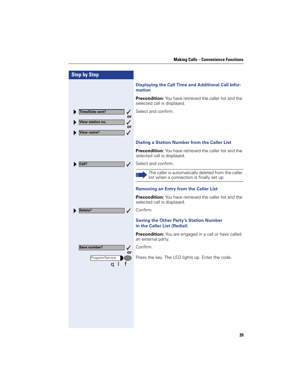| <b>Step by Step</b>                    |                                                                                                  |
|----------------------------------------|--------------------------------------------------------------------------------------------------|
|                                        | <b>Displaying the Call Time and Additional Call Infor-</b><br>mation                             |
|                                        | <b>Precondition:</b> You have retrieved the caller list and the<br>selected call is displayed.   |
| Time/Date sent?<br>$\checkmark$<br>or  | Select and confirm.                                                                              |
| View station no.<br>$\checkmark$<br>or |                                                                                                  |
| View name?<br>$\checkmark$             |                                                                                                  |
|                                        | <b>Dialing a Station Number from the Caller List</b>                                             |
|                                        | <b>Precondition:</b> You have retrieved the caller list and the<br>selected call is displayed.   |
| Call?<br>✓                             | Select and confirm.                                                                              |
|                                        | The caller is automatically deleted from the caller<br>list when a connection is finally set up. |
|                                        | <b>Removing an Entry from the Caller List</b>                                                    |
|                                        | <b>Precondition:</b> You have retrieved the caller list and the<br>selected call is displayed.   |
| Delete?<br>$\checkmark$                | Confirm.                                                                                         |
|                                        | <b>Saving the Other Party's Station Number</b><br>in the Caller List (Redial)                    |
|                                        | <b>Precondition:</b> You are engaged in a call or have called<br>an external party.              |
| Save number?<br>$\checkmark$           | Confirm.                                                                                         |
| or<br>Program/Service<br>a l           | Press the key. The LED lights up. Enter the code.                                                |
|                                        |                                                                                                  |
|                                        |                                                                                                  |
|                                        |                                                                                                  |
|                                        |                                                                                                  |
|                                        |                                                                                                  |
|                                        |                                                                                                  |
|                                        |                                                                                                  |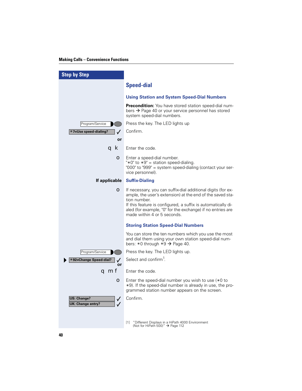| <b>Step by Step</b>                                     |                                                                                                                                                                                                                                                                                                        |
|---------------------------------------------------------|--------------------------------------------------------------------------------------------------------------------------------------------------------------------------------------------------------------------------------------------------------------------------------------------------------|
|                                                         | <b>Speed-dial</b>                                                                                                                                                                                                                                                                                      |
|                                                         | <b>Using Station and System Speed-Dial Numbers</b>                                                                                                                                                                                                                                                     |
|                                                         | <b>Precondition:</b> You have stored station speed-dial num-<br>bers $\rightarrow$ Page 40 or your service personnel has stored<br>system speed-dial numbers.                                                                                                                                          |
| Program/Service                                         | Press the key. The LED lights up                                                                                                                                                                                                                                                                       |
| *7=Use speed-dialing?<br>✓                              | Confirm.                                                                                                                                                                                                                                                                                               |
| or                                                      |                                                                                                                                                                                                                                                                                                        |
| q k                                                     | Enter the code.                                                                                                                                                                                                                                                                                        |
| О                                                       | Enter a speed-dial number.<br>"*0" to $*9$ " = station speed-dialing.<br>"000" to "999" = system speed-dialing (contact your ser-<br>vice personnel).                                                                                                                                                  |
| If applicable                                           | <b>Suffix-Dialing</b>                                                                                                                                                                                                                                                                                  |
| О                                                       | If necessary, you can suffix-dial additional digits (for ex-<br>ample, the user's extension) at the end of the saved sta-<br>tion number.<br>If this feature is configured, a suffix is automatically di-<br>aled (for example, "0" for the exchange) if no entries are<br>made within 4 or 5 seconds. |
|                                                         | <b>Storing Station Speed-Dial Numbers</b>                                                                                                                                                                                                                                                              |
|                                                         | You can store the ten numbers which you use the most<br>and dial them using your own station speed-dial num-<br>bers: $*0$ through $*9 \rightarrow$ Page 40.                                                                                                                                           |
| Program/Service                                         | Press the key. The LED lights up.                                                                                                                                                                                                                                                                      |
| *92=Change Speed-dial?<br>or                            | Select and confirm <sup>1</sup> .                                                                                                                                                                                                                                                                      |
| qmf                                                     | Enter the code.                                                                                                                                                                                                                                                                                        |
| О                                                       | Enter the speed-dial number you wish to use $(*0$ to<br>*9). If the speed-dial number is already in use, the pro-<br>grammed station number appears on the screen.                                                                                                                                     |
| <b>US: Change?</b><br>$\checkmark$<br>UK: Change entry? | Confirm.                                                                                                                                                                                                                                                                                               |
|                                                         | "Different Displays in a HiPath 4000 Environment<br>$\lceil 1 \rceil$<br>(Not for HiPath 500)" $\rightarrow$ Page 112                                                                                                                                                                                  |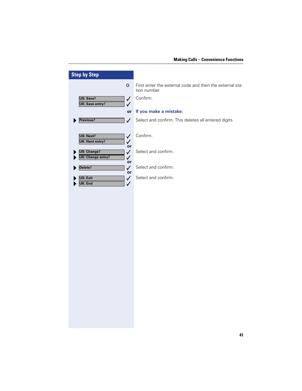| <b>Step by Step</b>                                                       |                                                                          |
|---------------------------------------------------------------------------|--------------------------------------------------------------------------|
| $\bullet$                                                                 | First enter the external code and then the external sta-<br>tion number. |
| US: Save?<br>$\checkmark$<br><b>UK: Save entry?</b><br>✓                  | Confirm.                                                                 |
| or                                                                        | If you make a mistake:                                                   |
| Previous?<br>$\checkmark$                                                 | Select and confirm. This deletes all entered digits.                     |
| US: Next?<br>$\checkmark$<br><b>UK: Next entry?</b><br>$\checkmark$<br>or | Confirm.                                                                 |
| <b>US: Change?</b><br>$\checkmark$<br><b>UK: Change entry?</b><br>✓<br>or | Select and confirm.                                                      |
| Delete?<br>$\checkmark$<br>or                                             | Select and confirm.                                                      |
| US: Exit<br>$\checkmark$<br><b>UK: End</b><br>$\checkmark$                | Select and confirm.                                                      |
|                                                                           |                                                                          |
|                                                                           |                                                                          |
|                                                                           |                                                                          |
|                                                                           |                                                                          |
|                                                                           |                                                                          |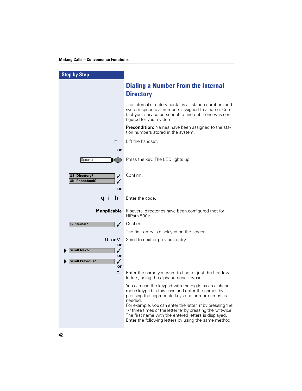| <b>Step by Step</b>                                       |                                                                                                                                                                                                                                                                                                                                                                                                                           |
|-----------------------------------------------------------|---------------------------------------------------------------------------------------------------------------------------------------------------------------------------------------------------------------------------------------------------------------------------------------------------------------------------------------------------------------------------------------------------------------------------|
|                                                           | <b>Dialing a Number From the Internal</b><br><b>Directory</b>                                                                                                                                                                                                                                                                                                                                                             |
|                                                           | The internal directory contains all station numbers and<br>system speed-dial numbers assigned to a name. Con-<br>tact your service personnel to find out if one was con-<br>figured for your system.                                                                                                                                                                                                                      |
|                                                           | <b>Precondition:</b> Names have been assigned to the sta-<br>tion numbers stored in the system.                                                                                                                                                                                                                                                                                                                           |
| n                                                         | Lift the handset.                                                                                                                                                                                                                                                                                                                                                                                                         |
| or                                                        |                                                                                                                                                                                                                                                                                                                                                                                                                           |
| Speaker                                                   | Press the key. The LED lights up.                                                                                                                                                                                                                                                                                                                                                                                         |
| <b>US: Directory?</b><br>✓<br><b>UK: Phonebook?</b><br>or | Confirm.                                                                                                                                                                                                                                                                                                                                                                                                                  |
| a i<br>n                                                  | Enter the code.                                                                                                                                                                                                                                                                                                                                                                                                           |
| If applicable                                             | If several directories have been configured (not for<br>HiPath 500):                                                                                                                                                                                                                                                                                                                                                      |
| 1=internal?<br>$\checkmark$                               | Confirm.                                                                                                                                                                                                                                                                                                                                                                                                                  |
|                                                           | The first entry is displayed on the screen.                                                                                                                                                                                                                                                                                                                                                                               |
| $U$ or $V$<br>or                                          | Scroll to next or previous entry.                                                                                                                                                                                                                                                                                                                                                                                         |
| <b>Scroll Next?</b><br>✓                                  |                                                                                                                                                                                                                                                                                                                                                                                                                           |
| or<br><b>Scroll Previous?</b><br>✓<br>or                  |                                                                                                                                                                                                                                                                                                                                                                                                                           |
| O                                                         | Enter the name you want to find, or just the first few<br>letters, using the alphanumeric keypad.                                                                                                                                                                                                                                                                                                                         |
|                                                           | You can use the keypad with the digits as an alphanu-<br>meric keypad in this case and enter the names by<br>pressing the appropriate keys one or more times as<br>needed.<br>For example, you can enter the letter "r" by pressing the<br>"7" three times or the letter "e" by pressing the "3" twice.<br>The first name with the entered letters is displayed.<br>Enter the following letters by using the same method. |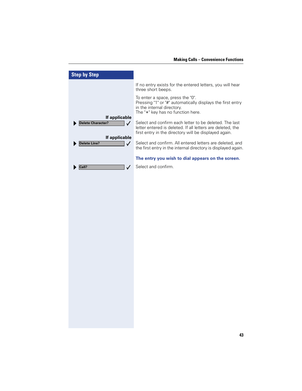| <b>Step by Step</b>                                                        |                                                                                                                                                                               |
|----------------------------------------------------------------------------|-------------------------------------------------------------------------------------------------------------------------------------------------------------------------------|
|                                                                            | If no entry exists for the entered letters, you will hear<br>three short beeps.                                                                                               |
|                                                                            | To enter a space, press the "0".<br>Pressing "1" or "#" automatically displays the first entry<br>in the internal directory.<br>The "*" key has no function here.             |
| If applicable<br><b>Delete Character?</b><br>$\checkmark$<br>If applicable | Select and confirm each letter to be deleted. The last<br>letter entered is deleted. If all letters are deleted, the<br>first entry in the directory will be displayed again. |
| <b>Delete Line?</b><br>$\checkmark$                                        | Select and confirm. All entered letters are deleted, and<br>the first entry in the internal directory is displayed again.                                                     |
|                                                                            | The entry you wish to dial appears on the screen.                                                                                                                             |
| Call?<br>✓                                                                 | Select and confirm.                                                                                                                                                           |
|                                                                            |                                                                                                                                                                               |
|                                                                            |                                                                                                                                                                               |
|                                                                            |                                                                                                                                                                               |
|                                                                            |                                                                                                                                                                               |
|                                                                            |                                                                                                                                                                               |
|                                                                            |                                                                                                                                                                               |
|                                                                            |                                                                                                                                                                               |
|                                                                            |                                                                                                                                                                               |
|                                                                            |                                                                                                                                                                               |
|                                                                            |                                                                                                                                                                               |
|                                                                            |                                                                                                                                                                               |
|                                                                            |                                                                                                                                                                               |
|                                                                            |                                                                                                                                                                               |
|                                                                            |                                                                                                                                                                               |
|                                                                            |                                                                                                                                                                               |
|                                                                            |                                                                                                                                                                               |
|                                                                            |                                                                                                                                                                               |
|                                                                            |                                                                                                                                                                               |
|                                                                            |                                                                                                                                                                               |
|                                                                            |                                                                                                                                                                               |
|                                                                            |                                                                                                                                                                               |
|                                                                            |                                                                                                                                                                               |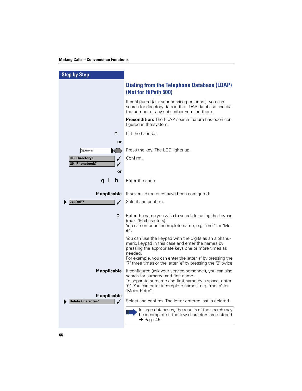| <b>Step by Step</b>                                                                        |                                                                                                                                                                                                                                                                                                         |
|--------------------------------------------------------------------------------------------|---------------------------------------------------------------------------------------------------------------------------------------------------------------------------------------------------------------------------------------------------------------------------------------------------------|
|                                                                                            | <b>Dialing from the Telephone Database (LDAP)</b><br>(Not for HiPath 500)                                                                                                                                                                                                                               |
|                                                                                            | If configured (ask your service personnel), you can<br>search for directory data in the LDAP database and dial<br>the number of any subscriber you find there.                                                                                                                                          |
|                                                                                            | <b>Precondition:</b> The LDAP search feature has been con-<br>figured in the system.                                                                                                                                                                                                                    |
| n                                                                                          | Lift the handset.                                                                                                                                                                                                                                                                                       |
| or<br>Speaker<br><b>US: Directory?</b><br>✓<br><b>UK: Phonebook?</b><br>$\checkmark$<br>or | Press the key. The LED lights up.<br>Confirm.                                                                                                                                                                                                                                                           |
| h<br>q i                                                                                   | Enter the code.                                                                                                                                                                                                                                                                                         |
| If applicable                                                                              | If several directories have been configured:                                                                                                                                                                                                                                                            |
| 2=LDAP?<br>$\checkmark$                                                                    | Select and confirm.                                                                                                                                                                                                                                                                                     |
| $\bullet$                                                                                  | Enter the name you wish to search for using the keypad<br>(max. 16 characters).<br>You can enter an incomplete name, e.g. "mei" for "Mei-<br>er".                                                                                                                                                       |
|                                                                                            | You can use the keypad with the digits as an alphanu-<br>meric keypad in this case and enter the names by<br>pressing the appropriate keys one or more times as<br>needed.<br>For example, you can enter the letter "r" by pressing the<br>"7" three times or the letter "e" by pressing the "3" twice. |
| If applicable                                                                              | If configured (ask your service personnel), you can also<br>search for surname and first name.<br>To separate surname and first name by a space, enter<br>"0". You can enter incomplete names, e.g. "mei p" for<br>"Meier Peter".                                                                       |
| If applicable<br><b>Delete Character?</b><br>$\checkmark$                                  | Select and confirm. The letter entered last is deleted.                                                                                                                                                                                                                                                 |
|                                                                                            | In large databases, the results of the search may<br>Ш<br>be incomplete if too few characters are entered<br>$\rightarrow$ Page 45.                                                                                                                                                                     |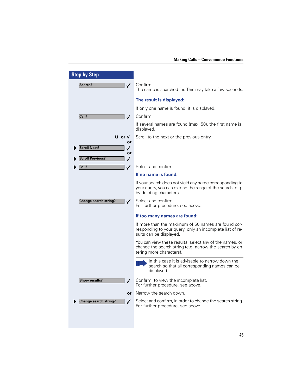| <b>Step by Step</b>                  |                                                                                                                                                |
|--------------------------------------|------------------------------------------------------------------------------------------------------------------------------------------------|
| Search?                              | Confirm.<br>The name is searched for. This may take a few seconds.                                                                             |
|                                      | The result is displayed:                                                                                                                       |
|                                      | If only one name is found, it is displayed.                                                                                                    |
| Call?<br>$\checkmark$                | Confirm.                                                                                                                                       |
|                                      | If several names are found (max. 50), the first name is<br>displayed.                                                                          |
| $u$ or $v$                           | Scroll to the next or the previous entry.                                                                                                      |
| or<br><b>Scroll Next?</b><br>✓       |                                                                                                                                                |
| or                                   |                                                                                                                                                |
| <b>Scroll Previous?</b><br>✓         | Select and confirm.                                                                                                                            |
| Call?<br>$\checkmark$                | If no name is found:                                                                                                                           |
|                                      |                                                                                                                                                |
|                                      | If your search does not yield any name corresponding to<br>your query, you can extend the range of the search, e.g.<br>by deleting characters. |
| Change search string?                | Select and confirm.<br>For further procedure, see above.                                                                                       |
|                                      | If too many names are found:                                                                                                                   |
|                                      | If more than the maximum of 50 names are found cor-<br>responding to your query, only an incomplete list of re-<br>sults can be displayed.     |
|                                      | You can view these results, select any of the names, or<br>change the search string (e.g. narrow the search by en-<br>tering more characters). |
|                                      | In this case it is advisable to narrow down the<br>Ш<br>search so that all corresponding names can be<br>displayed.                            |
| <b>Show results?</b><br>$\checkmark$ | Confirm, to view the incomplete list.<br>For further procedure, see above.                                                                     |
| <b>or</b>                            | Narrow the search down.                                                                                                                        |
| Change search string?                | Select and confirm, in order to change the search string.<br>For further procedure, see above                                                  |
|                                      |                                                                                                                                                |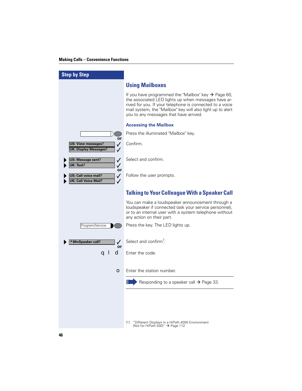| <b>Step by Step</b>                                                             |                                                                                                                                                                                                                                                                                            |
|---------------------------------------------------------------------------------|--------------------------------------------------------------------------------------------------------------------------------------------------------------------------------------------------------------------------------------------------------------------------------------------|
|                                                                                 | <b>Using Mailboxes</b>                                                                                                                                                                                                                                                                     |
|                                                                                 | If you have programmed the "Mailbox" key $\rightarrow$ Page 60,<br>the associated LED lights up when messages have ar-<br>rived for you. If your telephone is connected to a voice<br>mail system, the "Mailbox" key will also light up to alert<br>you to any messages that have arrived. |
|                                                                                 | <b>Accessing the Mailbox</b>                                                                                                                                                                                                                                                               |
|                                                                                 | Press the illuminated "Mailbox" key.                                                                                                                                                                                                                                                       |
| or<br><b>US: View messages?</b><br>$\checkmark$<br><b>UK: Display Messages?</b> | Confirm.                                                                                                                                                                                                                                                                                   |
| US: Message sent?<br>✓<br>UK: Text?<br>$\checkmark$                             | Select and confirm.                                                                                                                                                                                                                                                                        |
| or<br>US: Call voice mail?<br>$\checkmark$<br><b>UK: Call Voice Mail?</b><br>✓  | Follow the user prompts.                                                                                                                                                                                                                                                                   |
|                                                                                 | <b>Talking to Your Colleague With a Speaker Call</b>                                                                                                                                                                                                                                       |
|                                                                                 | You can make a loudspeaker announcement through a<br>loudspeaker if connected (ask your service personnel),<br>or to an internal user with a system telephone without<br>any action on their part.                                                                                         |
| Program/Service                                                                 | Press the key. The LED lights up.                                                                                                                                                                                                                                                          |
| *80=Speaker call?<br>$\checkmark$<br>or                                         | Select and confirm <sup>1</sup> .                                                                                                                                                                                                                                                          |
| d<br>a I                                                                        | Enter the code.                                                                                                                                                                                                                                                                            |
| О                                                                               | Enter the station number.                                                                                                                                                                                                                                                                  |
|                                                                                 | Ш<br>Responding to a speaker call $\rightarrow$ Page 33.                                                                                                                                                                                                                                   |
|                                                                                 |                                                                                                                                                                                                                                                                                            |
|                                                                                 |                                                                                                                                                                                                                                                                                            |
|                                                                                 | "Different Displays in a HiPath 4000 Environment<br>$\lceil 1 \rceil$<br>(Not for HiPath 500)" $\rightarrow$ Page 112                                                                                                                                                                      |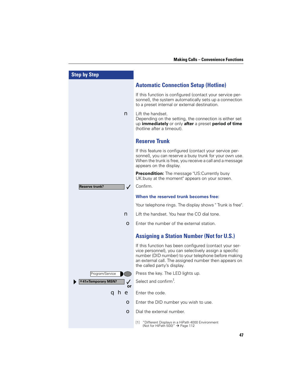| <b>Step by Step</b>                   |                                                                                                                                                                                                                                                                  |
|---------------------------------------|------------------------------------------------------------------------------------------------------------------------------------------------------------------------------------------------------------------------------------------------------------------|
|                                       | <b>Automatic Connection Setup (Hotline)</b>                                                                                                                                                                                                                      |
|                                       | If this function is configured (contact your service per-<br>sonnel), the system automatically sets up a connection<br>to a preset internal or external destination.                                                                                             |
| n                                     | Lift the handset.<br>Depending on the setting, the connection is either set<br>up immediately or only after a preset period of time<br>(hotline after a timeout).                                                                                                |
|                                       | <b>Reserve Trunk</b>                                                                                                                                                                                                                                             |
|                                       | If this feature is configured (contact your service per-<br>sonnel), you can reserve a busy trunk for your own use.<br>When the trunk is free, you receive a call and a message<br>appears on the display.                                                       |
|                                       | Precondition: The message "US: Currently busy<br>UK:busy at the moment" appears on your screen.                                                                                                                                                                  |
| <b>Reserve trunk?</b><br>$\checkmark$ | Confirm.                                                                                                                                                                                                                                                         |
|                                       | When the reserved trunk becomes free:                                                                                                                                                                                                                            |
|                                       | Your telephone rings. The display shows "Trunk is free".                                                                                                                                                                                                         |
| n                                     | Lift the handset. You hear the CO dial tone.                                                                                                                                                                                                                     |
| О                                     | Enter the number of the external station.                                                                                                                                                                                                                        |
|                                       | <b>Assigning a Station Number (Not for U.S.)</b>                                                                                                                                                                                                                 |
|                                       | If this function has been configured (contact your ser-<br>vice personnel), you can selectively assign a specific<br>number (DID number) to your telephone before making<br>an external call. The assigned number then appears on<br>the called party's display. |
| Program/Service                       | Press the key. The LED lights up.                                                                                                                                                                                                                                |
| $*41$ =Temporary MSN?<br>✓<br>or      | Select and confirm <sup>1</sup> .                                                                                                                                                                                                                                |
| ahe                                   | Enter the code.                                                                                                                                                                                                                                                  |
| О                                     | Enter the DID number you wish to use.                                                                                                                                                                                                                            |
| О                                     | Dial the external number.                                                                                                                                                                                                                                        |
|                                       | [1] "Different Displays in a HiPath 4000 Environment<br>(Not for HiPath 500)" → Page 112                                                                                                                                                                         |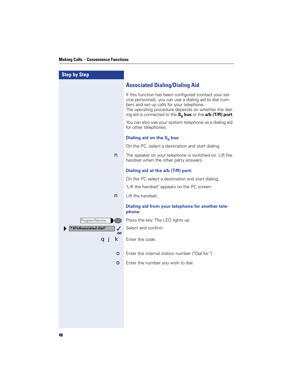| <b>Step by Step</b>             |                                                                                                                                                                                                                                                                                         |
|---------------------------------|-----------------------------------------------------------------------------------------------------------------------------------------------------------------------------------------------------------------------------------------------------------------------------------------|
|                                 | <b>Associated Dialing/Dialing Aid</b>                                                                                                                                                                                                                                                   |
|                                 | If this function has been configured (contact your ser-<br>vice personnel), you can use a dialing aid to dial num-<br>bers and set up calls for your telephone.<br>The operating procedure depends on whether the dial-<br>ing aid is connected to the $S_0$ bus or the a/b (T/R) port. |
|                                 | You can also use your system telephone as a dialing aid<br>for other telephones.                                                                                                                                                                                                        |
|                                 | Dialing aid on the $S_0$ bus:                                                                                                                                                                                                                                                           |
|                                 | On the PC, select a destination and start dialing.                                                                                                                                                                                                                                      |
| n                               | The speaker on your telephone is switched on. Lift the<br>handset when the other party answers.                                                                                                                                                                                         |
|                                 | Dialing aid at the a/b (T/R) port:                                                                                                                                                                                                                                                      |
|                                 | On the PC select a destination and start dialing.                                                                                                                                                                                                                                       |
|                                 | "Lift the handset" appears on the PC screen.                                                                                                                                                                                                                                            |
| n                               | Lift the handset.                                                                                                                                                                                                                                                                       |
|                                 | Dialing aid from your telephone for another tele-<br>phone:                                                                                                                                                                                                                             |
| Program/Service                 | Press the key. The LED lights up.                                                                                                                                                                                                                                                       |
| *67=Associated dial?<br>✓<br>or | Select and confirm.                                                                                                                                                                                                                                                                     |
| ĸ<br>a」                         | Enter the code.                                                                                                                                                                                                                                                                         |
| o                               | Enter the internal station number ("Dial for:").                                                                                                                                                                                                                                        |
| $\bullet$                       | Enter the number you wish to dial.                                                                                                                                                                                                                                                      |
|                                 |                                                                                                                                                                                                                                                                                         |
|                                 |                                                                                                                                                                                                                                                                                         |
|                                 |                                                                                                                                                                                                                                                                                         |
|                                 |                                                                                                                                                                                                                                                                                         |
|                                 |                                                                                                                                                                                                                                                                                         |
|                                 |                                                                                                                                                                                                                                                                                         |
|                                 |                                                                                                                                                                                                                                                                                         |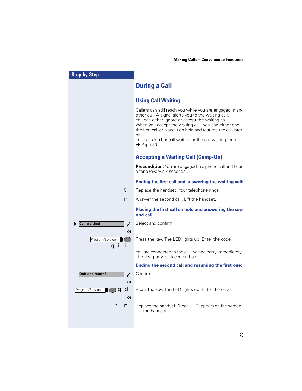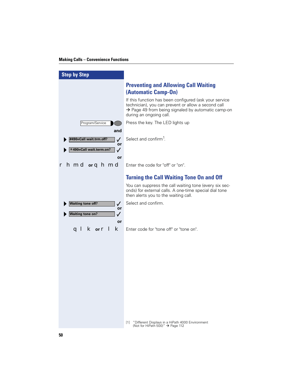| <b>Step by Step</b>                                                                      |                                                                                                                                                                                                            |
|------------------------------------------------------------------------------------------|------------------------------------------------------------------------------------------------------------------------------------------------------------------------------------------------------------|
|                                                                                          | <b>Preventing and Allowing Call Waiting</b><br>(Automatic Camp-On)                                                                                                                                         |
|                                                                                          | If this function has been configured (ask your service<br>technician), you can prevent or allow a second call<br>$\rightarrow$ Page 49 from being signaled by automatic camp-on<br>during an ongoing call. |
| Program/Service<br>and                                                                   | Press the key. The LED lights up                                                                                                                                                                           |
| #490=Call wait.trm.off?<br>$\checkmark$<br>or<br>*490=Call wait.term.on?<br>$\checkmark$ | Select and confirm <sup>1</sup> .                                                                                                                                                                          |
| or<br><b>r</b> hmd or q hmd                                                              | Enter the code for "off" or "on".                                                                                                                                                                          |
|                                                                                          | <b>Turning the Call Waiting Tone On and Off</b>                                                                                                                                                            |
|                                                                                          | You can suppress the call waiting tone (every six sec-<br>onds) for external calls. A one-time special dial tone<br>then alerts you to the waiting call.                                                   |
| <b>Waiting tone off?</b><br>$\checkmark$<br>or                                           | Select and confirm.                                                                                                                                                                                        |
| <b>Waiting tone on?</b><br>$\checkmark$<br>or                                            |                                                                                                                                                                                                            |
| <b>K</b> or <b>r</b> 1<br>ĸ<br>a l                                                       | Enter code for "tone off" or "tone on".                                                                                                                                                                    |
|                                                                                          |                                                                                                                                                                                                            |
|                                                                                          |                                                                                                                                                                                                            |
|                                                                                          |                                                                                                                                                                                                            |
|                                                                                          |                                                                                                                                                                                                            |
|                                                                                          |                                                                                                                                                                                                            |
|                                                                                          |                                                                                                                                                                                                            |
|                                                                                          |                                                                                                                                                                                                            |
|                                                                                          | "Different Displays in a HiPath 4000 Environment<br>$[1]$<br>(Not for HiPath 500)" $\rightarrow$ Page 112                                                                                                  |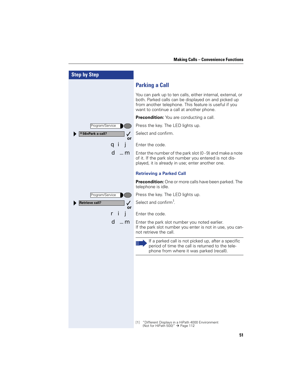| <b>Step by Step</b>         |                                                                                                                                                                                                                           |
|-----------------------------|---------------------------------------------------------------------------------------------------------------------------------------------------------------------------------------------------------------------------|
|                             | <b>Parking a Call</b>                                                                                                                                                                                                     |
|                             | You can park up to ten calls, either internal, external, or<br>both. Parked calls can be displayed on and picked up<br>from another telephone. This feature is useful if you<br>want to continue a call at another phone. |
|                             | <b>Precondition:</b> You are conducting a call.                                                                                                                                                                           |
| Program/Service             | Press the key. The LED lights up.                                                                                                                                                                                         |
| * 56=Park a call?<br>or     | Select and confirm.                                                                                                                                                                                                       |
| qi j                        | Enter the code.                                                                                                                                                                                                           |
| d …m                        | Enter the number of the park slot $(0 - 9)$ and make a note<br>of it. If the park slot number you entered is not dis-<br>played, it is already in use; enter another one.                                                 |
|                             | <b>Retrieving a Parked Call</b>                                                                                                                                                                                           |
|                             | <b>Precondition:</b> One or more calls have been parked. The<br>telephone is idle.                                                                                                                                        |
| Program/Service             | Press the key. The LED lights up.                                                                                                                                                                                         |
| <b>Retrieve call?</b><br>or | Select and confirm <sup>1</sup> .                                                                                                                                                                                         |
|                             | Enter the code.                                                                                                                                                                                                           |
| d …m                        | Enter the park slot number you noted earlier.<br>If the park slot number you enter is not in use, you can-<br>not retrieve the call.                                                                                      |
|                             | If a parked call is not picked up, after a specific<br>Ш<br>period of time the call is returned to the tele-<br>phone from where it was parked (recall).                                                                  |
|                             | "Different Displays in a HiPath 4000 Environment<br>$[1]$<br>(Not for HiPath 500)" $\rightarrow$ Page 112                                                                                                                 |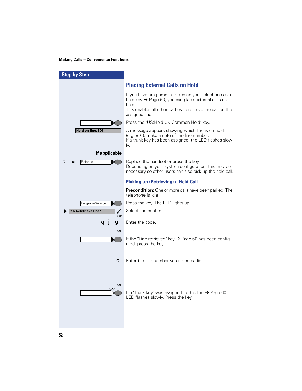| <b>Step by Step</b>                      |                                                                                                                                                                                                     |
|------------------------------------------|-----------------------------------------------------------------------------------------------------------------------------------------------------------------------------------------------------|
|                                          | <b>Placing External Calls on Hold</b>                                                                                                                                                               |
|                                          | If you have programmed a key on your telephone as a<br>hold key → Page 60, you can place external calls on<br>hold.<br>This enables all other parties to retrieve the call on the<br>assigned line. |
|                                          | Press the "US: Hold UK: Common Hold" key.                                                                                                                                                           |
| Held on line: 801                        | A message appears showing which line is on hold<br>(e.g. 801); make a note of the line number.<br>If a trunk key has been assigned, the LED flashes slow-<br>ly.                                    |
| If applicable                            |                                                                                                                                                                                                     |
| or<br>Release                            | Replace the handset or press the key.<br>Depending on your system configuration, this may be<br>necessary so other users can also pick up the held call.                                            |
|                                          | <b>Picking up (Retrieving) a Held Call</b>                                                                                                                                                          |
|                                          | <b>Precondition:</b> One or more calls have been parked. The<br>telephone is idle.                                                                                                                  |
| Program/Service                          | Press the key. The LED lights up.                                                                                                                                                                   |
| *63=Retrieve line?<br>$\checkmark$<br>or | Select and confirm.                                                                                                                                                                                 |
| a j<br>g<br>or                           | Enter the code.                                                                                                                                                                                     |
|                                          | If the "Line retrieved" key $\rightarrow$ Page 60 has been config-<br>ured, press the key.                                                                                                          |
| О                                        | Enter the line number you noted earlier.                                                                                                                                                            |
| or<br>$\sqrt{17}$                        | If a "Trunk key" was assigned to this line $\rightarrow$ Page 60:<br>LED flashes slowly. Press the key.                                                                                             |

**52**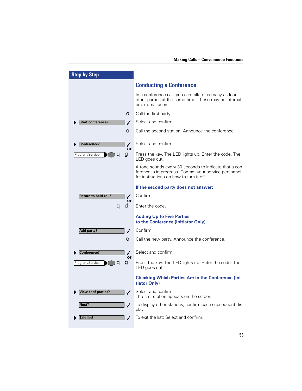| <b>Step by Step</b>                         |                                                                                                                                                             |
|---------------------------------------------|-------------------------------------------------------------------------------------------------------------------------------------------------------------|
|                                             | <b>Conducting a Conference</b>                                                                                                                              |
|                                             | In a conference call, you can talk to as many as four<br>other parties at the same time. These may be internal<br>or external users.                        |
| О                                           | Call the first party.                                                                                                                                       |
| <b>Start conference?</b><br>$\checkmark$    | Select and confirm.                                                                                                                                         |
| О                                           | Call the second station. Announce the conference.                                                                                                           |
| Conference?<br>$\checkmark$<br>or           | Select and confirm.                                                                                                                                         |
| Program/Service<br>q<br>g                   | Press the key. The LED lights up. Enter the code. The<br>LED goes out.                                                                                      |
|                                             | A tone sounds every 30 seconds to indicate that a con-<br>ference is in progress. Contact your service personnel<br>for instructions on how to turn it off. |
|                                             | If the second party does not answer:                                                                                                                        |
| <b>Return to held call?</b><br>$\checkmark$ | Confirm.                                                                                                                                                    |
| or<br>a d                                   | Enter the code.                                                                                                                                             |
|                                             | <b>Adding Up to Five Parties</b><br>to the Conference (Initiator Only)                                                                                      |
| <b>Add party?</b><br>$\checkmark$           | Confirm.                                                                                                                                                    |
| О                                           | Call the new party. Announce the conference.                                                                                                                |
| Conference?<br>$\checkmark$<br>or           | Select and confirm.                                                                                                                                         |
| Program/Service<br>g                        | Press the key. The LED lights up. Enter the code. The<br>LED goes out.                                                                                      |
|                                             | <b>Checking Which Parties Are in the Conference (Ini-</b><br>tiator Only)                                                                                   |
| <b>View conf parties?</b><br>$\checkmark$   | Select and confirm.<br>The first station appears on the screen.                                                                                             |
| Next?<br>$\checkmark$                       | To display other stations, confirm each subsequent dis-<br>play.                                                                                            |
| Exit list?                                  | To exit the list: Select and confirm.                                                                                                                       |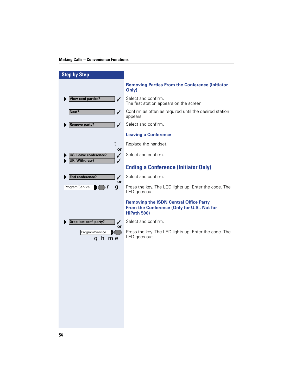I

| <b>Step by Step</b>                                                           |                                                                                                             |
|-------------------------------------------------------------------------------|-------------------------------------------------------------------------------------------------------------|
|                                                                               | <b>Removing Parties From the Conference (Initiator</b><br>Only)                                             |
| <b>View conf parties?</b><br>$\checkmark$                                     | Select and confirm.<br>The first station appears on the screen.                                             |
| Next?<br>$\checkmark$                                                         | Confirm as often as required until the desired station<br>appears.                                          |
| <b>Remove party?</b><br>$\checkmark$                                          | Select and confirm.                                                                                         |
|                                                                               | <b>Leaving a Conference</b>                                                                                 |
| t<br>or                                                                       | Replace the handset.                                                                                        |
| US: Leave conference?<br>$\checkmark$<br><b>UK: Withdraw?</b><br>$\checkmark$ | Select and confirm.                                                                                         |
|                                                                               | <b>Ending a Conference (Initiator Only)</b>                                                                 |
| End conference?<br>$\checkmark$<br>or                                         | Select and confirm.                                                                                         |
| Program/Service<br>g                                                          | Press the key. The LED lights up. Enter the code. The<br>LED goes out.                                      |
|                                                                               | <b>Removing the ISDN Central Office Party</b><br>From the Conference (Only for U.S., Not for<br>HiPath 500) |
| Drop last conf. party?<br>✓                                                   | Select and confirm.                                                                                         |
| or<br>Program/Service<br>qhme                                                 | Press the key. The LED lights up. Enter the code. The<br>LED goes out.                                      |
|                                                                               |                                                                                                             |
|                                                                               |                                                                                                             |
|                                                                               |                                                                                                             |
|                                                                               |                                                                                                             |
|                                                                               |                                                                                                             |
|                                                                               |                                                                                                             |
|                                                                               |                                                                                                             |
|                                                                               |                                                                                                             |
|                                                                               |                                                                                                             |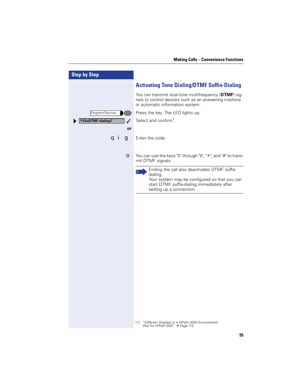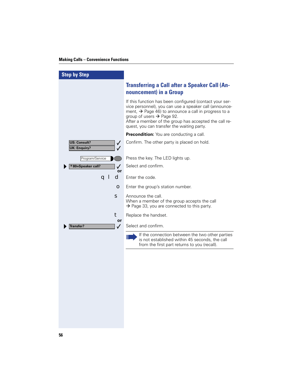| <b>Step by Step</b>                                             |                                                                                                                                                                                                                                                                                                                                       |
|-----------------------------------------------------------------|---------------------------------------------------------------------------------------------------------------------------------------------------------------------------------------------------------------------------------------------------------------------------------------------------------------------------------------|
|                                                                 | <b>Transferring a Call after a Speaker Call (An-</b><br>nouncement) in a Group                                                                                                                                                                                                                                                        |
|                                                                 | If this function has been configured (contact your ser-<br>vice personnel), you can use a speaker call (announce-<br>ment, $\rightarrow$ Page 46) to announce a call in progress to a<br>group of users $\rightarrow$ Page 92.<br>After a member of the group has accepted the call re-<br>quest, you can transfer the waiting party. |
|                                                                 | Precondition: You are conducting a call.                                                                                                                                                                                                                                                                                              |
| <b>US: Consult?</b><br>✓<br><b>UK: Enquiry?</b><br>$\checkmark$ | Confirm. The other party is placed on hold.                                                                                                                                                                                                                                                                                           |
| Program/Service                                                 | Press the key. The LED lights up.                                                                                                                                                                                                                                                                                                     |
| *80=Speaker call?<br>✓<br>or                                    | Select and confirm.                                                                                                                                                                                                                                                                                                                   |
| q l<br>d                                                        | Enter the code.                                                                                                                                                                                                                                                                                                                       |
| $\bullet$                                                       | Enter the group's station number.                                                                                                                                                                                                                                                                                                     |
| S                                                               | Announce the call.<br>When a member of the group accepts the call<br>$\rightarrow$ Page 33, you are connected to this party.                                                                                                                                                                                                          |
| t                                                               | Replace the handset.                                                                                                                                                                                                                                                                                                                  |
| or<br><b>Transfer?</b><br>$\checkmark$                          | Select and confirm.                                                                                                                                                                                                                                                                                                                   |
|                                                                 | If the connection between the two other parties<br>Ш<br>is not established within 45 seconds, the call<br>from the first part returns to you (recall).                                                                                                                                                                                |
|                                                                 |                                                                                                                                                                                                                                                                                                                                       |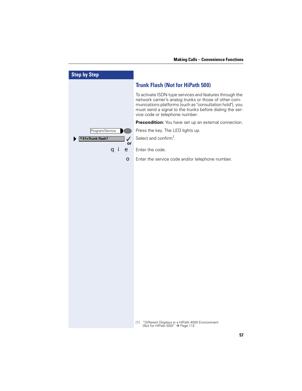| <b>Step by Step</b>         |                                                                                                                                                                                                                                                                             |
|-----------------------------|-----------------------------------------------------------------------------------------------------------------------------------------------------------------------------------------------------------------------------------------------------------------------------|
|                             | <b>Trunk Flash (Not for HiPath 500)</b>                                                                                                                                                                                                                                     |
|                             | To activate ISDN-type services and features through the<br>network carrier's analog trunks or those of other com-<br>munications platforms (such as "consultation hold"), you<br>must send a signal to the trunks before dialing the ser-<br>vice code or telephone number. |
|                             | Precondition: You have set up an external connection.                                                                                                                                                                                                                       |
| Program/Service             | Press the key. The LED lights up.                                                                                                                                                                                                                                           |
| *51=Trunk flash?<br>✓<br>or | Select and confirm <sup>1</sup> .                                                                                                                                                                                                                                           |
| q i<br>e                    | Enter the code.                                                                                                                                                                                                                                                             |
| О                           | Enter the service code and/or telephone number.                                                                                                                                                                                                                             |
|                             |                                                                                                                                                                                                                                                                             |
|                             |                                                                                                                                                                                                                                                                             |
|                             |                                                                                                                                                                                                                                                                             |
|                             |                                                                                                                                                                                                                                                                             |
|                             |                                                                                                                                                                                                                                                                             |
|                             |                                                                                                                                                                                                                                                                             |
|                             |                                                                                                                                                                                                                                                                             |
|                             |                                                                                                                                                                                                                                                                             |
|                             |                                                                                                                                                                                                                                                                             |
|                             |                                                                                                                                                                                                                                                                             |
|                             |                                                                                                                                                                                                                                                                             |
|                             |                                                                                                                                                                                                                                                                             |
|                             |                                                                                                                                                                                                                                                                             |
|                             |                                                                                                                                                                                                                                                                             |
|                             |                                                                                                                                                                                                                                                                             |
|                             | "Different Displays in a HiPath 4000 Environment<br>$[1]$<br>(Not for HiPath 500)" $\rightarrow$ Page 112                                                                                                                                                                   |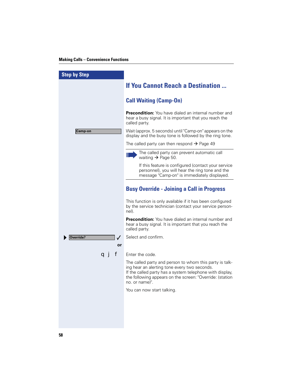| <b>Step by Step</b>                                                                                                                                                                                                                               |  |
|---------------------------------------------------------------------------------------------------------------------------------------------------------------------------------------------------------------------------------------------------|--|
| <b>If You Cannot Reach a Destination </b>                                                                                                                                                                                                         |  |
| <b>Call Waiting (Camp-On)</b>                                                                                                                                                                                                                     |  |
| <b>Precondition:</b> You have dialed an internal number and<br>hear a busy signal. It is important that you reach the<br>called party.                                                                                                            |  |
| Wait (approx. 5 seconds) until "Camp-on" appears on the<br><b>Camp-on</b><br>display and the busy tone is followed by the ring tone.                                                                                                              |  |
| The called party can then respond $\rightarrow$ Page 49                                                                                                                                                                                           |  |
| The called party can prevent automatic call<br>Ш<br>waiting $\rightarrow$ Page 50.                                                                                                                                                                |  |
| If this feature is configured (contact your service<br>personnel), you will hear the ring tone and the<br>message "Camp-on" is immediately displayed.                                                                                             |  |
| <b>Busy Override - Joining a Call in Progress</b>                                                                                                                                                                                                 |  |
| This function is only available if it has been configured<br>by the service technician (contact your service person-<br>nel).                                                                                                                     |  |
| <b>Precondition:</b> You have dialed an internal number and<br>hear a busy signal. It is important that you reach the<br>called party.                                                                                                            |  |
| Select and confirm.<br>Override?<br>✓                                                                                                                                                                                                             |  |
| or                                                                                                                                                                                                                                                |  |
| f<br>Enter the code.<br>a i                                                                                                                                                                                                                       |  |
| The called party and person to whom this party is talk-<br>ing hear an alerting tone every two seconds.<br>If the called party has a system telephone with display,<br>the following appears on the screen: "Override: (station<br>no. or name)". |  |
| You can now start talking.                                                                                                                                                                                                                        |  |
|                                                                                                                                                                                                                                                   |  |
|                                                                                                                                                                                                                                                   |  |
|                                                                                                                                                                                                                                                   |  |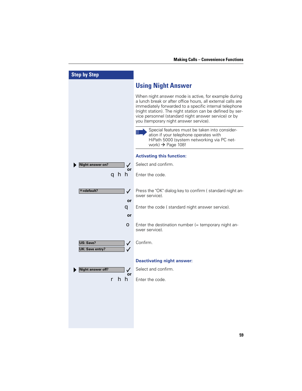| <b>Step by Step</b>                           |                                                                                                                                                                                                                                                                                                                                             |
|-----------------------------------------------|---------------------------------------------------------------------------------------------------------------------------------------------------------------------------------------------------------------------------------------------------------------------------------------------------------------------------------------------|
|                                               | <b>Using Night Answer</b>                                                                                                                                                                                                                                                                                                                   |
|                                               | When night answer mode is active, for example during<br>a lunch break or after office hours, all external calls are<br>immediately forwarded to a specific internal telephone<br>(night station). The night station can be defined by ser-<br>vice personnel (standard night answer service) or by<br>you (temporary night answer service). |
|                                               | Special features must be taken into consider-<br>ation if your telephone operates with<br>HiPath 5000 (system networking via PC net-<br>work) $\rightarrow$ Page 108!                                                                                                                                                                       |
|                                               | <b>Activating this function:</b>                                                                                                                                                                                                                                                                                                            |
| <b>Night answer on?</b><br>✓<br>or            | Select and confirm.                                                                                                                                                                                                                                                                                                                         |
| ahh                                           | Enter the code.                                                                                                                                                                                                                                                                                                                             |
| $* =$ default?<br>$\checkmark$<br>or          | Press the "OK" dialog key to confirm (standard night an-<br>swer service).                                                                                                                                                                                                                                                                  |
| q                                             | Enter the code (standard night answer service).                                                                                                                                                                                                                                                                                             |
| or                                            |                                                                                                                                                                                                                                                                                                                                             |
| $\bullet$                                     | Enter the destination number $($ = temporary night an-<br>swer service).                                                                                                                                                                                                                                                                    |
| US: Save?<br>✓<br><b>UK: Save entry?</b><br>✓ | Confirm.                                                                                                                                                                                                                                                                                                                                    |
|                                               | <b>Deactivating night answer:</b>                                                                                                                                                                                                                                                                                                           |
| <b>Night answer off?</b><br>✓<br>or           | Select and confirm.                                                                                                                                                                                                                                                                                                                         |
| hh                                            | Enter the code.                                                                                                                                                                                                                                                                                                                             |
|                                               |                                                                                                                                                                                                                                                                                                                                             |
|                                               |                                                                                                                                                                                                                                                                                                                                             |
|                                               |                                                                                                                                                                                                                                                                                                                                             |
|                                               |                                                                                                                                                                                                                                                                                                                                             |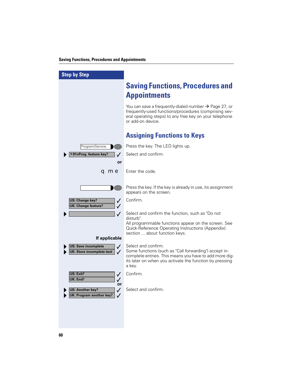| <b>Step by Step</b>                                                                                                                 |                                                                                                                                                                                                             |
|-------------------------------------------------------------------------------------------------------------------------------------|-------------------------------------------------------------------------------------------------------------------------------------------------------------------------------------------------------------|
|                                                                                                                                     | <b>Saving Functions, Procedures and</b><br><b>Appointments</b>                                                                                                                                              |
|                                                                                                                                     | You can save a frequently-dialed number $\rightarrow$ Page 27, or<br>frequently-used functions/procedures (comprising sev-<br>eral operating steps) to any free key on your telephone<br>or add-on device.  |
|                                                                                                                                     | <b>Assigning Functions to Keys</b>                                                                                                                                                                          |
| Program/Service                                                                                                                     | Press the key. The LED lights up.                                                                                                                                                                           |
| *91=Prog. feature key?                                                                                                              | Select and confirm.                                                                                                                                                                                         |
| or                                                                                                                                  |                                                                                                                                                                                                             |
| <b>q me</b>                                                                                                                         | Enter the code.                                                                                                                                                                                             |
|                                                                                                                                     |                                                                                                                                                                                                             |
|                                                                                                                                     | Press the key. If the key is already in use, its assignment<br>appears on the screen.                                                                                                                       |
| US: Change key?<br>$\checkmark$<br><b>UK: Change feature?</b><br>✓                                                                  | Confirm.                                                                                                                                                                                                    |
| $\checkmark$                                                                                                                        | Select and confirm the function, such as "Do not                                                                                                                                                            |
|                                                                                                                                     | disturb".<br>All programmable functions appear on the screen. See<br><b>Quick-Reference Operating Instructions (Appendix):</b><br>section  about function keys.                                             |
| If applicable                                                                                                                       |                                                                                                                                                                                                             |
| <b>US: Save incomplete</b><br>$\checkmark$<br><b>UK: Store incomplete text</b><br>$\checkmark$                                      | Select and confirm.<br>Some functions (such as "Call forwarding") accept in-<br>complete entries. This means you have to add more dig-<br>its later on when you activate the function by pressing<br>a key. |
| US: Exit?<br>$\checkmark$                                                                                                           | Confirm.                                                                                                                                                                                                    |
| <b>UK: End?</b><br>$\checkmark$<br>or<br><b>US: Another key?</b><br>$\checkmark$<br><b>UK: Program another key?</b><br>$\checkmark$ | Select and confirm.                                                                                                                                                                                         |
|                                                                                                                                     |                                                                                                                                                                                                             |
|                                                                                                                                     |                                                                                                                                                                                                             |
|                                                                                                                                     |                                                                                                                                                                                                             |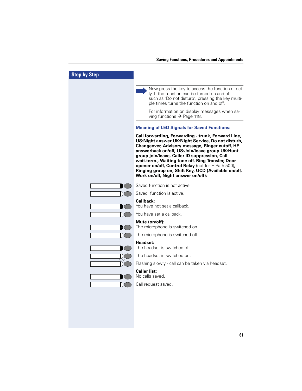| <b>Step by Step</b> |                                                                                                                                                                                                                                                                                                                                                                                                                                                                         |
|---------------------|-------------------------------------------------------------------------------------------------------------------------------------------------------------------------------------------------------------------------------------------------------------------------------------------------------------------------------------------------------------------------------------------------------------------------------------------------------------------------|
|                     | Now press the key to access the function direct-<br>$\blacksquare$<br>ly. If the function can be turned on and off,<br>such as "Do not disturb", pressing the key multi-<br>ple times turns the function on and off.<br>For information on display messages when sa-<br>ving functions $\rightarrow$ Page 118.                                                                                                                                                          |
|                     | <b>Meaning of LED Signals for Saved Functions:</b>                                                                                                                                                                                                                                                                                                                                                                                                                      |
|                     | Call forwarding, Forwarding - trunk, Forward Line,<br>US: Night answer UK: Night Service, Do not disturb,<br>Changeover, Advisory message, Ringer cutoff, HF<br>answerback on/off, US:Join/leave group UK:Hunt<br>group join/leave, Caller ID suppression, Call<br>wait.term., Waiting tone off, Ring Transfer, Door<br>opener on/off, Control Relay (not for HiPath 500),<br>Ringing group on, Shift Key, UCD (Available on/off,<br>Work on/off, Night answer on/off): |
|                     | Saved function is not active.                                                                                                                                                                                                                                                                                                                                                                                                                                           |
|                     | Saved function is active.                                                                                                                                                                                                                                                                                                                                                                                                                                               |
|                     | Callback:<br>You have not set a callback.                                                                                                                                                                                                                                                                                                                                                                                                                               |
|                     | You have set a callback.                                                                                                                                                                                                                                                                                                                                                                                                                                                |
|                     | Mute (on/off):<br>The microphone is switched on.                                                                                                                                                                                                                                                                                                                                                                                                                        |
|                     | The microphone is switched off.                                                                                                                                                                                                                                                                                                                                                                                                                                         |
|                     | Headset:<br>The headset is switched off.                                                                                                                                                                                                                                                                                                                                                                                                                                |
|                     | The headset is switched on.                                                                                                                                                                                                                                                                                                                                                                                                                                             |
|                     | Flashing slowly - call can be taken via headset.                                                                                                                                                                                                                                                                                                                                                                                                                        |
|                     | <b>Caller list:</b><br>No calls saved.                                                                                                                                                                                                                                                                                                                                                                                                                                  |
|                     | Call request saved.                                                                                                                                                                                                                                                                                                                                                                                                                                                     |
|                     |                                                                                                                                                                                                                                                                                                                                                                                                                                                                         |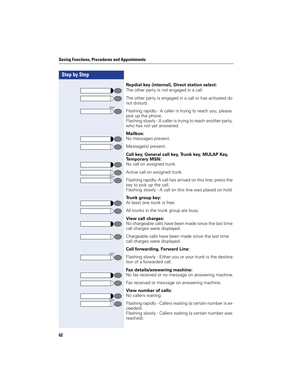| <b>Step by Step</b> |                                                                                                                                                                               |
|---------------------|-------------------------------------------------------------------------------------------------------------------------------------------------------------------------------|
|                     | Repdial key (internal), Direct station select:<br>The other party is not engaged in a call.                                                                                   |
|                     | The other party is engaged in a call or has activated do<br>not disturb.                                                                                                      |
| ハレ                  | Flashing rapidly - A caller is trying to reach you, please<br>pick up the phone.<br>Flashing slowly - A caller is trying to reach another party,<br>who has not yet answered. |
|                     | <b>Mailbox:</b><br>No messages present.                                                                                                                                       |
|                     | Message(s) present.                                                                                                                                                           |
|                     | Call key, General call key, Trunk key, MULAP Key,<br><b>Temporary MSN:</b><br>No call on assigned trunk.                                                                      |
|                     | Active call on assigned trunk.                                                                                                                                                |
|                     | Flashing rapidly- A call has arrived on this line; press the<br>key to pick up the call.<br>Flashing slowly - A call on this line was placed on hold.                         |
|                     | Trunk group key:<br>At least one trunk is free.                                                                                                                               |
|                     | All trunks in the trunk group are busy.                                                                                                                                       |
|                     | View call charges:<br>No chargeable calls have been made since the last time<br>call charges were displayed.                                                                  |
|                     | Chargeable calls have been made since the last time<br>call charges were displayed.                                                                                           |
|                     | <b>Call forwarding, Forward Line:</b>                                                                                                                                         |
|                     | Flashing slowly - Either you or your trunk is the destina-<br>tion of a forwarded call.                                                                                       |
|                     | Fax details/answering machine:<br>No fax received or no message on answering machine.                                                                                         |
|                     | Fax received or message on answering machine.                                                                                                                                 |
|                     | <b>View number of calls:</b><br>No callers waiting.                                                                                                                           |
|                     | Flashing rapidly - Callers waiting (a certain number is ex-<br>ceeded).<br>Flashing slowly - Callers waiting (a certain number was<br>reached).                               |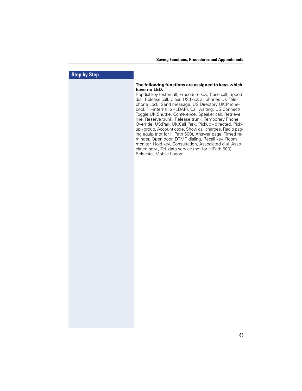# **Step by Step**

#### **The following functions are assigned to keys which have no LED:**

Repdial key (external), Procedure key, Trace call, Speeddial, Release call, Clear, US:Lock all phones UK:Telephone Lock, Send message, US:Directory UK:Phonebook (1=internal, 2=LDAP), Call waiting, US:Connect/ Toggle UK:Shuttle, Conference, Speaker call, Retrieve line, Reserve trunk, Release trunk, Temporary Phone, Override, US:Park UK:Call Park, Pickup - directed, Pickup - group, Account code, Show call charges, Radio paging equip (not for HiPath 500), Answer page, Timed reminder, Open door, DTMF dialing, Recall key, Room monitor, Hold key, Consultation, Associated dial, Associated serv., Tel. data service (not for HiPath 500), Relocate, Mobile Logon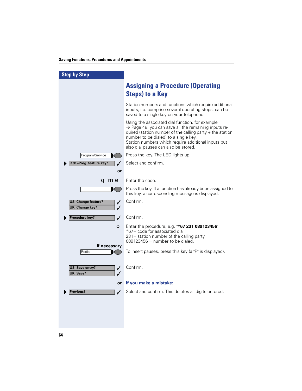| <b>Step by Step</b>                                                       |                                                                                                                                                                                                                                                                                                                          |
|---------------------------------------------------------------------------|--------------------------------------------------------------------------------------------------------------------------------------------------------------------------------------------------------------------------------------------------------------------------------------------------------------------------|
|                                                                           | <b>Assigning a Procedure (Operating</b><br><b>Steps) to a Key</b>                                                                                                                                                                                                                                                        |
|                                                                           | Station numbers and functions which require additional<br>inputs, i.e. comprise several operating steps, can be<br>saved to a single key on your telephone.                                                                                                                                                              |
|                                                                           | Using the associated dial function, for example<br>$\rightarrow$ Page 48, you can save all the remaining inputs re-<br>quired (station number of the calling party + the station<br>number to be dialed) to a single key.<br>Station numbers which require additional inputs but<br>also dial pauses can also be stored. |
| Program/Service                                                           | Press the key. The LED lights up.                                                                                                                                                                                                                                                                                        |
| *91=Prog. feature key?                                                    | Select and confirm.                                                                                                                                                                                                                                                                                                      |
| or                                                                        |                                                                                                                                                                                                                                                                                                                          |
| <b>a me</b>                                                               | Enter the code.                                                                                                                                                                                                                                                                                                          |
|                                                                           | Press the key. If a function has already been assigned to<br>this key, a corresponding message is displayed.                                                                                                                                                                                                             |
| <b>US: Change feature?</b><br>✓<br><b>UK: Change key?</b><br>$\checkmark$ | Confirm.                                                                                                                                                                                                                                                                                                                 |
| Procedure key?<br>✓                                                       | Confirm.                                                                                                                                                                                                                                                                                                                 |
| O                                                                         | Enter the procedure, e.g. "*67 231 089123456".<br>*67 = code for associated dial<br>231 = station number of the calling party<br>$089123456$ = number to be dialed.                                                                                                                                                      |
| If necessary<br>Redial                                                    | To insert pauses, press this key (a "P" is displayed).                                                                                                                                                                                                                                                                   |
| US: Save entry?<br>✓<br>UK: Save?                                         | Confirm.                                                                                                                                                                                                                                                                                                                 |
| <b>or</b>                                                                 | If you make a mistake:                                                                                                                                                                                                                                                                                                   |
| Previous?<br>✓                                                            | Select and confirm. This deletes all digits entered.                                                                                                                                                                                                                                                                     |
|                                                                           |                                                                                                                                                                                                                                                                                                                          |
|                                                                           |                                                                                                                                                                                                                                                                                                                          |
|                                                                           |                                                                                                                                                                                                                                                                                                                          |
|                                                                           |                                                                                                                                                                                                                                                                                                                          |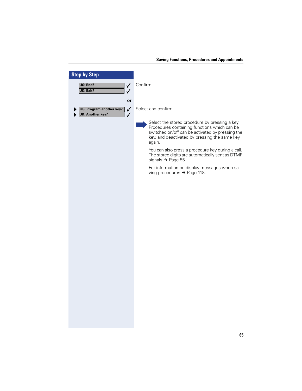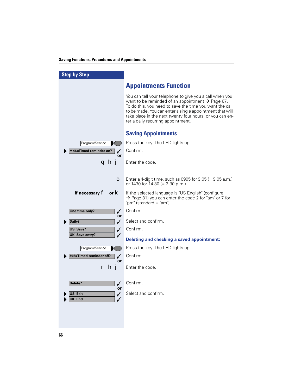| <b>Step by Step</b>                           |                                                                                                                                                                                                                                                                                                                                                  |
|-----------------------------------------------|--------------------------------------------------------------------------------------------------------------------------------------------------------------------------------------------------------------------------------------------------------------------------------------------------------------------------------------------------|
|                                               | <b>Appointments Function</b>                                                                                                                                                                                                                                                                                                                     |
|                                               | You can tell your telephone to give you a call when you<br>want to be reminded of an appointment $\rightarrow$ Page 67.<br>To do this, you need to save the time you want the call<br>to be made. You can enter a single appointment that will<br>take place in the next twenty four hours, or you can en-<br>ter a daily recurring appointment. |
|                                               | <b>Saving Appointments</b>                                                                                                                                                                                                                                                                                                                       |
| Program/Service                               | Press the key. The LED lights up.                                                                                                                                                                                                                                                                                                                |
| *46=Timed reminder on?<br>$\checkmark$<br>or  | Confirm.                                                                                                                                                                                                                                                                                                                                         |
| ahj                                           | Enter the code.                                                                                                                                                                                                                                                                                                                                  |
|                                               |                                                                                                                                                                                                                                                                                                                                                  |
| О                                             | Enter a 4-digit time, such as 0905 for $9:05 (= 9.05 a.m.)$<br>or 1430 for 14.30 (= $2.30$ p.m.).                                                                                                                                                                                                                                                |
| If necessary $f$ or $k$                       | If the selected language is "US English" (configure<br>→ Page 31) you can enter the code 2 for "am" or 7 for<br>"pm" (standard = "am").                                                                                                                                                                                                          |
| One time only?<br>$\checkmark$                | Confirm.                                                                                                                                                                                                                                                                                                                                         |
| or<br>Daily?<br>$\checkmark$                  | Select and confirm.                                                                                                                                                                                                                                                                                                                              |
| <b>US: Save?</b><br>$\checkmark$              | Confirm.                                                                                                                                                                                                                                                                                                                                         |
| <b>UK: Save entry?</b>                        | <b>Deleting and checking a saved appointment:</b>                                                                                                                                                                                                                                                                                                |
| Program/Service                               | Press the key. The LED lights up.                                                                                                                                                                                                                                                                                                                |
| #46=Timed reminder off?<br>$\checkmark$<br>or | Confirm.                                                                                                                                                                                                                                                                                                                                         |
| r hj                                          | Enter the code.                                                                                                                                                                                                                                                                                                                                  |
| Delete?<br>$\checkmark$<br>or                 | Confirm.                                                                                                                                                                                                                                                                                                                                         |
| US: Exit<br>$\checkmark$<br>K: End            | Select and confirm.                                                                                                                                                                                                                                                                                                                              |
|                                               |                                                                                                                                                                                                                                                                                                                                                  |
|                                               |                                                                                                                                                                                                                                                                                                                                                  |
|                                               |                                                                                                                                                                                                                                                                                                                                                  |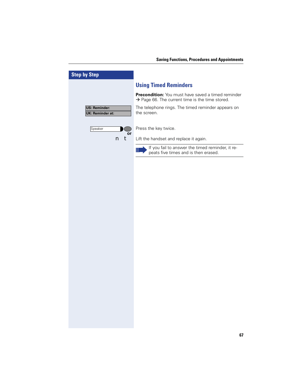| <b>Step by Step</b>                             |                                                                                                                   |
|-------------------------------------------------|-------------------------------------------------------------------------------------------------------------------|
|                                                 | <b>Using Timed Reminders</b>                                                                                      |
|                                                 | Precondition: You must have saved a timed reminder<br>$\rightarrow$ Page 66. The current time is the time stored. |
| <b>US: Reminder:</b><br><b>UK: Reminder at:</b> | The telephone rings. The timed reminder appears on<br>the screen.                                                 |
| Speaker<br>or                                   | Press the key twice.                                                                                              |
| t<br>n                                          | Lift the handset and replace it again.                                                                            |
|                                                 | If you fail to answer the timed reminder, it re-<br>Ш<br>peats five times and is then erased.                     |
|                                                 |                                                                                                                   |
|                                                 |                                                                                                                   |
|                                                 |                                                                                                                   |
|                                                 |                                                                                                                   |
|                                                 |                                                                                                                   |
|                                                 |                                                                                                                   |
|                                                 |                                                                                                                   |
|                                                 |                                                                                                                   |
|                                                 |                                                                                                                   |
|                                                 |                                                                                                                   |
|                                                 |                                                                                                                   |
|                                                 |                                                                                                                   |
|                                                 |                                                                                                                   |
|                                                 |                                                                                                                   |
|                                                 |                                                                                                                   |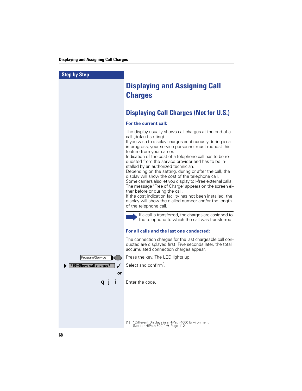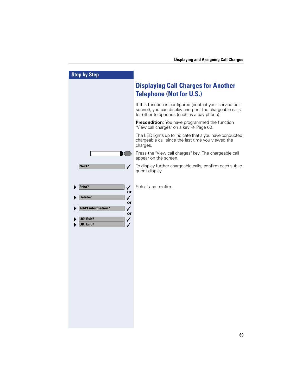| <b>Step by Step</b>                                                                                                                             |                                                                                                                                                                     |
|-------------------------------------------------------------------------------------------------------------------------------------------------|---------------------------------------------------------------------------------------------------------------------------------------------------------------------|
|                                                                                                                                                 | <b>Displaying Call Charges for Another</b><br><b>Telephone (Not for U.S.)</b>                                                                                       |
|                                                                                                                                                 | If this function is configured (contact your service per-<br>sonnel), you can display and print the chargeable calls<br>for other telephones (such as a pay phone). |
|                                                                                                                                                 | Precondition: You have programmed the function<br>"View call charges" on a key $\rightarrow$ Page 60.                                                               |
|                                                                                                                                                 | The LED lights up to indicate that a you have conducted<br>chargeable call since the last time you viewed the<br>charges.                                           |
|                                                                                                                                                 | Press the "View call charges" key. The chargeable call<br>appear on the screen.                                                                                     |
| Next?<br>✓                                                                                                                                      | To display further chargeable calls, confirm each subse-<br>quent display.                                                                                          |
| Print?<br>$\checkmark$<br>or<br>Delete?<br>$\checkmark$<br>or<br><b>Add'I information?</b><br>✓<br>or<br>US: Exit?<br>✓<br><b>JK: End?</b><br>✓ | Select and confirm.                                                                                                                                                 |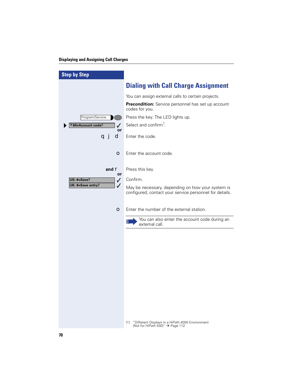## **Displaying and Assigning Call Charges**

| <b>Step by Step</b>         |                                                                                                                       |
|-----------------------------|-----------------------------------------------------------------------------------------------------------------------|
|                             | <b>Dialing with Call Charge Assignment</b>                                                                            |
|                             | You can assign external calls to certain projects.                                                                    |
|                             | Precondition: Service personnel has set up account<br>codes for you.                                                  |
| Program/Service             | Press the key. The LED lights up.                                                                                     |
| *60=Account code?<br>✓      | Select and confirm <sup>1</sup> .                                                                                     |
| or<br>d<br>qj               | Enter the code.                                                                                                       |
| О                           | Enter the account code.                                                                                               |
| and $\mathbf{r}$<br>or      | Press this key.                                                                                                       |
| US: #=Save?<br>$\checkmark$ | Confirm.                                                                                                              |
| UK: #=Save entry?<br>✓      | May be necessary, depending on how your system is<br>configured; contact your service personnel for details.          |
| О                           | Enter the number of the external station.                                                                             |
|                             | You can also enter the account code during an<br>Ш<br>external call.                                                  |
|                             |                                                                                                                       |
|                             |                                                                                                                       |
|                             |                                                                                                                       |
|                             |                                                                                                                       |
|                             |                                                                                                                       |
|                             |                                                                                                                       |
|                             |                                                                                                                       |
|                             | "Different Displays in a HiPath 4000 Environment<br>$\lceil 1 \rceil$<br>(Not for HiPath 500)" $\rightarrow$ Page 112 |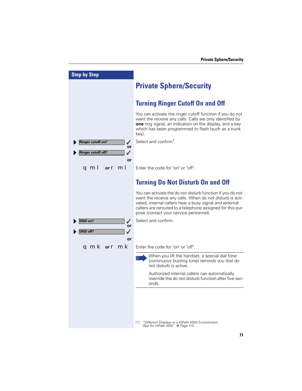| <b>Step by Step</b>           |                                                                                                                                                                                                                                                                                           |
|-------------------------------|-------------------------------------------------------------------------------------------------------------------------------------------------------------------------------------------------------------------------------------------------------------------------------------------|
|                               | <b>Private Sphere/Security</b>                                                                                                                                                                                                                                                            |
|                               | <b>Turning Ringer Cutoff On and Off</b>                                                                                                                                                                                                                                                   |
|                               | You can activate the ringer cutoff function if you do not<br>want the receive any calls. Calls are only identified by<br><b>one</b> ring signal, an indication on the display, and a key<br>which has been programmed to flash (such as a trunk<br>key).                                  |
| <b>Ringer cutoff on?</b><br>✓ | Select and confirm <sup>1</sup> .                                                                                                                                                                                                                                                         |
| or<br>Ringer cutoff off?      |                                                                                                                                                                                                                                                                                           |
|                               |                                                                                                                                                                                                                                                                                           |
| or                            | Enter the code for "on" or "off".                                                                                                                                                                                                                                                         |
| or $r$ ml<br>q mi             |                                                                                                                                                                                                                                                                                           |
|                               |                                                                                                                                                                                                                                                                                           |
|                               | <b>Turning Do Not Disturb On and Off</b>                                                                                                                                                                                                                                                  |
|                               | You can activate the do not disturb function if you do not<br>want the receive any calls. When do not disturb is acti-<br>vated, internal callers hear a busy signal and external<br>callers are rerouted to a telephone assigned for this pur-<br>pose (contact your service personnel). |
| DND on?<br>✓                  | Select and confirm.                                                                                                                                                                                                                                                                       |
| or<br>ND off?<br>$\checkmark$ |                                                                                                                                                                                                                                                                                           |
| or                            |                                                                                                                                                                                                                                                                                           |
| <b>qmk</b> or <b>r mk</b>     | Enter the code for "on" or "off".                                                                                                                                                                                                                                                         |
|                               |                                                                                                                                                                                                                                                                                           |
|                               | When you lift the handset, a special dial tone<br>Ш<br>(continuous buzzing tone) reminds you that do<br>not disturb is active.                                                                                                                                                            |
|                               | Authorized internal callers can automatically<br>override the do not disturb function after five sec-<br>onds.                                                                                                                                                                            |
|                               |                                                                                                                                                                                                                                                                                           |
|                               |                                                                                                                                                                                                                                                                                           |
|                               |                                                                                                                                                                                                                                                                                           |
|                               | "Different Displays in a HiPath 4000 Environment<br>$\lceil 1 \rceil$<br>(Not for HiPath 500)" $\rightarrow$ Page 112                                                                                                                                                                     |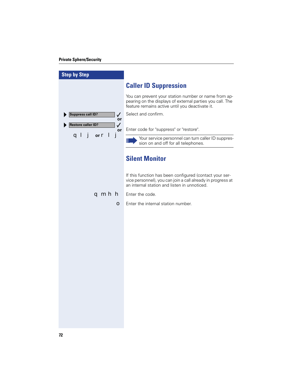## **Private Sphere/Security**

| <b>Step by Step</b>                             |                                                                                                                                                                        |
|-------------------------------------------------|------------------------------------------------------------------------------------------------------------------------------------------------------------------------|
|                                                 | <b>Caller ID Suppression</b>                                                                                                                                           |
|                                                 | You can prevent your station number or name from ap-<br>pearing on the displays of external parties you call. The<br>feature remains active until you deactivate it.   |
| <b>Suppress call ID?</b><br>$\checkmark$<br>or  | Select and confirm.                                                                                                                                                    |
| <b>Restore caller ID?</b><br>$\checkmark$<br>or | Enter code for "suppress" or "restore".                                                                                                                                |
| ql j<br>Ĵ<br>or $\mathbf{r}$ $\mathbf{I}$       | Your service personnel can turn caller ID suppres-<br>Ш<br>sion on and off for all telephones.                                                                         |
|                                                 | <b>Silent Monitor</b>                                                                                                                                                  |
|                                                 | If this function has been configured (contact your ser-<br>vice personnel), you can join a call already in progress at<br>an internal station and listen in unnoticed. |
| qmhh                                            | Enter the code.                                                                                                                                                        |
| О                                               | Enter the internal station number.                                                                                                                                     |
|                                                 |                                                                                                                                                                        |
|                                                 |                                                                                                                                                                        |
|                                                 |                                                                                                                                                                        |
|                                                 |                                                                                                                                                                        |
|                                                 |                                                                                                                                                                        |
|                                                 |                                                                                                                                                                        |
|                                                 |                                                                                                                                                                        |
|                                                 |                                                                                                                                                                        |
|                                                 |                                                                                                                                                                        |
|                                                 |                                                                                                                                                                        |
|                                                 |                                                                                                                                                                        |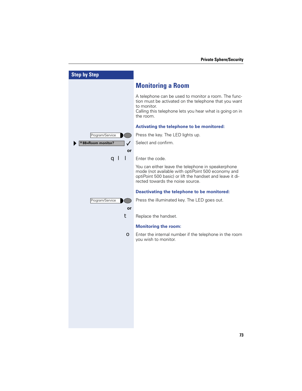| <b>Step by Step</b>    |                                                                                                                                                                                                           |
|------------------------|-----------------------------------------------------------------------------------------------------------------------------------------------------------------------------------------------------------|
|                        | <b>Monitoring a Room</b>                                                                                                                                                                                  |
|                        | A telephone can be used to monitor a room. The func-<br>tion must be activated on the telephone that you want<br>to monitor.<br>Calling this telephone lets you hear what is going on in<br>the room.     |
|                        | Activating the telephone to be monitored:                                                                                                                                                                 |
| Program/Service        | Press the key. The LED lights up.                                                                                                                                                                         |
| *88=Room monitor?<br>✓ | Select and confirm.                                                                                                                                                                                       |
| or                     |                                                                                                                                                                                                           |
| a I                    | Enter the code.                                                                                                                                                                                           |
|                        | You can either leave the telephone in speakerphone<br>mode (not available with optiPoint 500 economy and<br>optiPoint 500 basic) or lift the handset and leave it di-<br>rected towards the noise source. |
|                        | Deactivating the telephone to be monitored:                                                                                                                                                               |
| Program/Service        | Press the illuminated key. The LED goes out.                                                                                                                                                              |
| or                     |                                                                                                                                                                                                           |
| t                      | Replace the handset.                                                                                                                                                                                      |
|                        | <b>Monitoring the room:</b>                                                                                                                                                                               |
| О                      | Enter the internal number if the telephone in the room<br>you wish to monitor.                                                                                                                            |
|                        |                                                                                                                                                                                                           |
|                        |                                                                                                                                                                                                           |
|                        |                                                                                                                                                                                                           |
|                        |                                                                                                                                                                                                           |
|                        |                                                                                                                                                                                                           |
|                        |                                                                                                                                                                                                           |
|                        |                                                                                                                                                                                                           |
|                        |                                                                                                                                                                                                           |
|                        |                                                                                                                                                                                                           |
|                        |                                                                                                                                                                                                           |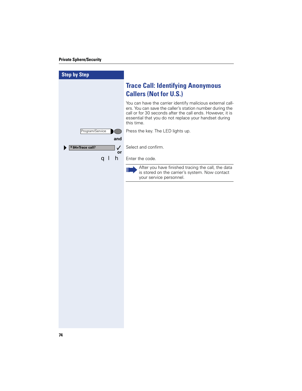## **Private Sphere/Security**

| <b>Step by Step</b>                 |                                                                                                                                                                                                                                                             |
|-------------------------------------|-------------------------------------------------------------------------------------------------------------------------------------------------------------------------------------------------------------------------------------------------------------|
|                                     | <b>Trace Call: Identifying Anonymous</b><br><b>Callers (Not for U.S.)</b>                                                                                                                                                                                   |
|                                     | You can have the carrier identify malicious external call-<br>ers. You can save the caller's station number during the<br>call or for 30 seconds after the call ends. However, it is<br>essential that you do not replace your handset during<br>this time. |
| Program/Service<br>and              | Press the key. The LED lights up.                                                                                                                                                                                                                           |
| *84=Trace call?<br>$\sqrt{2}$<br>or | Select and confirm.                                                                                                                                                                                                                                         |
| h<br>a l                            | Enter the code.                                                                                                                                                                                                                                             |
|                                     | After you have finished tracing the call, the data<br>Ш<br>is stored on the carrier's system. Now contact<br>your service personnel.                                                                                                                        |
|                                     |                                                                                                                                                                                                                                                             |
|                                     |                                                                                                                                                                                                                                                             |
|                                     |                                                                                                                                                                                                                                                             |
|                                     |                                                                                                                                                                                                                                                             |
|                                     |                                                                                                                                                                                                                                                             |
|                                     |                                                                                                                                                                                                                                                             |
|                                     |                                                                                                                                                                                                                                                             |
|                                     |                                                                                                                                                                                                                                                             |
|                                     |                                                                                                                                                                                                                                                             |
|                                     |                                                                                                                                                                                                                                                             |
|                                     |                                                                                                                                                                                                                                                             |
|                                     |                                                                                                                                                                                                                                                             |
|                                     |                                                                                                                                                                                                                                                             |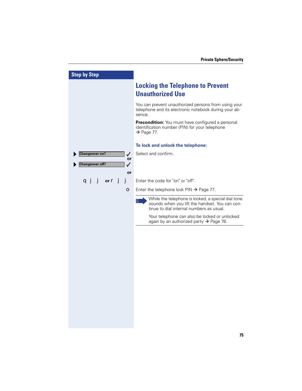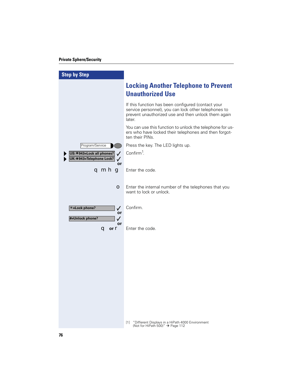## **Private Sphere/Security**

| <b>Step by Step</b>                                           |                                                                                                                                                                             |
|---------------------------------------------------------------|-----------------------------------------------------------------------------------------------------------------------------------------------------------------------------|
|                                                               | <b>Locking Another Telephone to Prevent</b><br><b>Unauthorized Use</b>                                                                                                      |
|                                                               | If this function has been configured (contact your<br>service personnel), you can lock other telephones to<br>prevent unauthorized use and then unlock them again<br>later. |
|                                                               | You can use this function to unlock the telephone for us-<br>ers who have locked their telephones and then forgot-<br>ten their PINs.                                       |
| Program/Service                                               | Press the key. The LED lights up.                                                                                                                                           |
| US: * 943=Lock all phones?<br>UK: * 943=Telephone Lock?<br>or | Confirm <sup>1</sup> .                                                                                                                                                      |
| qmhg                                                          | Enter the code.                                                                                                                                                             |
| О                                                             | Enter the internal number of the telephones that you<br>want to lock or unlock.                                                                                             |
| $* =$ Lock phone?<br>$\checkmark$<br>or<br>#=Unlock phone?    | Confirm.                                                                                                                                                                    |
| or<br>$\mathbf q$ or $\mathbf r$                              | Enter the code.                                                                                                                                                             |
|                                                               |                                                                                                                                                                             |
|                                                               |                                                                                                                                                                             |
|                                                               |                                                                                                                                                                             |
|                                                               |                                                                                                                                                                             |
|                                                               |                                                                                                                                                                             |
|                                                               | "Different Displays in a HiPath 4000 Environment<br>$[1]$<br>(Not for HiPath 500)" $\rightarrow$ Page 112                                                                   |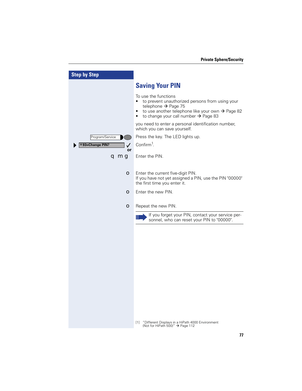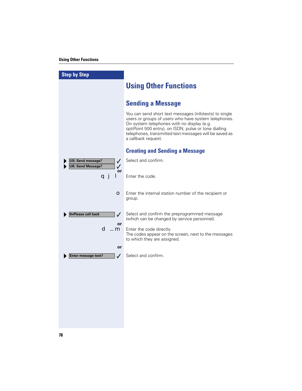| <b>Step by Step</b>                                    |                                                                                                                                                                                                                                                                                                        |
|--------------------------------------------------------|--------------------------------------------------------------------------------------------------------------------------------------------------------------------------------------------------------------------------------------------------------------------------------------------------------|
|                                                        | <b>Using Other Functions</b>                                                                                                                                                                                                                                                                           |
|                                                        | <b>Sending a Message</b>                                                                                                                                                                                                                                                                               |
|                                                        | You can send short text messages (infotexts) to single<br>users or groups of users who have system telephones.<br>On system telephones with no display (e.g.<br>optiPoint 500 entry), on ISDN, pulse or tone dialling<br>telephones, transmitted text messages will be saved as<br>a callback request. |
|                                                        | <b>Creating and Sending a Message</b>                                                                                                                                                                                                                                                                  |
| US: Send message?<br>$\checkmark$<br>JK: Send Message? | Select and confirm.                                                                                                                                                                                                                                                                                    |
| ✓<br>or<br>a j                                         | Enter the code.                                                                                                                                                                                                                                                                                        |
| $\bullet$                                              | Enter the internal station number of the recipient or<br>group.                                                                                                                                                                                                                                        |
| 0=Please call back<br>$\checkmark$                     | Select and confirm the preprogrammed message<br>(which can be changed by service personnel).                                                                                                                                                                                                           |
| or<br>d …m                                             | Enter the code directly.<br>The codes appear on the screen, next to the messages<br>to which they are assigned.                                                                                                                                                                                        |
| or                                                     |                                                                                                                                                                                                                                                                                                        |
| Enter message text?<br>$\checkmark$                    | Select and confirm.                                                                                                                                                                                                                                                                                    |
|                                                        |                                                                                                                                                                                                                                                                                                        |
|                                                        |                                                                                                                                                                                                                                                                                                        |
|                                                        |                                                                                                                                                                                                                                                                                                        |
|                                                        |                                                                                                                                                                                                                                                                                                        |
|                                                        |                                                                                                                                                                                                                                                                                                        |
|                                                        |                                                                                                                                                                                                                                                                                                        |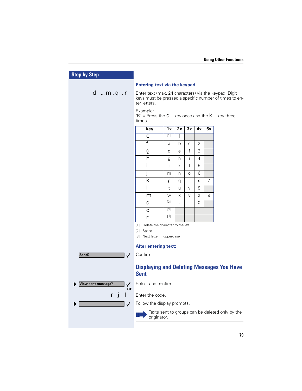| <b>Step by Step</b>                             |                                                                                                                                 |                 |                      |                |    |    |                                                 |
|-------------------------------------------------|---------------------------------------------------------------------------------------------------------------------------------|-----------------|----------------------|----------------|----|----|-------------------------------------------------|
|                                                 | <b>Entering text via the keypad</b>                                                                                             |                 |                      |                |    |    |                                                 |
| d  m, q, r                                      | Enter text (max. 24 characters) via the keypad. Digit<br>keys must be pressed a specific number of times to en-<br>ter letters. |                 |                      |                |    |    |                                                 |
|                                                 | Example:<br>"R" = Press the $\blacksquare$ key once and the $\blacksquare$ key three<br>times.                                  |                 |                      |                |    |    |                                                 |
|                                                 | key                                                                                                                             | 1x              | 2x                   | 3x             | 4x | 5x |                                                 |
|                                                 | e                                                                                                                               | $\overline{11}$ | 1                    |                |    |    |                                                 |
|                                                 | f                                                                                                                               | a               | b                    | C              | 2  |    |                                                 |
|                                                 | g                                                                                                                               | d               | e                    | $\mathsf{f}$   | 3  |    |                                                 |
|                                                 | h                                                                                                                               | g               | h                    | i.             | 4  |    |                                                 |
|                                                 | i                                                                                                                               | İ               | k                    | $\mathsf{L}$   | 5  |    |                                                 |
|                                                 | j                                                                                                                               | m               | n.                   | $\circ$        | 6  |    |                                                 |
|                                                 | k                                                                                                                               | р               | q                    | r              | S  | 7  |                                                 |
|                                                 | н                                                                                                                               | t               | u                    | $\vee$         | 8  |    |                                                 |
|                                                 | m                                                                                                                               | W               | X                    | У              | Z  | 9  |                                                 |
|                                                 | d                                                                                                                               | $[2]$           | $\ddot{\phantom{a}}$ | $\overline{a}$ | 0  |    |                                                 |
|                                                 | q                                                                                                                               | $\boxed{3}$     |                      |                |    |    |                                                 |
|                                                 | r                                                                                                                               | $[1]$           |                      |                |    |    |                                                 |
|                                                 | [1] Delete the character to the left<br>[2] Space                                                                               |                 |                      |                |    |    |                                                 |
|                                                 | [3] Next letter in upper-case                                                                                                   |                 |                      |                |    |    |                                                 |
|                                                 | After entering text:                                                                                                            |                 |                      |                |    |    |                                                 |
|                                                 | Confirm.                                                                                                                        |                 |                      |                |    |    |                                                 |
| Send?<br>$\checkmark$                           |                                                                                                                                 |                 |                      |                |    |    |                                                 |
|                                                 | <b>Displaying and Deleting Messages You Have</b><br><b>Sent</b>                                                                 |                 |                      |                |    |    |                                                 |
| <b>View sent message?</b><br>$\checkmark$<br>or | Select and confirm.                                                                                                             |                 |                      |                |    |    |                                                 |
| ı<br>r j                                        | Enter the code.                                                                                                                 |                 |                      |                |    |    |                                                 |
| $\checkmark$                                    | Follow the display prompts.                                                                                                     |                 |                      |                |    |    |                                                 |
|                                                 |                                                                                                                                 |                 |                      |                |    |    | Texts sent to groups can be deleted only by the |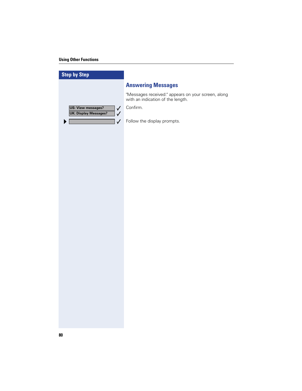## **Using Other Functions**

| <b>Step by Step</b>                                                       |                                                                                         |
|---------------------------------------------------------------------------|-----------------------------------------------------------------------------------------|
|                                                                           | <b>Answering Messages</b>                                                               |
|                                                                           | "Messages received:" appears on your screen, along<br>with an indication of the length. |
| <b>US: View messages?</b><br>$\checkmark$<br><b>UK: Display Messages?</b> | Confirm.                                                                                |
| $\checkmark$<br>$\checkmark$<br>▶                                         | Follow the display prompts.                                                             |
|                                                                           |                                                                                         |
|                                                                           |                                                                                         |
|                                                                           |                                                                                         |
|                                                                           |                                                                                         |
|                                                                           |                                                                                         |
|                                                                           |                                                                                         |
|                                                                           |                                                                                         |
|                                                                           |                                                                                         |
|                                                                           |                                                                                         |
|                                                                           |                                                                                         |
|                                                                           |                                                                                         |
|                                                                           |                                                                                         |
|                                                                           |                                                                                         |
|                                                                           |                                                                                         |
|                                                                           |                                                                                         |
|                                                                           |                                                                                         |
|                                                                           |                                                                                         |
|                                                                           |                                                                                         |
|                                                                           |                                                                                         |
|                                                                           |                                                                                         |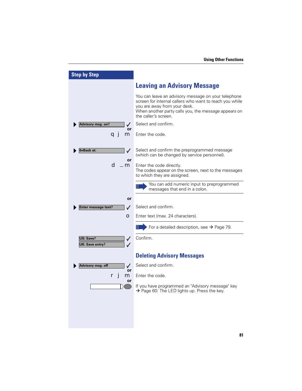| <b>Step by Step</b>                                      |                                                                                                                                                                                                                                |
|----------------------------------------------------------|--------------------------------------------------------------------------------------------------------------------------------------------------------------------------------------------------------------------------------|
|                                                          | <b>Leaving an Advisory Message</b>                                                                                                                                                                                             |
|                                                          | You can leave an advisory message on your telephone<br>screen for internal callers who want to reach you while<br>you are away from your desk.<br>When another party calls you, the message appears on<br>the caller's screen. |
| Advisory msg. on?<br>or                                  | Select and confirm.                                                                                                                                                                                                            |
| m<br>a j                                                 | Enter the code.                                                                                                                                                                                                                |
| 0=Back at:<br>✓                                          | Select and confirm the preprogrammed message<br>(which can be changed by service personnel).                                                                                                                                   |
| or<br>d …m                                               | Enter the code directly.<br>The codes appear on the screen, next to the messages<br>to which they are assigned.                                                                                                                |
|                                                          | You can add numeric input to preprogrammed<br>messages that end in a colon.                                                                                                                                                    |
| or                                                       |                                                                                                                                                                                                                                |
| <b>Enter message text?</b><br>$\boldsymbol{I}$           | Select and confirm.                                                                                                                                                                                                            |
| О                                                        | Enter text (max. 24 characters).                                                                                                                                                                                               |
|                                                          | For a detailed description, see $\rightarrow$ Page 79.                                                                                                                                                                         |
| US: Save?<br>$\checkmark$<br><b>UK: Save entry?</b><br>✓ | Confirm.                                                                                                                                                                                                                       |
|                                                          | <b>Deleting Advisory Messages</b>                                                                                                                                                                                              |
| Advisory msg. off<br>✓                                   | Select and confirm.                                                                                                                                                                                                            |
| or<br>m                                                  | Enter the code.                                                                                                                                                                                                                |
| or                                                       | If you have programmed an "Advisory message" key<br>$\rightarrow$ Page 60: The LED lights up. Press the key.                                                                                                                   |
|                                                          |                                                                                                                                                                                                                                |
|                                                          |                                                                                                                                                                                                                                |
|                                                          |                                                                                                                                                                                                                                |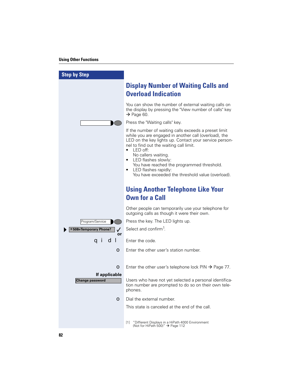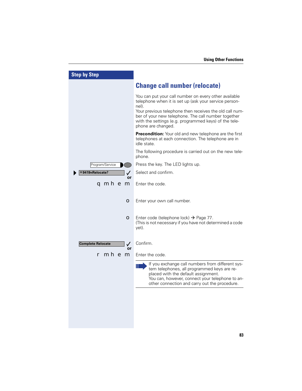| <b>Step by Step</b>                            |                                                                                                                                                                                                                                                                                                                          |
|------------------------------------------------|--------------------------------------------------------------------------------------------------------------------------------------------------------------------------------------------------------------------------------------------------------------------------------------------------------------------------|
|                                                | <b>Change call number (relocate)</b>                                                                                                                                                                                                                                                                                     |
|                                                | You can put your call number on every other available<br>telephone when it is set up (ask your service person-<br>nel).<br>Your previous telephone then receives the old call num-<br>ber of your new telephone. The call number together<br>with the settings (e.g. programmed keys) of the tele-<br>phone are changed. |
|                                                | <b>Precondition:</b> Your old and new telephone are the first<br>telephones at each connection. The telephone are in<br>idle state.                                                                                                                                                                                      |
|                                                | The following procedure is carried out on the new tele-<br>phone.                                                                                                                                                                                                                                                        |
| Program/Service                                | Press the key. The LED lights up.                                                                                                                                                                                                                                                                                        |
| *9419=Relocate?                                | Select and confirm.                                                                                                                                                                                                                                                                                                      |
| or<br>qmhem                                    | Enter the code.                                                                                                                                                                                                                                                                                                          |
| О                                              | Enter your own call number.                                                                                                                                                                                                                                                                                              |
| O                                              | Enter code (telephone lock) $\rightarrow$ Page 77.<br>(This is not necessary if you have not determined a code<br>yet).                                                                                                                                                                                                  |
| <b>Complete Relocate</b><br>$\checkmark$<br>or | Confirm.                                                                                                                                                                                                                                                                                                                 |
| mhem                                           | Enter the code.                                                                                                                                                                                                                                                                                                          |
|                                                | If you exchange call numbers from different sys-<br>tem telephones, all programmed keys are re-<br>placed with the default assignment.<br>You can, however, connect your telephone to an-<br>other connection and carry out the procedure.                                                                               |
|                                                |                                                                                                                                                                                                                                                                                                                          |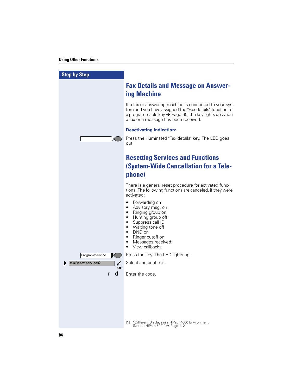| <b>Step by Step</b>                |                                                                                                                                                                                                                                 |
|------------------------------------|---------------------------------------------------------------------------------------------------------------------------------------------------------------------------------------------------------------------------------|
|                                    | <b>Fax Details and Message on Answer-</b><br>ing Machine                                                                                                                                                                        |
|                                    | If a fax or answering machine is connected to your sys-<br>tem and you have assigned the "Fax details" function to<br>a programmable key $\rightarrow$ Page 60, the key lights up when<br>a fax or a message has been received. |
|                                    | <b>Deactivating indication:</b>                                                                                                                                                                                                 |
|                                    | Press the illuminated "Fax details" key. The LED goes<br>out.                                                                                                                                                                   |
|                                    | <b>Resetting Services and Functions</b>                                                                                                                                                                                         |
|                                    | <b>(System-Wide Cancellation for a Tele-</b>                                                                                                                                                                                    |
|                                    | phone)                                                                                                                                                                                                                          |
|                                    | There is a general reset procedure for activated func-<br>tions. The following functions are canceled, if they were<br>activated:                                                                                               |
|                                    | Forwarding on<br>$\bullet$<br>Advisory msg. on<br>$\bullet$<br>Ringing group on<br>Hunting group off<br>Suppress call ID<br>Waiting tone off<br>DND on<br>Ringer cutoff on<br>Messages received:<br>View callbacks              |
| Program/Service                    | Press the key. The LED lights up.                                                                                                                                                                                               |
| #0=Reset services?<br>$\checkmark$ | Select and confirm <sup>1</sup> .                                                                                                                                                                                               |
| or<br>$\mathbf d$                  | Enter the code.                                                                                                                                                                                                                 |
|                                    |                                                                                                                                                                                                                                 |
|                                    | "Different Displays in a HiPath 4000 Environment<br>$\lceil 1 \rceil$<br>(Not for HiPath 500)" $\rightarrow$ Page 112                                                                                                           |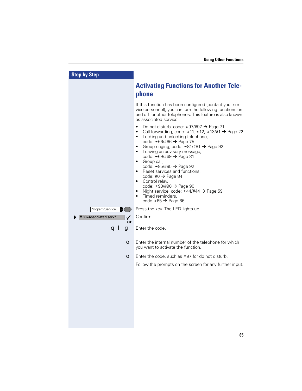| <b>Step by Step</b>                        |                                                                                                                                                                                                                                                                                                                                                                                                                                                                                                                                                                                                 |
|--------------------------------------------|-------------------------------------------------------------------------------------------------------------------------------------------------------------------------------------------------------------------------------------------------------------------------------------------------------------------------------------------------------------------------------------------------------------------------------------------------------------------------------------------------------------------------------------------------------------------------------------------------|
|                                            | <b>Activating Functions for Another Tele-</b><br>phone                                                                                                                                                                                                                                                                                                                                                                                                                                                                                                                                          |
|                                            | If this function has been configured (contact your ser-<br>vice personnel), you can turn the following functions on<br>and off for other telephones. This feature is also known<br>as associated service.                                                                                                                                                                                                                                                                                                                                                                                       |
|                                            | Do not disturb, code: *97/#97 → Page 71<br>Call forwarding, code: *11, *12, *13/#1 → Page 22<br>٠<br>Locking and unlocking telephone,<br>$\bullet$<br>code: *66/#66 → Page 75<br>Group ringing, code: *81/#81 → Page 92<br>٠<br>Leaving an advisory message,<br>٠<br>code: *69/#69 → Page 81<br>Group call,<br>٠<br>code: *85/#85 → Page 92<br>Reset services and functions,<br>٠<br>code: #0 $\rightarrow$ Page 84<br>Control relay,<br>$\bullet$<br>code: *90/#90 → Page 90<br>Night service, code: *44/#44 → Page 59<br>٠<br>Timed reminders,<br>$\bullet$<br>code $*65 \rightarrow$ Page 66 |
| Program/Service                            | Press the key. The LED lights up.                                                                                                                                                                                                                                                                                                                                                                                                                                                                                                                                                               |
| *83=Associated serv?<br>$\checkmark$<br>or | Confirm.                                                                                                                                                                                                                                                                                                                                                                                                                                                                                                                                                                                        |
| q I<br>g                                   | Enter the code.                                                                                                                                                                                                                                                                                                                                                                                                                                                                                                                                                                                 |
| $\bullet$                                  | Enter the internal number of the telephone for which<br>you want to activate the function.                                                                                                                                                                                                                                                                                                                                                                                                                                                                                                      |
| O                                          | Enter the code, such as $*97$ for do not disturb.                                                                                                                                                                                                                                                                                                                                                                                                                                                                                                                                               |
|                                            | Follow the prompts on the screen for any further input.                                                                                                                                                                                                                                                                                                                                                                                                                                                                                                                                         |
|                                            |                                                                                                                                                                                                                                                                                                                                                                                                                                                                                                                                                                                                 |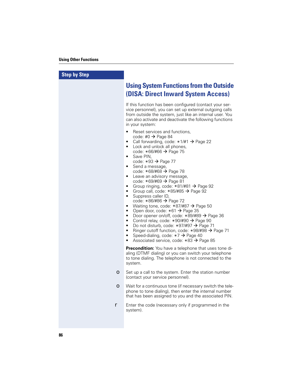| <b>Step by Step</b> |                                                                                                                                                                                                                                                                                                                                                                                                                                                                                                                                                                                                                                                                                                                                                                                                                                                                                                                                                                                                                                                                                                                               |
|---------------------|-------------------------------------------------------------------------------------------------------------------------------------------------------------------------------------------------------------------------------------------------------------------------------------------------------------------------------------------------------------------------------------------------------------------------------------------------------------------------------------------------------------------------------------------------------------------------------------------------------------------------------------------------------------------------------------------------------------------------------------------------------------------------------------------------------------------------------------------------------------------------------------------------------------------------------------------------------------------------------------------------------------------------------------------------------------------------------------------------------------------------------|
|                     | <b>Using System Functions from the Outside</b><br><b>(DISA: Direct Inward System Access)</b>                                                                                                                                                                                                                                                                                                                                                                                                                                                                                                                                                                                                                                                                                                                                                                                                                                                                                                                                                                                                                                  |
|                     | If this function has been configured (contact your ser-<br>vice personnel), you can set up external outgoing calls<br>from outside the system, just like an internal user. You<br>can also activate and deactivate the following functions<br>in your system:                                                                                                                                                                                                                                                                                                                                                                                                                                                                                                                                                                                                                                                                                                                                                                                                                                                                 |
|                     | Reset services and functions,<br>$\bullet$<br>code: #0 $\rightarrow$ Page 84<br>Call forwarding, code: $*1/\#1$ $\rightarrow$ Page 22<br>$\bullet$<br>Lock and unlock all phones,<br>٠<br>code: $*66/\#66 \rightarrow$ Page 75<br>Save PIN,<br>$\bullet$<br>code: $*93 \rightarrow$ Page 77<br>Send a message,<br>$\bullet$<br>code: $*68/\#68 \rightarrow$ Page 78<br>Leave an advisory message,<br>$\bullet$<br>code: $*69/\#69 \rightarrow$ Page 81<br>Group ringing, code: *81/#81 → Page 92<br>$\bullet$<br>Group call, code: $*85/#85 \rightarrow$ Page 92<br>$\bullet$<br>Suppress caller ID,<br>$\bullet$<br>code: *86/#86 → Page 72<br>Waiting tone, code: *87/#87 → Page 50<br>$\bullet$<br>Open door, code: $*61 \rightarrow$ Page 35<br>$\bullet$<br>Door opener on/off, code: $*89/#89 \rightarrow$ Page 36<br>$\bullet$<br>Control relay, code: *90/#90 → Page 90<br>$\bullet$<br>Do not disturb, code: *97/#97 → Page 71<br>$\bullet$<br>Ringer cutoff function, code: *98/#98 → Page 71<br>$\bullet$<br>Speed-dialing, code: *7 → Page 40<br>$\bullet$<br>Associated service, code: $*83 \rightarrow$ Page 85 |
|                     | <b>Precondition:</b> You have a telephone that uses tone di-<br>aling (DTMF dialing) or you can switch your telephone<br>to tone dialing. The telephone is not connected to the<br>system.                                                                                                                                                                                                                                                                                                                                                                                                                                                                                                                                                                                                                                                                                                                                                                                                                                                                                                                                    |
| $\bullet$ .         | Set up a call to the system. Enter the station number<br>(contact your service personnel).                                                                                                                                                                                                                                                                                                                                                                                                                                                                                                                                                                                                                                                                                                                                                                                                                                                                                                                                                                                                                                    |
|                     | • Wait for a continuous tone (if necessary switch the tele-<br>phone to tone dialing), then enter the internal number<br>that has been assigned to you and the associated PIN.                                                                                                                                                                                                                                                                                                                                                                                                                                                                                                                                                                                                                                                                                                                                                                                                                                                                                                                                                |
| r                   | Enter the code (necessary only if programmed in the<br>system).                                                                                                                                                                                                                                                                                                                                                                                                                                                                                                                                                                                                                                                                                                                                                                                                                                                                                                                                                                                                                                                               |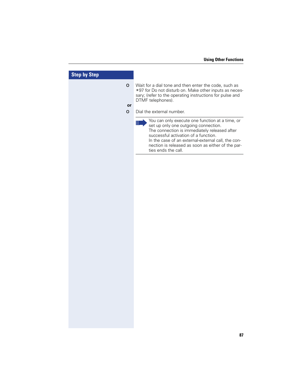| <b>Step by Step</b>                                                                                                                                                                                                                                                                                                               |  |
|-----------------------------------------------------------------------------------------------------------------------------------------------------------------------------------------------------------------------------------------------------------------------------------------------------------------------------------|--|
| Wait for a dial tone and then enter the code, such as<br>$\bullet$<br>*97 for Do not disturb on. Make other inputs as neces-<br>sary; (refer to the operating instructions for pulse and<br>DTMF telephones).<br>or<br>Dial the external number.<br>$\bullet$                                                                     |  |
| You can only execute one function at a time, or<br>$\mathbb{H}$<br>set up only one outgoing connection.<br>The connection is immediately released after<br>successful activation of a function.<br>In the case of an external-external call, the con-<br>nection is released as soon as either of the par-<br>ties ends the call. |  |
|                                                                                                                                                                                                                                                                                                                                   |  |
|                                                                                                                                                                                                                                                                                                                                   |  |
|                                                                                                                                                                                                                                                                                                                                   |  |
|                                                                                                                                                                                                                                                                                                                                   |  |
|                                                                                                                                                                                                                                                                                                                                   |  |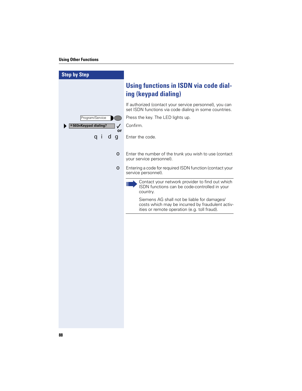## **Using Other Functions**

| <b>Step by Step</b>        |                                                                                                                                                 |
|----------------------------|-------------------------------------------------------------------------------------------------------------------------------------------------|
|                            | <b>Using functions in ISDN via code dial-</b><br>ing (keypad dialing)                                                                           |
|                            | If authorized (contact your service personnel), you can<br>set ISDN functions via code dialing in some countries.                               |
| Program/Service            | Press the key. The LED lights up.                                                                                                               |
| *503=Keypad dialing?<br>or | Confirm.                                                                                                                                        |
| a i<br>dg                  | Enter the code.                                                                                                                                 |
| $\bullet$                  | Enter the number of the trunk you wish to use (contact<br>your service personnel).                                                              |
| $\bullet$                  | Entering a code for required ISDN function (contact your<br>service personnel).                                                                 |
|                            | Contact your network provider to find out which<br>Ш<br>ISDN functions can be code-controlled in your<br>country.                               |
|                            | Siemens AG shall not be liable for damages/<br>costs which may be incurred by fraudulent activ-<br>ities or remote operation (e.g. toll fraud). |
|                            |                                                                                                                                                 |
|                            |                                                                                                                                                 |
|                            |                                                                                                                                                 |
|                            |                                                                                                                                                 |
|                            |                                                                                                                                                 |
|                            |                                                                                                                                                 |
|                            |                                                                                                                                                 |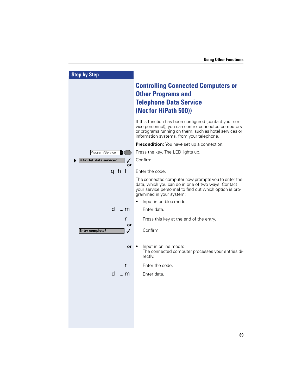| <b>Step by Step</b>                          |                                                                                                                                                                                                                        |
|----------------------------------------------|------------------------------------------------------------------------------------------------------------------------------------------------------------------------------------------------------------------------|
|                                              | <b>Controlling Connected Computers or</b><br><b>Other Programs and</b><br><b>Telephone Data Service</b><br>(Not for HiPath 500))                                                                                       |
|                                              | If this function has been configured (contact your ser-<br>vice personnel), you can control connected computers<br>or programs running on them, such as hotel services or<br>information systems, from your telephone. |
|                                              | <b>Precondition:</b> You have set up a connection.                                                                                                                                                                     |
| Program/Service                              | Press the key. The LED lights up.                                                                                                                                                                                      |
| * 42=Tel. data service?<br>✓                 | Confirm.                                                                                                                                                                                                               |
| or<br>qhf                                    | Enter the code.                                                                                                                                                                                                        |
|                                              | The connected computer now prompts you to enter the<br>data, which you can do in one of two ways. Contact<br>your service personnel to find out which option is pro-<br>grammed in your system:                        |
|                                              | Input in en-bloc mode.                                                                                                                                                                                                 |
| d …m                                         | Enter data.                                                                                                                                                                                                            |
| r                                            | Press this key at the end of the entry.                                                                                                                                                                                |
| or<br><b>Entry complete?</b><br>$\checkmark$ | Confirm.                                                                                                                                                                                                               |
| or                                           | Input in online mode:<br>The connected computer processes your entries di-<br>rectly.                                                                                                                                  |
|                                              | Enter the code.                                                                                                                                                                                                        |
| d …m                                         | Enter data.                                                                                                                                                                                                            |
|                                              |                                                                                                                                                                                                                        |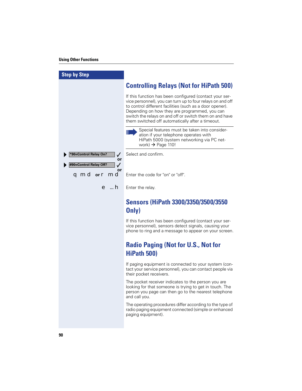I

| <b>Step by Step</b>                                                       |                                                                                                                                                                                                                                                                                                                                                   |
|---------------------------------------------------------------------------|---------------------------------------------------------------------------------------------------------------------------------------------------------------------------------------------------------------------------------------------------------------------------------------------------------------------------------------------------|
|                                                                           | <b>Controlling Relays (Not for HiPath 500)</b>                                                                                                                                                                                                                                                                                                    |
|                                                                           | If this function has been configured (contact your ser-<br>vice personnel), you can turn up to four relays on and off<br>to control different facilities (such as a door opener).<br>Depending on how they are programmed, you can<br>switch the relays on and off or switch them on and have<br>them switched off automatically after a timeout. |
|                                                                           | Special features must be taken into consider-<br>Ш<br>ation if your telephone operates with<br>HiPath 5000 (system networking via PC net-<br>work) $\rightarrow$ Page 110!                                                                                                                                                                        |
| *90=Control Relay On?<br>$\checkmark$<br>or                               | Select and confirm.                                                                                                                                                                                                                                                                                                                               |
| #90=Control Relay Off?<br>$\checkmark$<br>or<br><b>qmd</b> or <b>r</b> md | Enter the code for "on" or "off".                                                                                                                                                                                                                                                                                                                 |
| e …h                                                                      | Enter the relay.                                                                                                                                                                                                                                                                                                                                  |
|                                                                           | Sensors (HiPath 3300/3350/3500/3550<br>Only)                                                                                                                                                                                                                                                                                                      |
|                                                                           | If this function has been configured (contact your ser-<br>vice personnel), sensors detect signals, causing your<br>phone to ring and a message to appear on your screen.                                                                                                                                                                         |
|                                                                           | <b>Radio Paging (Not for U.S., Not for</b>                                                                                                                                                                                                                                                                                                        |
|                                                                           | HiPath 500)                                                                                                                                                                                                                                                                                                                                       |
|                                                                           | If paging equipment is connected to your system (con-<br>tact your service personnel), you can contact people via<br>their pocket receivers.                                                                                                                                                                                                      |
|                                                                           | The pocket receiver indicates to the person you are<br>looking for that someone is trying to get in touch. The<br>person you page can then go to the nearest telephone<br>and call you.                                                                                                                                                           |
|                                                                           | The operating procedures differ according to the type of<br>radio paging equipment connected (simple or enhanced<br>paging equipment).                                                                                                                                                                                                            |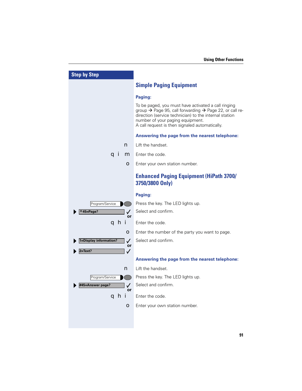| <b>Step by Step</b>                    |                                                                                                                                                                                                                                                                                        |
|----------------------------------------|----------------------------------------------------------------------------------------------------------------------------------------------------------------------------------------------------------------------------------------------------------------------------------------|
|                                        | <b>Simple Paging Equipment</b>                                                                                                                                                                                                                                                         |
|                                        | Paging:                                                                                                                                                                                                                                                                                |
|                                        | To be paged, you must have activated a call ringing<br>group $\rightarrow$ Page 95, call forwarding $\rightarrow$ Page 22, or call re-<br>direction (service technician) to the internal station<br>number of your paging equipment.<br>A call request is then signaled automatically. |
|                                        | Answering the page from the nearest telephone:                                                                                                                                                                                                                                         |
| n                                      | Lift the handset.                                                                                                                                                                                                                                                                      |
| q i<br>m                               | Enter the code.                                                                                                                                                                                                                                                                        |
| $\bullet$                              | Enter your own station number.                                                                                                                                                                                                                                                         |
|                                        | <b>Enhanced Paging Equipment (HiPath 3700/</b><br>3750/3800 Only)                                                                                                                                                                                                                      |
|                                        | Paging:                                                                                                                                                                                                                                                                                |
| Program/Service                        | Press the key. The LED lights up.                                                                                                                                                                                                                                                      |
| $*45 = Page?$<br>$\checkmark$<br>or    | Select and confirm.                                                                                                                                                                                                                                                                    |
| qhi                                    | Enter the code.                                                                                                                                                                                                                                                                        |
| О                                      | Enter the number of the party you want to page.                                                                                                                                                                                                                                        |
| 1=Display information?<br>$\checkmark$ | Select and confirm.                                                                                                                                                                                                                                                                    |
| or<br>$2 = Text?$<br>$\checkmark$      |                                                                                                                                                                                                                                                                                        |
|                                        | Answering the page from the nearest telephone:                                                                                                                                                                                                                                         |
| n                                      | Lift the handset.                                                                                                                                                                                                                                                                      |
| Program/Service                        | Press the key. The LED lights up.                                                                                                                                                                                                                                                      |
| #45=Answer page?<br>$\checkmark$<br>or | Select and confirm.                                                                                                                                                                                                                                                                    |
| a hi                                   | Enter the code.                                                                                                                                                                                                                                                                        |
| $\bullet$                              | Enter your own station number.                                                                                                                                                                                                                                                         |
|                                        |                                                                                                                                                                                                                                                                                        |
|                                        |                                                                                                                                                                                                                                                                                        |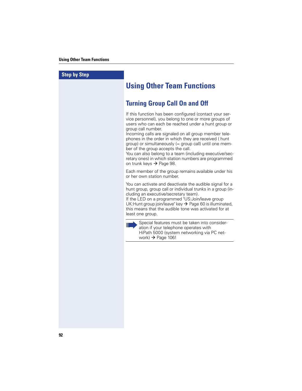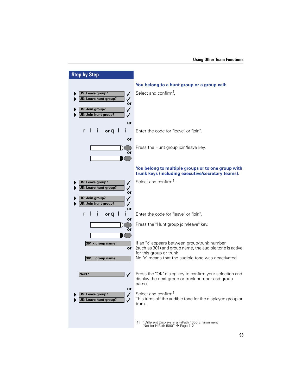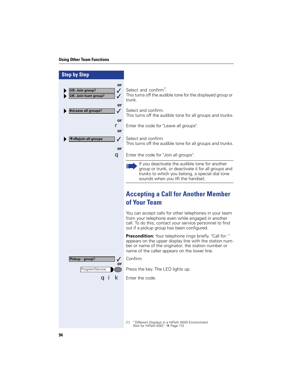## **Using Other Team Functions**

| <b>Step by Step</b>                                                           |                                                                                                                                                                                                                                     |
|-------------------------------------------------------------------------------|-------------------------------------------------------------------------------------------------------------------------------------------------------------------------------------------------------------------------------------|
| or<br>$\checkmark$<br>US: Join group?<br>UK: Join hunt group?<br>$\checkmark$ | Select and confirm <sup>1</sup> .<br>This turns off the audible tone for the displayed group or<br>trunk.                                                                                                                           |
| or<br>#=Leave all groups?<br>$\checkmark$<br>or                               | Select and confirm.<br>This turns off the audible tone for all groups and trunks.                                                                                                                                                   |
| r<br>or                                                                       | Enter the code for "Leave all groups".                                                                                                                                                                                              |
| <b>*=Rejoin all groups</b><br>$\checkmark$<br>or                              | Select and confirm.<br>This turns off the audible tone for all groups and trunks.                                                                                                                                                   |
| q                                                                             | Enter the code for "Join all groups".                                                                                                                                                                                               |
|                                                                               | If you deactivate the audible tone for another<br>Ш<br>group or trunk, or deactivate it for all groups and<br>trunks to which you belong, a special dial tone<br>sounds when you lift the handset.                                  |
|                                                                               | <b>Accepting a Call for Another Member</b><br>of Your Team                                                                                                                                                                          |
|                                                                               | You can accept calls for other telephones in your team<br>from your telephone even while engaged in another<br>call. To do this, contact your service personnel to find<br>out if a pickup group has been configured.               |
|                                                                               | <b>Precondition:</b> Your telephone rings briefly. "Call for: "<br>appears on the upper display line with the station num-<br>ber or name of the originator; the station number or<br>name of the caller appears on the lower line. |
| Pickup - group?<br>$\checkmark$<br>or                                         | Confirm.                                                                                                                                                                                                                            |
| Program/Service                                                               | Press the key. The LED lights up.                                                                                                                                                                                                   |
| k<br>a i                                                                      | Enter the code.                                                                                                                                                                                                                     |
|                                                                               |                                                                                                                                                                                                                                     |
|                                                                               | "Different Displays in a HiPath 4000 Environment<br>$\lceil 1 \rceil$<br>(Not for HiPath 500)" $\rightarrow$ Page 112                                                                                                               |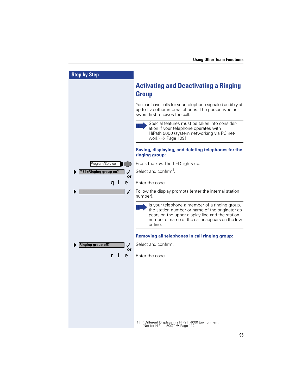| <b>Step by Step</b>                   |                                                                                                                                                                                                                            |
|---------------------------------------|----------------------------------------------------------------------------------------------------------------------------------------------------------------------------------------------------------------------------|
|                                       | <b>Activating and Deactivating a Ringing</b><br><b>Group</b>                                                                                                                                                               |
|                                       | You can have calls for your telephone signaled audibly at<br>up to five other internal phones. The person who an-<br>swers first receives the call.                                                                        |
|                                       | Special features must be taken into consider-<br>Ш<br>ation if your telephone operates with<br>HiPath 5000 (system networking via PC net-<br>work) $\rightarrow$ Page 109!                                                 |
|                                       | Saving, displaying, and deleting telephones for the<br>ringing group:                                                                                                                                                      |
| Program/Service                       | Press the key. The LED lights up.                                                                                                                                                                                          |
| *81=Ringing group on?<br>$\checkmark$ | Select and confirm <sup>1</sup> .                                                                                                                                                                                          |
| or<br>e<br>a ı                        | Enter the code.                                                                                                                                                                                                            |
|                                       |                                                                                                                                                                                                                            |
| $\checkmark$                          | Follow the display prompts (enter the internal station<br>number).                                                                                                                                                         |
|                                       | Is your telephone a member of a ringing group,<br>Ш<br>the station number or name of the originator ap-<br>pears on the upper display line and the station<br>number or name of the caller appears on the low-<br>er line. |
|                                       | Removing all telephones in call ringing group:                                                                                                                                                                             |
| Ringing group off?<br>✓               | Select and confirm.                                                                                                                                                                                                        |
| or<br>e                               | Enter the code.                                                                                                                                                                                                            |
|                                       |                                                                                                                                                                                                                            |
|                                       |                                                                                                                                                                                                                            |
|                                       |                                                                                                                                                                                                                            |
|                                       |                                                                                                                                                                                                                            |
|                                       |                                                                                                                                                                                                                            |
|                                       | "Different Displays in a HiPath 4000 Environment<br>$\lceil 1 \rceil$<br>(Not for HiPath 500)" $\rightarrow$ Page 112                                                                                                      |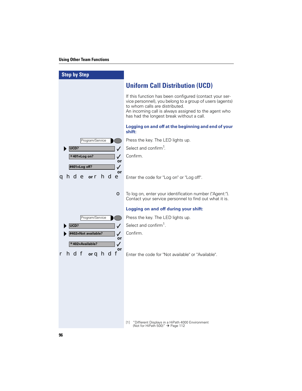## **Using Other Team Functions**

| <b>Step by Step</b>                 |                                                                                                                                                                                                                                                            |
|-------------------------------------|------------------------------------------------------------------------------------------------------------------------------------------------------------------------------------------------------------------------------------------------------------|
|                                     | <b>Uniform Call Distribution (UCD)</b>                                                                                                                                                                                                                     |
|                                     | If this function has been configured (contact your ser-<br>vice personnel), you belong to a group of users (agents)<br>to whom calls are distributed.<br>An incoming call is always assigned to the agent who<br>has had the longest break without a call. |
|                                     | Logging on and off at the beginning and end of your<br>shift:                                                                                                                                                                                              |
| Program/Service                     | Press the key. The LED lights up.                                                                                                                                                                                                                          |
| UCD?<br>$\checkmark$                | Select and confirm <sup>1</sup> .                                                                                                                                                                                                                          |
| $\checkmark$<br>$*401 = Log on?$    | Confirm.                                                                                                                                                                                                                                                   |
| or<br>#401=Log off?<br>$\checkmark$ |                                                                                                                                                                                                                                                            |
| or<br><b>qhde orr hde</b>           | Enter the code for "Log on" or "Log off".                                                                                                                                                                                                                  |
| O                                   | To log on, enter your identification number ("Agent:").<br>Contact your service personnel to find out what it is.                                                                                                                                          |
|                                     | Logging on and off during your shift:                                                                                                                                                                                                                      |
| Program/Service                     | Press the key. The LED lights up.                                                                                                                                                                                                                          |
| UCD?<br>$\checkmark$                | Select and confirm <sup>1</sup> .                                                                                                                                                                                                                          |
| #402=Not available?<br>✓            | Confirm.                                                                                                                                                                                                                                                   |
| or<br>$*402 = Available?$<br>✓      |                                                                                                                                                                                                                                                            |
| or<br>hdf orghdf                    | Enter the code for "Not available" or "Available".                                                                                                                                                                                                         |
|                                     |                                                                                                                                                                                                                                                            |
|                                     |                                                                                                                                                                                                                                                            |
|                                     |                                                                                                                                                                                                                                                            |
|                                     |                                                                                                                                                                                                                                                            |
|                                     |                                                                                                                                                                                                                                                            |
|                                     |                                                                                                                                                                                                                                                            |
|                                     |                                                                                                                                                                                                                                                            |
|                                     | [1]                                                                                                                                                                                                                                                        |
|                                     | "Different Displays in a HiPath 4000 Environment<br>(Not for HiPath 500)" $\rightarrow$ Page 112                                                                                                                                                           |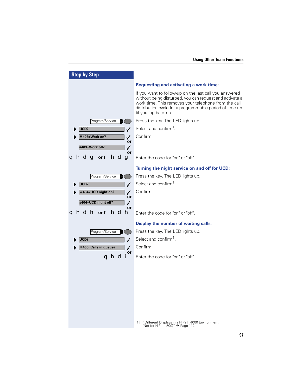| <b>Step by Step</b>                                                                                   |                                                                                                                                                                                                                                                                                                                                                                                                      |
|-------------------------------------------------------------------------------------------------------|------------------------------------------------------------------------------------------------------------------------------------------------------------------------------------------------------------------------------------------------------------------------------------------------------------------------------------------------------------------------------------------------------|
| Program/Service<br>UCD?<br>✓<br>*403=Work on?<br>$\checkmark$<br>or<br>#403=Work off?<br>$\checkmark$ | <b>Requesting and activating a work time:</b><br>If you want to follow-up on the last call you answered<br>without being disturbed, you can request and activate a<br>work time. This removes your telephone from the call<br>distribution cycle for a programmable period of time un-<br>til you log back on.<br>Press the key. The LED lights up.<br>Select and confirm <sup>1</sup> .<br>Confirm. |
| or<br><b>ahdg</b> or <b>hdg</b>                                                                       | Enter the code for "on" or "off".                                                                                                                                                                                                                                                                                                                                                                    |
| Program/Service<br>UCD?<br>$\checkmark$<br>*404=UCD night on?<br>✓<br>or<br>#404=UCD night off?<br>✓  | Turning the night service on and off for UCD:<br>Press the key. The LED lights up.<br>Select and confirm <sup>1</sup> .<br>Confirm.                                                                                                                                                                                                                                                                  |
| or<br><b>qhdh</b> or <b>r hdh</b>                                                                     | Enter the code for "on" or "off".                                                                                                                                                                                                                                                                                                                                                                    |
| Program/Service<br>UCD?<br>✓<br>*405=Calls in queue?<br>✓<br>or                                       | <b>Display the number of waiting calls:</b><br>Press the key. The LED lights up.<br>Select and confirm <sup>1</sup> .<br>Confirm.                                                                                                                                                                                                                                                                    |
| andi                                                                                                  | Enter the code for "on" or "off".<br>"Different Displays in a HiPath 4000 Environment<br>$[1]$<br>(Not for HiPath 500)" $\rightarrow$ Page 112                                                                                                                                                                                                                                                       |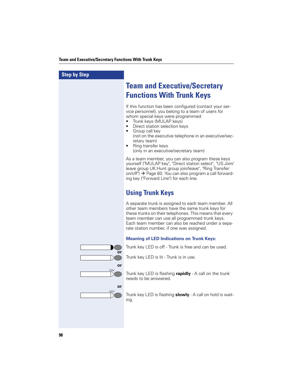# **Step by Step Team and Executive/Secretary Functions With Trunk Keys** If this function has been configured (contact your service personnel), you belong to a team of users for whom special keys were programmed: • Trunk keys (MULAP keys) • Direct station selection keys • Group call key (not on the executive telephone in an executive/secretary team) • Ring transfer keys (only in an executive/secretary team) As a team member, you can also program these keys yourself ("MULAP key", "Direct station select", "US:Join/ leave group UK:Hunt group join/leave", "Ring Transfer: on/off")  $\rightarrow$  Page 60. You can also program a call forwarding key ("Forward Line") for each line. **Using Trunk Keys** A separate trunk is assigned to each team member. All other team members have the same trunk keys for these trunks on their telephones. This means that every team member can use all programmed trunk keys. Each team member can also be reached under a separate station number, if one was assigned. **Meaning of LED Indications on Trunk Keys:** Trunk key LED is off - Trunk is free and can be used. **or** Trunk key LED is lit - Trunk is in use. **or**  $\sqrt{L}$ Trunk key LED is flashing **rapidly** - A call on the trunk  $\vert$ ) needs to be answered. **or** Trunk key LED is flashing **slowly** - A call on hold is waiting.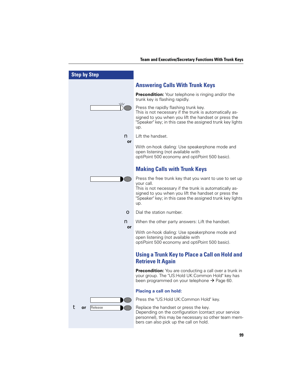| <b>Step by Step</b> |                                                                                                                                                                                                                                                              |
|---------------------|--------------------------------------------------------------------------------------------------------------------------------------------------------------------------------------------------------------------------------------------------------------|
|                     | <b>Answering Calls With Trunk Keys</b>                                                                                                                                                                                                                       |
|                     | <b>Precondition:</b> Your telephone is ringing and/or the<br>trunk key is flashing rapidly.                                                                                                                                                                  |
| $\sqrt{1/2}$        | Press the rapidly flashing trunk key.<br>This is not necessary if the trunk is automatically as-<br>signed to you when you lift the handset or press the<br>"Speaker" key; in this case the assigned trunk key lights<br>up.                                 |
| n                   | Lift the handset.                                                                                                                                                                                                                                            |
| or                  | With on-hook dialing: Use speakerphone mode and<br>open listening (not available with<br>optiPoint 500 economy and optiPoint 500 basic).                                                                                                                     |
|                     | <b>Making Calls with Trunk Keys</b>                                                                                                                                                                                                                          |
|                     | Press the free trunk key that you want to use to set up<br>your call.<br>This is not necessary if the trunk is automatically as-<br>signed to you when you lift the handset or press the<br>"Speaker" key; in this case the assigned trunk key lights<br>up. |
| O                   | Dial the station number.                                                                                                                                                                                                                                     |
| n<br>or             | When the other party answers: Lift the handset.                                                                                                                                                                                                              |
|                     | With on-hook dialing: Use speakerphone mode and<br>open listening (not available with<br>optiPoint 500 economy and optiPoint 500 basic).                                                                                                                     |
|                     | <b>Using a Trunk Key to Place a Call on Hold and</b><br><b>Retrieve It Again</b>                                                                                                                                                                             |
|                     | Precondition: You are conducting a call over a trunk in<br>your group. The "US: Hold UK: Common Hold" key has<br>been programmed on your telephone → Page 60.                                                                                                |
|                     | <b>Placing a call on hold:</b>                                                                                                                                                                                                                               |
|                     | Press the "US:Hold UK:Common Hold" key.                                                                                                                                                                                                                      |
| Release<br>or       | Replace the handset or press the key.<br>Depending on the configuration (contact your service<br>personnel), this may be necessary so other team mem-<br>bers can also pick up the call on hold.                                                             |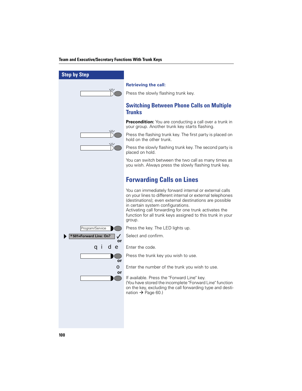| <b>Step by Step</b>                 |                                                                                                                                                                                                                                                                                                                                                        |
|-------------------------------------|--------------------------------------------------------------------------------------------------------------------------------------------------------------------------------------------------------------------------------------------------------------------------------------------------------------------------------------------------------|
|                                     | <b>Retrieving the call:</b>                                                                                                                                                                                                                                                                                                                            |
| $\sqrt{17}$                         | Press the slowly flashing trunk key.                                                                                                                                                                                                                                                                                                                   |
|                                     | <b>Switching Between Phone Calls on Multiple</b><br><b>Trunks</b>                                                                                                                                                                                                                                                                                      |
|                                     | <b>Precondition:</b> You are conducting a call over a trunk in<br>your group. Another trunk key starts flashing.                                                                                                                                                                                                                                       |
| $\langle$                           | Press the flashing trunk key. The first party is placed on<br>hold on the other trunk.                                                                                                                                                                                                                                                                 |
|                                     | Press the slowly flashing trunk key. The second party is<br>placed on hold.                                                                                                                                                                                                                                                                            |
|                                     | You can switch between the two call as many times as<br>you wish. Always press the slowly flashing trunk key.                                                                                                                                                                                                                                          |
|                                     | <b>Forwarding Calls on Lines</b>                                                                                                                                                                                                                                                                                                                       |
|                                     | You can immediately forward internal or external calls<br>on your lines to different internal or external telephones<br>(destinations); even external destinations are possible<br>in certain system configurations.<br>Activating call forwarding for one trunk activates the<br>function for all trunk keys assigned to this trunk in your<br>group. |
| Program/Service                     | Press the key. The LED lights up.                                                                                                                                                                                                                                                                                                                      |
| <b>*501=Forward Line: On?</b><br>or | Select and confirm.                                                                                                                                                                                                                                                                                                                                    |
| de<br>a i                           | Enter the code.                                                                                                                                                                                                                                                                                                                                        |
| or                                  | Press the trunk key you wish to use.                                                                                                                                                                                                                                                                                                                   |
| $\bullet$<br>or                     | Enter the number of the trunk you wish to use.                                                                                                                                                                                                                                                                                                         |
|                                     | If available. Press the "Forward Line" key.<br>(You have stored the incomplete "Forward Line" function<br>on the key, excluding the call forwarding type and desti-<br>nation → Page 60.)                                                                                                                                                              |
|                                     |                                                                                                                                                                                                                                                                                                                                                        |
|                                     |                                                                                                                                                                                                                                                                                                                                                        |
|                                     |                                                                                                                                                                                                                                                                                                                                                        |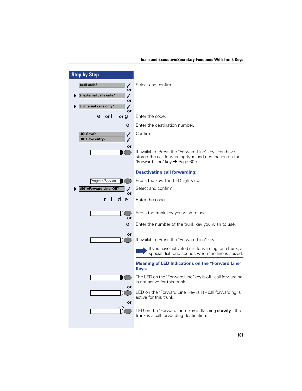| <b>Step by Step</b>                                 |                                                                                                                                                               |
|-----------------------------------------------------|---------------------------------------------------------------------------------------------------------------------------------------------------------------|
| 1=all calls?<br>$\checkmark$                        | Select and confirm.                                                                                                                                           |
| or<br>2=external calls only?<br>✓                   |                                                                                                                                                               |
| or<br>3=internal calls only?<br>✓                   |                                                                                                                                                               |
| or<br>$e$ or $f$<br>or $\mathbf q$                  | Enter the code.                                                                                                                                               |
| $\bullet$                                           | Enter the destination number.                                                                                                                                 |
| US: Save?<br>$\checkmark$<br><b>UK: Save entry?</b> | Confirm.                                                                                                                                                      |
| or                                                  | If available. Press the "Forward Line" key. (You have<br>stored the call forwarding type and destination on the<br>"Forward Line" key $\rightarrow$ Page 60.) |
|                                                     | <b>Deactivating call forwarding:</b>                                                                                                                          |
| Program/Service                                     | Press the key. The LED lights up.                                                                                                                             |
| #501=Forward Line: Off?<br>or                       | Select and confirm.                                                                                                                                           |
| d e                                                 | Enter the code.                                                                                                                                               |
| or                                                  | Press the trunk key you wish to use.                                                                                                                          |
| $\bullet$                                           | Enter the number of the trunk key you wish to use.                                                                                                            |
| or                                                  | If available. Press the "Forward Line" key.                                                                                                                   |
|                                                     | If you have activated call forwarding for a trunk, a<br>special dial tone sounds when the line is seized.                                                     |
|                                                     | <b>Meaning of LED Indications on the "Forward Line"</b><br>Keys:                                                                                              |
|                                                     | The LED on the "Forward Line" key is off - call forwarding<br>is not active for this trunk.                                                                   |
| or<br>or                                            | LED on the "Forward Line" key is lit - call forwarding is<br>active for this trunk.                                                                           |
| $\sqrt{17}$                                         | LED on the "Forward Line" key is flashing <b>slowly</b> - the<br>trunk is a call forwarding destination.                                                      |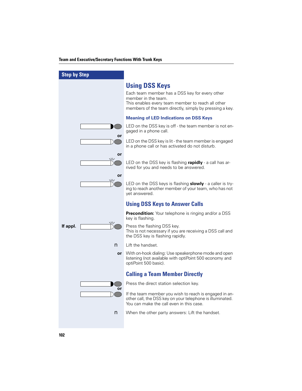| <b>Step by Step</b> |                     |                                                                                                                                                                                                                |
|---------------------|---------------------|----------------------------------------------------------------------------------------------------------------------------------------------------------------------------------------------------------------|
|                     |                     | <b>Using DSS Keys</b><br>Each team member has a DSS key for every other<br>member in the team.<br>This enables every team member to reach all other<br>members of the team directly, simply by pressing a key. |
|                     |                     | <b>Meaning of LED Indications on DSS Keys</b>                                                                                                                                                                  |
|                     | or                  | LED on the DSS key is off - the team member is not en-<br>gaged in a phone call.                                                                                                                               |
|                     |                     | LED on the DSS key is lit - the team member is engaged<br>in a phone call or has activated do not disturb.                                                                                                     |
|                     | or<br>$\mathcal{M}$ | LED on the DSS key is flashing <b>rapidly</b> - a call has ar-<br>rived for you and needs to be answered.                                                                                                      |
|                     | or<br>$\sqrt{17}$   | LED on the DSS keys is flashing <b>slowly</b> - a caller is try-<br>ing to reach another member of your team, who has not<br>yet answered.                                                                     |
|                     |                     |                                                                                                                                                                                                                |
|                     |                     | <b>Using DSS Keys to Answer Calls</b>                                                                                                                                                                          |
|                     |                     | <b>Precondition:</b> Your telephone is ringing and/or a DSS<br>key is flashing.                                                                                                                                |
| If appl.            | $\sqrt{17}$         | Press the flashing DSS key.<br>This is not necessary if you are receiving a DSS call and<br>the DSS key is flashing rapidly.                                                                                   |
|                     | n                   | Lift the handset.                                                                                                                                                                                              |
|                     | or                  | With on-hook dialing: Use speakerphone mode and open<br>listening (not available with optiPoint 500 economy and<br>optiPoint 500 basic).                                                                       |
|                     |                     | <b>Calling a Team Member Directly</b>                                                                                                                                                                          |
|                     |                     | Press the direct station selection key.                                                                                                                                                                        |
|                     | or                  | If the team member you wish to reach is engaged in an-<br>other call, the DSS key on your telephone is illuminated.<br>You can make the call even in this case.                                                |
|                     | n                   | When the other party answers: Lift the handset.                                                                                                                                                                |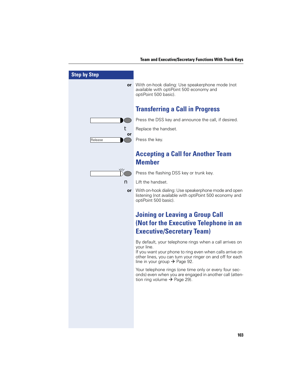| <b>Step by Step</b> |                                                                                                                                                                                  |
|---------------------|----------------------------------------------------------------------------------------------------------------------------------------------------------------------------------|
| <b>or</b>           | With on-hook dialing: Use speakerphone mode (not<br>available with optiPoint 500 economy and<br>optiPoint 500 basic).                                                            |
|                     | <b>Transferring a Call in Progress</b>                                                                                                                                           |
|                     | Press the DSS key and announce the call, if desired.                                                                                                                             |
| t                   | Replace the handset.                                                                                                                                                             |
| or<br>Release       | Press the key.                                                                                                                                                                   |
|                     | <b>Accepting a Call for Another Team</b><br><b>Member</b>                                                                                                                        |
|                     | Press the flashing DSS key or trunk key.                                                                                                                                         |
|                     | Lift the handset.                                                                                                                                                                |
| or                  | With on-hook dialing: Use speakerphone mode and open<br>listening (not available with optiPoint 500 economy and<br>optiPoint 500 basic).                                         |
|                     | <b>Joining or Leaving a Group Call</b>                                                                                                                                           |
|                     | (Not for the Executive Telephone in an                                                                                                                                           |
|                     | <b>Executive/Secretary Team)</b>                                                                                                                                                 |
|                     | By default, your telephone rings when a call arrives on                                                                                                                          |
|                     | your line.<br>If you want your phone to ring even when calls arrive on<br>other lines, you can turn your ringer on and off for each<br>line in your group $\rightarrow$ Page 92. |
|                     | Your telephone rings (one time only or every four sec-<br>onds) even when you are engaged in another call (atten-<br>tion ring volume $\rightarrow$ Page 29).                    |
|                     |                                                                                                                                                                                  |
|                     |                                                                                                                                                                                  |
|                     |                                                                                                                                                                                  |
|                     |                                                                                                                                                                                  |

L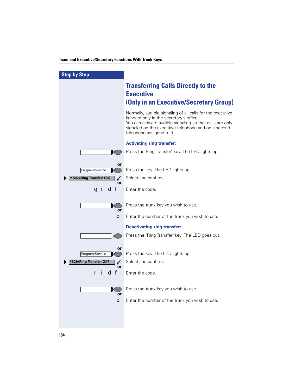| <b>Step by Step</b>                     |                                                                                                                                                                                                                                                         |
|-----------------------------------------|---------------------------------------------------------------------------------------------------------------------------------------------------------------------------------------------------------------------------------------------------------|
|                                         | <b>Transferring Calls Directly to the</b><br><b>Executive</b><br>(Only in an Executive/Secretary Group)                                                                                                                                                 |
|                                         | Normally, audible signaling of all calls for the executive<br>is heard only in the secretary's office.<br>You can activate audible signaling so that calls are only<br>signaled on the executive telephone and on a second<br>telephone assigned to it. |
|                                         | <b>Activating ring transfer:</b>                                                                                                                                                                                                                        |
|                                         | Press the Ring Transfer" key. The LED lights up.                                                                                                                                                                                                        |
|                                         |                                                                                                                                                                                                                                                         |
| or<br>Program/Service                   | Press the key. The LED lights up.                                                                                                                                                                                                                       |
| *502=Ring Transfer: On?<br>$\checkmark$ | Select and confirm.                                                                                                                                                                                                                                     |
| or<br>d f<br>a i                        | Enter the code.                                                                                                                                                                                                                                         |
|                                         |                                                                                                                                                                                                                                                         |
| or                                      | Press the trunk key you wish to use.                                                                                                                                                                                                                    |
| O                                       | Enter the number of the trunk you wish to use.                                                                                                                                                                                                          |
|                                         | <b>Deactivating ring transfer:</b>                                                                                                                                                                                                                      |
|                                         | Press the "Ring Transfer" key. The LED goes out.                                                                                                                                                                                                        |
|                                         |                                                                                                                                                                                                                                                         |
| or<br>Program/Service                   | Press the key. The LED lights up.                                                                                                                                                                                                                       |
| #502=Ring Transfer: Off?                | Select and confirm.                                                                                                                                                                                                                                     |
| or<br>d f<br>r                          | Enter the code.                                                                                                                                                                                                                                         |
| or                                      | Press the trunk key you wish to use.                                                                                                                                                                                                                    |
| $\bullet$                               | Enter the number of the trunk you wish to use.                                                                                                                                                                                                          |
|                                         |                                                                                                                                                                                                                                                         |
|                                         |                                                                                                                                                                                                                                                         |
|                                         |                                                                                                                                                                                                                                                         |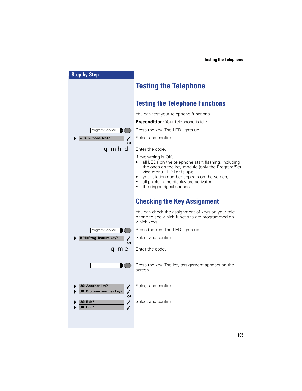| <b>Step by Step</b>                                         |                                                                                                                                                                                                                                                                                                |
|-------------------------------------------------------------|------------------------------------------------------------------------------------------------------------------------------------------------------------------------------------------------------------------------------------------------------------------------------------------------|
|                                                             | <b>Testing the Telephone</b>                                                                                                                                                                                                                                                                   |
|                                                             | <b>Testing the Telephone Functions</b>                                                                                                                                                                                                                                                         |
|                                                             | You can test your telephone functions.                                                                                                                                                                                                                                                         |
|                                                             | Precondition: Your telephone is idle.                                                                                                                                                                                                                                                          |
| Program/Service                                             | Press the key. The LED lights up.                                                                                                                                                                                                                                                              |
| <b>*940=Phone test?</b><br>or                               | Select and confirm.                                                                                                                                                                                                                                                                            |
| qmhd                                                        | Enter the code.                                                                                                                                                                                                                                                                                |
|                                                             | If everything is OK,<br>all LEDs on the telephone start flashing, including<br>the ones on the key module (only the Program/Ser-<br>vice menu LED lights up);<br>your station number appears on the screen;<br>٠<br>all pixels in the display are activated;<br>the ringer signal sounds.<br>٠ |
|                                                             | <b>Checking the Key Assignment</b>                                                                                                                                                                                                                                                             |
|                                                             | You can check the assignment of keys on your tele-<br>phone to see which functions are programmed on<br>which keys.                                                                                                                                                                            |
| Program/Service                                             | Press the key. The LED lights up.                                                                                                                                                                                                                                                              |
| *91=Prog. feature key?                                      | Select and confirm.                                                                                                                                                                                                                                                                            |
| or<br><b>q me</b>                                           | Enter the code.                                                                                                                                                                                                                                                                                |
|                                                             | Press the key. The key assignment appears on the<br>screen.                                                                                                                                                                                                                                    |
| <b>US: Another key?</b><br><b>UK: Program another key?</b>  | Select and confirm.                                                                                                                                                                                                                                                                            |
| or<br>US: Exit?<br>$\checkmark$<br>UK: End?<br>$\checkmark$ | Select and confirm.                                                                                                                                                                                                                                                                            |
|                                                             |                                                                                                                                                                                                                                                                                                |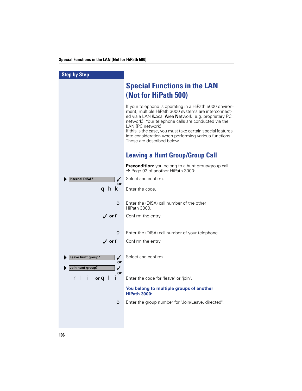### **Special Functions in the LAN (Not for HiPath 500)**

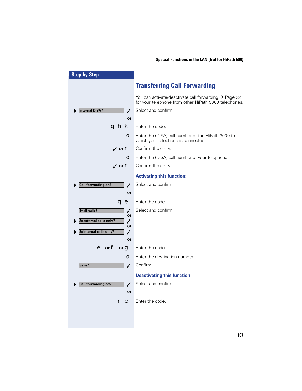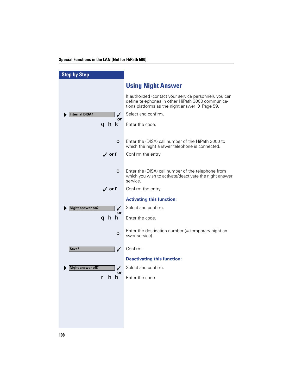## **Special Functions in the LAN (Not for HiPath 500)**

| <b>Step by Step</b>                      |                                                                                                                                                                            |
|------------------------------------------|----------------------------------------------------------------------------------------------------------------------------------------------------------------------------|
|                                          | <b>Using Night Answer</b>                                                                                                                                                  |
|                                          | If authorized (contact your service personnel), you can<br>define telephones in other HiPath 3000 communica-<br>tions platforms as the night answer $\rightarrow$ Page 59. |
| <b>Internal DISA?</b><br>$\checkmark$    | Select and confirm.                                                                                                                                                        |
| or<br>ahk                                | Enter the code.                                                                                                                                                            |
| O                                        | Enter the (DISA) call number of the HiPath 3000 to<br>which the night answer telephone is connected.                                                                       |
| $\sqrt{ }$ or $\mathbf{r}$               | Confirm the entry.                                                                                                                                                         |
|                                          |                                                                                                                                                                            |
| $\bullet$                                | Enter the (DISA) call number of the telephone from<br>which you wish to activate/deactivate the night answer<br>service.                                                   |
| $\sqrt{ }$ or $\mathbf{r}$               | Confirm the entry.                                                                                                                                                         |
|                                          | <b>Activating this function:</b>                                                                                                                                           |
| <b>Night answer on?</b><br>✓             | Select and confirm.                                                                                                                                                        |
| or<br>ghh                                | Enter the code.                                                                                                                                                            |
| O                                        | Enter the destination number $($ = temporary night an-<br>swer service).                                                                                                   |
| $\checkmark$<br>Save?                    | Confirm.                                                                                                                                                                   |
|                                          | <b>Deactivating this function:</b>                                                                                                                                         |
| <b>Night answer off?</b><br>$\checkmark$ | Select and confirm.                                                                                                                                                        |
| or<br>hh<br>r                            | Enter the code.                                                                                                                                                            |
|                                          |                                                                                                                                                                            |
|                                          |                                                                                                                                                                            |
|                                          |                                                                                                                                                                            |
|                                          |                                                                                                                                                                            |
|                                          |                                                                                                                                                                            |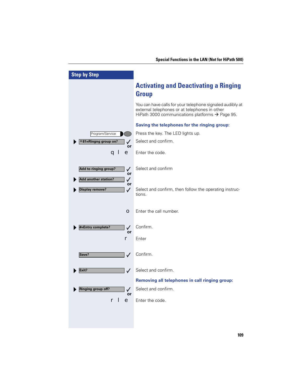| <b>Step by Step</b>                                                  |                                                                                                                                                               |
|----------------------------------------------------------------------|---------------------------------------------------------------------------------------------------------------------------------------------------------------|
|                                                                      | <b>Activating and Deactivating a Ringing</b><br><b>Group</b>                                                                                                  |
|                                                                      | You can have calls for your telephone signaled audibly at<br>external telephones or at telephones in other<br>HiPath 3000 communications platforms → Page 95. |
|                                                                      | Saving the telephones for the ringing group:                                                                                                                  |
| Program/Service                                                      | Press the key. The LED lights up.                                                                                                                             |
| $*81$ =Ringng group on?                                              | Select and confirm.                                                                                                                                           |
| or<br>a I<br>e                                                       | Enter the code.                                                                                                                                               |
| Add to ringing group?<br>✓<br>or<br><b>Add another station?</b><br>✓ | Select and confirm                                                                                                                                            |
| or<br><b>Display remove?</b><br>✓                                    | Select and confirm, then follow the operating instruc-<br>tions.                                                                                              |
| О                                                                    | Enter the call number.                                                                                                                                        |
| #=Entry complete?<br>$\checkmark$<br>or                              | Confirm.                                                                                                                                                      |
| r                                                                    | Enter                                                                                                                                                         |
| Save?<br>$\checkmark$                                                | Confirm.                                                                                                                                                      |
| Exit?<br>✓                                                           | Select and confirm.                                                                                                                                           |
|                                                                      | Removing all telephones in call ringing group:                                                                                                                |
| <b>Ringing group off?</b><br>✓                                       | Select and confirm.                                                                                                                                           |
| or<br>$\bullet$<br>r                                                 | Enter the code.                                                                                                                                               |
|                                                                      |                                                                                                                                                               |
|                                                                      |                                                                                                                                                               |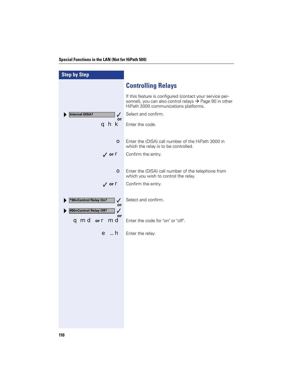### **Special Functions in the LAN (Not for HiPath 500)**

| <b>Step by Step</b>                                                   |                                                                                                                                                              |
|-----------------------------------------------------------------------|--------------------------------------------------------------------------------------------------------------------------------------------------------------|
|                                                                       | <b>Controlling Relays</b>                                                                                                                                    |
|                                                                       | If this feature is configured (contact your service per-<br>sonnel), you can also control relays → Page 90 in other<br>HiPath 3000 communications platforms. |
| <b>Internal DISA?</b><br>$\checkmark$                                 | Select and confirm.                                                                                                                                          |
| or<br>ghk                                                             | Enter the code.                                                                                                                                              |
| $\bullet$                                                             | Enter the (DISA) call number of the HiPath 3000 in<br>which the relay is to be controlled.                                                                   |
| $\sqrt{ }$ or $\mathbf{r}$                                            | Confirm the entry.                                                                                                                                           |
|                                                                       |                                                                                                                                                              |
| $\bullet$                                                             | Enter the (DISA) call number of the telephone from<br>which you wish to control the relay.                                                                   |
| $\sqrt{ }$ or $\mathbf{r}$                                            | Confirm the entry.                                                                                                                                           |
| *90=Control Relay On?<br>$\checkmark$<br>or<br>#90=Control Relay Off? | Select and confirm.                                                                                                                                          |
| $\checkmark$<br>or<br>qmd or r md                                     | Enter the code for "on" or "off".                                                                                                                            |
|                                                                       | e <b>h</b> Enter the relay.                                                                                                                                  |
|                                                                       |                                                                                                                                                              |
|                                                                       |                                                                                                                                                              |
|                                                                       |                                                                                                                                                              |
|                                                                       |                                                                                                                                                              |
|                                                                       |                                                                                                                                                              |
|                                                                       |                                                                                                                                                              |
|                                                                       |                                                                                                                                                              |
|                                                                       |                                                                                                                                                              |
|                                                                       |                                                                                                                                                              |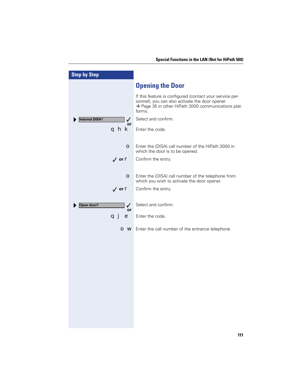| <b>Step by Step</b>                   |                                                                                                                                                                             |
|---------------------------------------|-----------------------------------------------------------------------------------------------------------------------------------------------------------------------------|
|                                       | <b>Opening the Door</b>                                                                                                                                                     |
|                                       | If this feature is configured (contact your service per-<br>sonnel), you can also activate the door opener<br>→ Page 35 in other HiPath 3000 communications plat-<br>forms. |
| <b>Internal DISA?</b><br>$\checkmark$ | Select and confirm.                                                                                                                                                         |
| or<br>qhk                             | Enter the code.                                                                                                                                                             |
| О                                     | Enter the (DISA) call number of the HiPath 3000 in<br>which the door is to be opened.                                                                                       |
| $\sqrt{ }$ or $\mathbf{r}$            | Confirm the entry.                                                                                                                                                          |
|                                       |                                                                                                                                                                             |
| О                                     | Enter the (DISA) call number of the telephone from<br>which you wish to activate the door opener.                                                                           |
| $\sqrt{ }$ or $\mathbf{r}$            | Confirm the entry.                                                                                                                                                          |
|                                       |                                                                                                                                                                             |
| Open door?<br>$\checkmark$<br>or      | Select and confirm.                                                                                                                                                         |
| е<br>a」                               | Enter the code.                                                                                                                                                             |
| O W                                   | Enter the call number of the entrance telephone                                                                                                                             |
|                                       |                                                                                                                                                                             |
|                                       |                                                                                                                                                                             |
|                                       |                                                                                                                                                                             |
|                                       |                                                                                                                                                                             |
|                                       |                                                                                                                                                                             |
|                                       |                                                                                                                                                                             |
|                                       |                                                                                                                                                                             |
|                                       |                                                                                                                                                                             |
|                                       |                                                                                                                                                                             |
|                                       |                                                                                                                                                                             |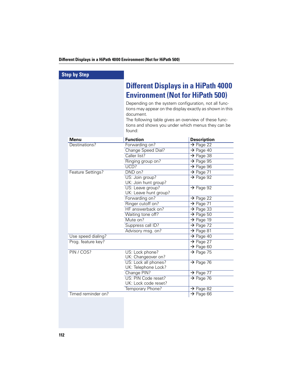### **Different Displays in a HiPath 4000 Environment (Not for HiPath 500)**

| <b>Step by Step</b>                      |                                                          |                                                |
|------------------------------------------|----------------------------------------------------------|------------------------------------------------|
|                                          | <b>Different Displays in a HiPath 4000</b>               |                                                |
|                                          | <b>Environment (Not for HiPath 500)</b>                  |                                                |
|                                          | Depending on the system configuration, not all func-     |                                                |
|                                          | tions may appear on the display exactly as shown in this |                                                |
|                                          | document.                                                |                                                |
|                                          | The following table gives an overview of these func-     |                                                |
|                                          | tions and shows you under which menus they can be        |                                                |
|                                          | found:                                                   |                                                |
| Menu                                     | <b>Function</b>                                          | <b>Description</b>                             |
| Destinations?                            | Forwarding on?                                           | $\rightarrow$ Page 22                          |
|                                          | Change Speed Dial?                                       | $\rightarrow$ Page 40                          |
|                                          | Caller list?                                             | $\rightarrow$ Page 38                          |
|                                          | Ringing group on?                                        | $\rightarrow$ Page 95                          |
|                                          | UCD?                                                     | $\rightarrow$ Page 96                          |
| Feature Settings?                        | DND on?                                                  | $\rightarrow$ Page 71                          |
|                                          | US: Join group?                                          | $\rightarrow$ Page 92                          |
|                                          | UK: Join hunt group?                                     |                                                |
|                                          | US: Leave group?                                         | $\rightarrow$ Page 92                          |
|                                          | UK: Leave hunt group?                                    |                                                |
|                                          | Forwarding on?                                           | $\rightarrow$ Page 22                          |
|                                          | Ringer cutoff on?                                        | $\rightarrow$ Page 71                          |
|                                          | HF answerback on?                                        | $\rightarrow$ Page 33                          |
|                                          | Waiting tone off?                                        | $\rightarrow$ Page 50                          |
|                                          | Mute on?                                                 | $\rightarrow$ Page 19                          |
|                                          | Suppress call ID?                                        | $\rightarrow$ Page 72                          |
|                                          | Advisory msg. on?                                        | $\rightarrow$ Page 81                          |
| Use speed dialing?<br>Prog. feature key? |                                                          | $\rightarrow$ Page 40<br>$\rightarrow$ Page 27 |
|                                          |                                                          | $\rightarrow$ Page 60                          |
| PIN / COS?                               | US: Lock phone?                                          | $\rightarrow$ Page 75                          |
|                                          | UK: Changeover on?                                       |                                                |
|                                          | US: Lock all phones?                                     | $\rightarrow$ Page 76                          |
|                                          | UK: Telephone Lock?                                      |                                                |
|                                          | Change PIN?                                              | $\rightarrow$ Page 77                          |
|                                          | US: PIN Code reset?                                      | $\rightarrow$ Page 76                          |
|                                          | UK: Lock code reset?                                     |                                                |
|                                          | Temporary Phone?                                         | $\rightarrow$ Page 82                          |
| Timed reminder on?                       |                                                          | $\rightarrow$ Page 66                          |
|                                          |                                                          |                                                |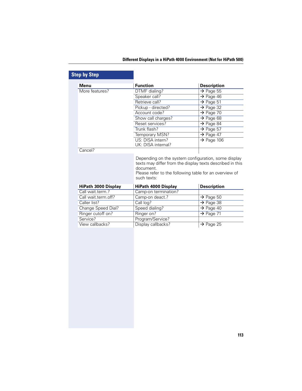### **Different Displays in a HiPath 4000 Environment (Not for HiPath 500)**

| <b>Menu</b>                                                                                                                       | <b>Function</b>                                                                                                                                     | <b>Description</b>     |
|-----------------------------------------------------------------------------------------------------------------------------------|-----------------------------------------------------------------------------------------------------------------------------------------------------|------------------------|
| More features?                                                                                                                    | DTMF dialing?                                                                                                                                       | $\rightarrow$ Page 55  |
|                                                                                                                                   | Speaker call?                                                                                                                                       | $\rightarrow$ Page 46  |
|                                                                                                                                   | Retrieve call?                                                                                                                                      | $\rightarrow$ Page 51  |
|                                                                                                                                   | Pickup - directed?                                                                                                                                  | $\rightarrow$ Page 32  |
|                                                                                                                                   | Account code?                                                                                                                                       | $\rightarrow$ Page 70  |
|                                                                                                                                   | Show call charges?                                                                                                                                  | $\rightarrow$ Page 68  |
|                                                                                                                                   | Reset services?                                                                                                                                     | $\rightarrow$ Page 84  |
|                                                                                                                                   | Trunk flash?                                                                                                                                        | $\rightarrow$ Page 57  |
|                                                                                                                                   | Temporary MSN?                                                                                                                                      | $\rightarrow$ Page 47  |
|                                                                                                                                   | US: DISA intern?                                                                                                                                    | $\rightarrow$ Page 106 |
|                                                                                                                                   |                                                                                                                                                     |                        |
| Cancel?                                                                                                                           | UK: DISA internal?<br>Depending on the system configuration, some display<br>texts may differ from the display texts described in this<br>document. |                        |
|                                                                                                                                   | Please refer to the following table for an overview of<br>such texts:                                                                               |                        |
| HiPath 3000 Display                                                                                                               | <b>HiPath 4000 Display</b>                                                                                                                          | <b>Description</b>     |
|                                                                                                                                   | Camp-on termination?                                                                                                                                |                        |
|                                                                                                                                   | Camp-on deact.?                                                                                                                                     | $\rightarrow$ Page 50  |
|                                                                                                                                   | Call log?                                                                                                                                           | $\rightarrow$ Page 38  |
|                                                                                                                                   | Speed dialing?                                                                                                                                      | $\rightarrow$ Page 40  |
|                                                                                                                                   | Ringer on?                                                                                                                                          | $\rightarrow$ Page 71  |
|                                                                                                                                   | Program/Service?                                                                                                                                    |                        |
| Call wait.term.?<br>Call wait.term.off?<br>Caller list?<br>Change Speed Dial?<br>Ringer cutoff on?<br>Service?<br>View callbacks? | Display callbacks?                                                                                                                                  | $\rightarrow$ Page 25  |

I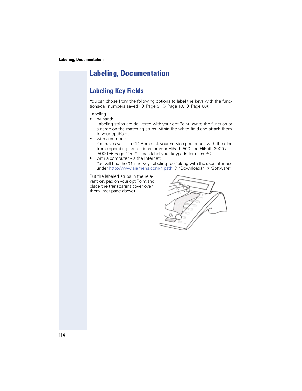# **Labeling, Documentation**

## **Labeling Key Fields**

You can chose from the following options to label the keys with the functions/call numbers saved ( $\rightarrow$  Page 9,  $\rightarrow$  Page 10,  $\rightarrow$  Page 60):

### Labeling

- by hand:
	- Labeling strips are delivered with your optiPoint. Write the function or a name on the matching strips within the white field and attach them to your optiPoint.
- with a computer:

You have avail of a CD Rom (ask your service personnel) with the electronic operating instructions for your HiPath 500 and HiPath 3000 / 5000  $\rightarrow$  Page 115. You can label your keypads for each PC.

• with a computer via the Internet: You will find the "Online Key Labeling Tool" along with the user interface under http://www.siemens.com/hipath  $\rightarrow$  "Downloads"  $\rightarrow$  "Software".

Put the labeled strips in the relevant key pad on your optiPoint and place the transparent cover over them (mat page above).

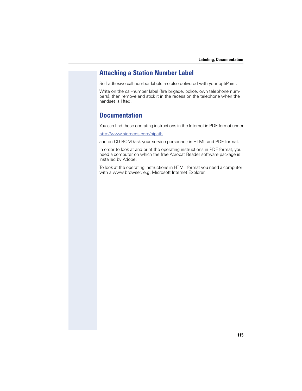## **Attaching a Station Number Label**

Self-adhesive call-number labels are also delivered with your optiPoint.

Write on the call-number label (fire brigade, police, own telephone numbers), then remove and stick it in the recess on the telephone when the handset is lifted.

## **Documentation**

You can find these operating instructions in the Internet in PDF format under

http://www.siemens.com/hipath

and on CD-ROM (ask your service personnel) in HTML and PDF format.

In order to look at and print the operating instructions in PDF format, you need a computer on which the free Acrobat Reader software package is installed by Adobe.

To look at the operating instructions in HTML format you need a computer with a www browser, e.g. Microsoft Internet Explorer.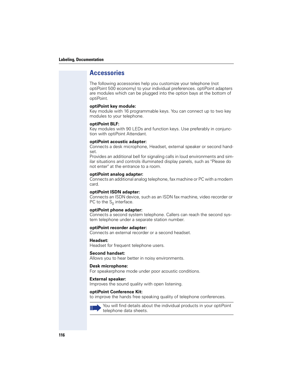#### **Labeling, Documentation**

### **Accessories**

The following accessories help you customize your telephone (not optiPoint 500 economy) to your individual preferences. optiPoint adapters are modules which can be plugged into the option bays at the bottom of optiPoint.

### **optiPoint key module:**

Key module with 16 programmable keys. You can connect up to two key modules to your telephone.

#### **optiPoint BLF:**

Key modules with 90 LEDs and function keys. Use preferably in conjunction with optiPoint Attendant.

#### **optiPoint acoustic adapter:**

Connects a desk microphone, Headset, external speaker or second handset.

Provides an additional bell for signaling calls in loud environments and similar situations and controls illuminated display panels, such as "Please do not enter" at the entrance to a room.

#### **optiPoint analog adapter:**

Connects an additional analog telephone, fax machine or PC with a modem card.

### **optiPoint ISDN adapter:**

Connects an ISDN device, such as an ISDN fax machine, video recorder or PC to the  $S_0$  interface.

### **optiPoint phone adapter:**

Connects a second system telephone. Callers can reach the second system telephone under a separate station number.

#### **optiPoint recorder adapter:**

Connects an external recorder or a second headset.

#### **Headset:**

Headset for frequent telephone users.

### **Second handset:**

Allows you to hear better in noisy environments.

#### **Desk microphone:**

For speakerphone mode under poor acoustic conditions.

#### **External speaker:**

Improves the sound quality with open listening.

#### **optiPoint Conference Kit:**

to improve the hands free speaking quality of telephone conferences.



You will find details about the individual products in your optiPoint telephone data sheets.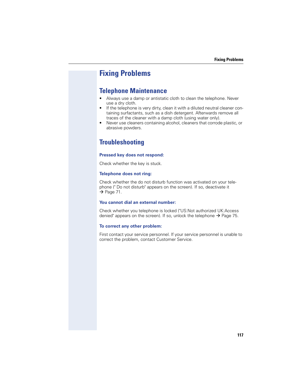## **Fixing Problems**

## **Telephone Maintenance**

- Always use a damp or antistatic cloth to clean the telephone. Never use a dry cloth.
- If the telephone is very dirty, clean it with a diluted neutral cleaner containing surfactants, such as a dish detergent. Afterwards remove all traces of the cleaner with a damp cloth (using water only).
- Never use cleaners containing alcohol, cleaners that corrode plastic, or abrasive powders.

## **Troubleshooting**

### **Pressed key does not respond:**

Check whether the key is stuck.

### **Telephone does not ring:**

Check whether the do not disturb function was activated on your telephone (" Do not disturb" appears on the screen). If so, deactivate it  $\rightarrow$  Page 71.

### **You cannot dial an external number:**

Check whether you telephone is locked ("US:Not authorized UK:Access denied" appears on the screen). If so, unlock the telephone  $\rightarrow$  Page 75.

### **To correct any other problem:**

First contact your service personnel. If your service personnel is unable to correct the problem, contact Customer Service.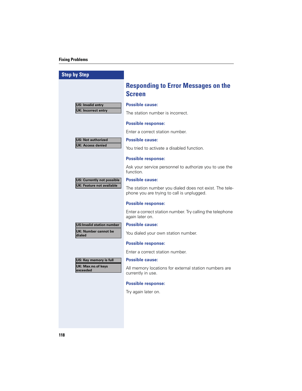### **Fixing Problems**

| <b>Step by Step</b>                   |                                                                                                       |
|---------------------------------------|-------------------------------------------------------------------------------------------------------|
|                                       | <b>Responding to Error Messages on the</b><br><b>Screen</b>                                           |
| <b>US: Invalid entry</b>              | <b>Possible cause:</b>                                                                                |
| <b>UK: Incorrect entry</b>            | The station number is incorrect.                                                                      |
|                                       | <b>Possible response:</b>                                                                             |
|                                       | Enter a correct station number.                                                                       |
| <b>US: Not authorized</b>             | <b>Possible cause:</b>                                                                                |
| <b>UK: Access denied</b>              | You tried to activate a disabled function.                                                            |
|                                       | <b>Possible response:</b>                                                                             |
|                                       | Ask your service personnel to authorize you to use the<br>function.                                   |
| US: Currently not possible            | <b>Possible cause:</b>                                                                                |
| <b>UK: Feature not available</b>      | The station number you dialed does not exist. The tele-<br>phone you are trying to call is unplugged. |
|                                       | <b>Possible response:</b>                                                                             |
|                                       | Enter a correct station number. Try calling the telephone<br>again later on.                          |
| <b>US:Invalid station number</b>      | <b>Possible cause:</b>                                                                                |
| <b>UK: Number cannot be</b><br>dialed | You dialed your own station number.                                                                   |
|                                       | <b>Possible response:</b>                                                                             |
|                                       | Enter a correct station number.                                                                       |
| US: Key memory is full                | <b>Possible cause:</b>                                                                                |
| <b>UK: Max.no.of keys</b><br>exceeded | All memory locations for external station numbers are<br>currently in use.                            |
|                                       | <b>Possible response:</b>                                                                             |
|                                       | Try again later on.                                                                                   |
|                                       |                                                                                                       |
|                                       |                                                                                                       |
|                                       |                                                                                                       |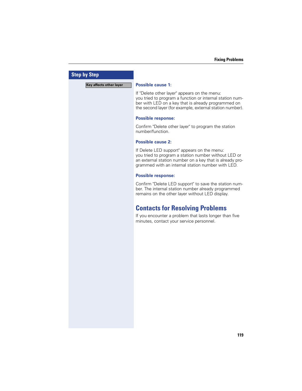| <b>Step by Step</b>     |                                                                                                                                                                                                                             |
|-------------------------|-----------------------------------------------------------------------------------------------------------------------------------------------------------------------------------------------------------------------------|
| Key affects other layer | <b>Possible cause 1:</b>                                                                                                                                                                                                    |
|                         | If "Delete other layer" appears on the menu:<br>you tried to program a function or internal station num-<br>ber with LED on a key that is already programmed on<br>the second layer (for example, external station number). |
|                         | <b>Possible response:</b>                                                                                                                                                                                                   |
|                         | Confirm "Delete other layer" to program the station<br>number/function.                                                                                                                                                     |
|                         | <b>Possible cause 2:</b>                                                                                                                                                                                                    |
|                         | If Delete LED support" appears on the menu:<br>you tried to program a station number without LED or<br>an external station number on a key that is already pro-<br>grammed with an internal station number with LED.        |
|                         | <b>Possible response:</b>                                                                                                                                                                                                   |
|                         | Confirm "Delete LED support" to save the station num-<br>ber. The internal station number already programmed<br>remains on the other layer without LED display.                                                             |
|                         | <b>Contacts for Resolving Problems</b>                                                                                                                                                                                      |
|                         | If you encounter a problem that lasts longer than five<br>minutes, contact your service personnel.                                                                                                                          |
|                         |                                                                                                                                                                                                                             |
|                         |                                                                                                                                                                                                                             |
|                         |                                                                                                                                                                                                                             |
|                         |                                                                                                                                                                                                                             |
|                         |                                                                                                                                                                                                                             |
|                         |                                                                                                                                                                                                                             |
|                         |                                                                                                                                                                                                                             |
|                         |                                                                                                                                                                                                                             |
|                         |                                                                                                                                                                                                                             |
|                         |                                                                                                                                                                                                                             |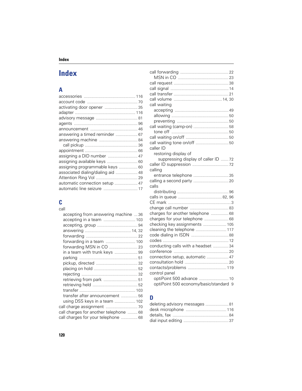# **Index**

# **A**

| assigning programmable keys  60    |  |
|------------------------------------|--|
| associated dialing/dialing aid  48 |  |
|                                    |  |
| automatic connection setup  47     |  |
| automatic line seizure  17         |  |

## **C** call

| accepting from answering machine 36    |  |
|----------------------------------------|--|
|                                        |  |
|                                        |  |
|                                        |  |
|                                        |  |
| forwarding in a team  100              |  |
|                                        |  |
| in a team with trunk keys  99          |  |
|                                        |  |
|                                        |  |
|                                        |  |
|                                        |  |
| retrieving from park  51               |  |
|                                        |  |
|                                        |  |
| transfer after announcement  56        |  |
| using DSS keys in a team  102          |  |
|                                        |  |
| call charges for another telephone  68 |  |
| call charges for your telephone  68    |  |
|                                        |  |

| call waiting                           |  |
|----------------------------------------|--|
|                                        |  |
|                                        |  |
|                                        |  |
|                                        |  |
|                                        |  |
|                                        |  |
|                                        |  |
| caller ID                              |  |
| restoring display of                   |  |
| suppressing display of caller ID  72   |  |
|                                        |  |
| calling                                |  |
| entrance telephone 35                  |  |
|                                        |  |
| calls                                  |  |
|                                        |  |
|                                        |  |
|                                        |  |
|                                        |  |
| charges for another telephone  68      |  |
| charges for your telephone  68         |  |
| checking key assignments  105          |  |
| cleaning the telephone  117            |  |
|                                        |  |
|                                        |  |
| conducting calls with a headset 34     |  |
|                                        |  |
| connection setup, automatic  47        |  |
|                                        |  |
| contacts/problems  119                 |  |
| control panel                          |  |
| optiPoint 500 advance  10              |  |
| optiPoint 500 economy/basic/standard 9 |  |
|                                        |  |

## **D**

| deleting advisory messages  81 |  |
|--------------------------------|--|
|                                |  |
|                                |  |
|                                |  |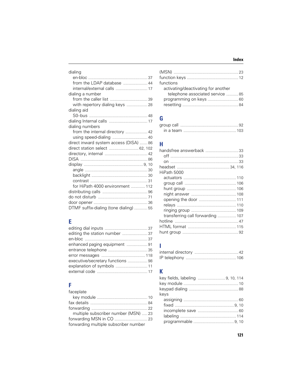| dialing                                |  |
|----------------------------------------|--|
|                                        |  |
|                                        |  |
|                                        |  |
| dialing a number                       |  |
|                                        |  |
| with repertory dialing keys 28         |  |
| dialing aid                            |  |
|                                        |  |
|                                        |  |
| dialing numbers                        |  |
| from the internal directory  42        |  |
| using speed-dialing  40                |  |
| direct inward system access (DISA)  86 |  |
| direct station select  62, 102         |  |
|                                        |  |
|                                        |  |
|                                        |  |
|                                        |  |
|                                        |  |
|                                        |  |
| for HiPath 4000 environment  112       |  |
|                                        |  |
|                                        |  |
|                                        |  |
| DTMF suffix-dialing (tone dialing)  55 |  |
|                                        |  |

# **E**

| editing the station number 37    |  |
|----------------------------------|--|
|                                  |  |
| enhanced paging equipment 91     |  |
|                                  |  |
|                                  |  |
| executive/secretary functions 98 |  |
|                                  |  |
|                                  |  |

# **F**

| faceplate                             |  |
|---------------------------------------|--|
|                                       |  |
|                                       |  |
|                                       |  |
| multiple subscriber number (MSN)  23  |  |
|                                       |  |
| forwarding multiple subscriber number |  |

| functions                           |  |
|-------------------------------------|--|
| activating/deactivating for another |  |
| telephone associated service  85    |  |
|                                     |  |
|                                     |  |
|                                     |  |

# **G**

# **H**

| handsfree answerback 33           |  |
|-----------------------------------|--|
|                                   |  |
| HiPath 5000                       |  |
|                                   |  |
|                                   |  |
|                                   |  |
|                                   |  |
|                                   |  |
|                                   |  |
|                                   |  |
| transferring call forwarding  107 |  |
|                                   |  |
|                                   |  |
|                                   |  |

## **I**

# **K**

| keys |  |
|------|--|
|      |  |
|      |  |
|      |  |
|      |  |
|      |  |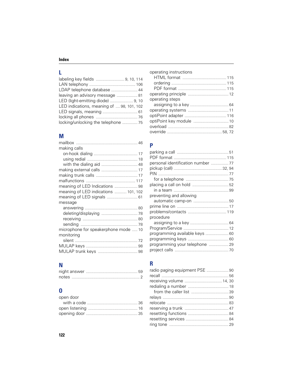## **L**

| labeling key fields  9, 10, 114           |  |
|-------------------------------------------|--|
|                                           |  |
| LDAP telephone database  44               |  |
| leaving an advisory message  81           |  |
| LED (light-emitting diode)  9, 10         |  |
| LED indications, meaning of  98, 101, 102 |  |
| LED signals, meaning  61                  |  |
|                                           |  |
| locking/unlocking the telephone  75       |  |

# **M**

| making calls                         |  |
|--------------------------------------|--|
|                                      |  |
|                                      |  |
|                                      |  |
|                                      |  |
|                                      |  |
|                                      |  |
|                                      |  |
| meaning of LED indications  101, 102 |  |
| meaning of LED signals  61           |  |
| message                              |  |
|                                      |  |
|                                      |  |
|                                      |  |
|                                      |  |
| microphone for speakerphone mode  10 |  |
| monitoring                           |  |
|                                      |  |
|                                      |  |
|                                      |  |

## **N**

## **O**

| open door |  |
|-----------|--|
|           |  |
|           |  |
|           |  |

| operating instructions |  |
|------------------------|--|
|                        |  |
|                        |  |
|                        |  |
|                        |  |
| operating steps        |  |
|                        |  |
|                        |  |
|                        |  |
|                        |  |
|                        |  |
|                        |  |

### **P**

| personal identification number  77 |
|------------------------------------|
|                                    |
|                                    |
|                                    |
|                                    |
|                                    |
|                                    |
|                                    |
|                                    |
|                                    |
|                                    |
|                                    |
|                                    |
| programming available keys  60     |
|                                    |
| programming your telephone  29     |
|                                    |
|                                    |

## **R**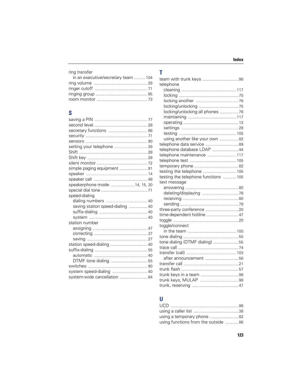| ring transfer |
|---------------|
|---------------|

| in an executive/secretary team  104 |  |
|-------------------------------------|--|
|                                     |  |
|                                     |  |
|                                     |  |
|                                     |  |
|                                     |  |

# $\mathbf S$

| setting your telephone  29       |  |
|----------------------------------|--|
|                                  |  |
|                                  |  |
|                                  |  |
| simple paging equipment  91      |  |
|                                  |  |
|                                  |  |
| speakerphone mode  14, 15, 30    |  |
|                                  |  |
| speed-dialing                    |  |
|                                  |  |
| saving station speed-dialing  40 |  |
|                                  |  |
|                                  |  |
| station number                   |  |
|                                  |  |
|                                  |  |
|                                  |  |
| station speed-dialing  40        |  |
|                                  |  |
|                                  |  |
|                                  |  |
|                                  |  |
| system speed-dialing  40         |  |
| system-wide cancellation  84     |  |

## $\mathbf{T}$

| telephone                            |  |
|--------------------------------------|--|
|                                      |  |
|                                      |  |
|                                      |  |
|                                      |  |
| locking/unlocking all phones  76     |  |
|                                      |  |
|                                      |  |
|                                      |  |
|                                      |  |
| using another like your own 82       |  |
| telephone data service  89           |  |
| telephone database LDAP  44          |  |
| telephone maintenance  117           |  |
|                                      |  |
|                                      |  |
| testing the telephone  105           |  |
| testing the telephone functions  105 |  |
| text message                         |  |
|                                      |  |
|                                      |  |
|                                      |  |
|                                      |  |
|                                      |  |
| time-dependent hotline  47           |  |
|                                      |  |
| toggle/connect                       |  |
|                                      |  |
|                                      |  |
| tone dialing (DTMF dialing) 55       |  |
|                                      |  |
|                                      |  |
| after announcement  56               |  |
|                                      |  |
|                                      |  |
|                                      |  |
|                                      |  |
|                                      |  |

## $\mathbf U$

| using a temporary phone 82          |
|-------------------------------------|
| using functions from the outside 86 |
|                                     |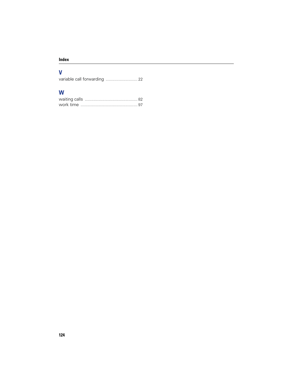## **V**

variable call forwarding ............................. 22

## **W**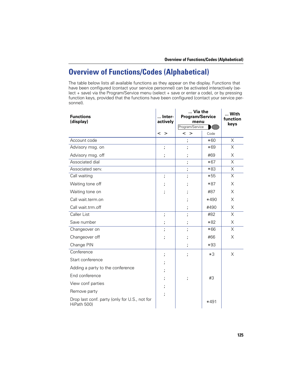The table below lists all available functions as they appear on the display. Functions that have been configured (contact your service personnel) can be activated interactively (select + save) via the Program/Service menu (select + save or enter a code), or by pressing function keys, provided that the functions have been configured (contact your service personnel).

| <b>Functions</b><br>(display)                                | Inter-<br>actively       | Via the<br><b>Program/Service</b><br>menu<br>Program/Service |        | With<br>function<br>keys |
|--------------------------------------------------------------|--------------------------|--------------------------------------------------------------|--------|--------------------------|
|                                                              | $\leq$ $\geq$            | < >                                                          | Code   |                          |
| Account code                                                 |                          | 7                                                            | $*60$  | X                        |
| Advisory msg. on                                             | $\overline{\phantom{a}}$ | ;                                                            | $*69$  | X                        |
| Advisory msg. off                                            | ;                        | ž                                                            | #69    | X                        |
| Associated dial                                              |                          | $\ddot{\phantom{0}}$                                         | $*67$  | X                        |
| Associated serv.                                             |                          | $\ddot{\phantom{0}}$                                         | $*83$  | X                        |
| Call waiting                                                 | $\overline{\phantom{a}}$ | $\overline{\phantom{a}}$                                     | $*55$  | X                        |
| Waiting tone off                                             | ;                        | 7                                                            | $*87$  | X                        |
| Waiting tone on                                              | ;                        | ;                                                            | #87    | X                        |
| Call wait.term.on                                            |                          | ;                                                            | *490   | X                        |
| Call wait.trm.off                                            |                          | ;                                                            | #490   | X                        |
| Caller List                                                  | $\ddot{\phantom{0}}$     | 7                                                            | #82    | X                        |
| Save number                                                  | ;                        | 7                                                            | $*82$  | X                        |
| Changeover on                                                | ;                        | 7                                                            | $*66$  | X                        |
| Changeover off                                               | ;                        | ;                                                            | #66    | X                        |
| Change PIN                                                   |                          | ;                                                            | $*93$  |                          |
| Conference                                                   | ;                        | $\ddot{ }$                                                   | $*3$   | X                        |
| Start conference                                             | ;                        |                                                              |        |                          |
| Adding a party to the conference                             | ;                        |                                                              |        |                          |
| End conference                                               | ;                        | $\ddot{ }$                                                   | #3     |                          |
| View conf parties                                            |                          |                                                              |        |                          |
| Remove party                                                 | ;                        |                                                              |        |                          |
| Drop last conf. party (only for U.S., not for<br>HiPath 500) |                          |                                                              | $*491$ |                          |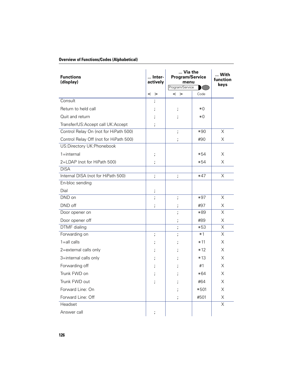| <b>Functions</b><br>(display)          | Inter-<br>actively | Via the<br><b>Program/Service</b><br>menu<br>Program/Service |       | With<br>function<br>keys |
|----------------------------------------|--------------------|--------------------------------------------------------------|-------|--------------------------|
|                                        | $\leq$ $>$         | $\leq$ $>$                                                   | Code  |                          |
| Consult                                | 7                  |                                                              |       |                          |
| Return to held call                    | ;                  | 7                                                            | жO    |                          |
| Quit and return                        | ;                  | ;                                                            | $*0$  |                          |
| Transfer/US:Accept call UK:Accept      | 7                  |                                                              |       |                          |
| Control Relay On (not for HiPath 500)  |                    | $\overline{\phantom{a}}$                                     | $*90$ | X                        |
| Control Relay Off (not for HiPath 500) |                    | ;                                                            | #90   | Χ                        |
| US:Directory UK:Phonebook              |                    |                                                              |       |                          |
| $1 =$ internal                         | ;                  |                                                              | $*54$ | X                        |
| 2=LDAP (not for HiPath 500)            | 7                  |                                                              | *54   | X                        |
| <b>DISA</b>                            |                    |                                                              |       |                          |
| Internal DISA (not for HiPath 500)     | $\ddot{ }$         | 7                                                            | $*47$ | X                        |
| En-bloc sending                        |                    |                                                              |       |                          |
| Dial                                   | ;                  |                                                              |       |                          |
| DND on                                 | 7                  | $\overline{\phantom{a}}$                                     | $*97$ | X                        |
| DND off                                | 7                  | ;                                                            | #97   | Χ                        |
| Door opener on                         |                    | ;                                                            | $*89$ | $\overline{\mathsf{x}}$  |
| Door opener off                        |                    | ;                                                            | #89   | X                        |
| DTMF dialing                           |                    | ;                                                            | $*53$ | $\overline{\mathsf{x}}$  |
| Forwarding on                          | 7                  | ;                                                            | $*1$  | $\overline{\mathsf{x}}$  |
| $1 = all calls$                        | ;                  | ;                                                            | $*11$ | X                        |
| 2=external calls only                  | ;                  | 7                                                            | $*12$ | X                        |
| 3=internal calls only                  | ;                  |                                                              | $*13$ | X                        |
| Forwarding off                         | ;                  | ;                                                            | #1    | X                        |
| Trunk FWD on                           | ;                  |                                                              | $*64$ | X                        |
| Trunk FWD out                          | 7                  |                                                              | #64   | X                        |
| Forward Line: On                       |                    | ;                                                            | *501  | Χ                        |
| Forward Line: Off                      |                    | ;                                                            | #501  | X                        |
| Headset                                |                    |                                                              |       | $\overline{\mathsf{x}}$  |
| Answer call                            | ;                  |                                                              |       |                          |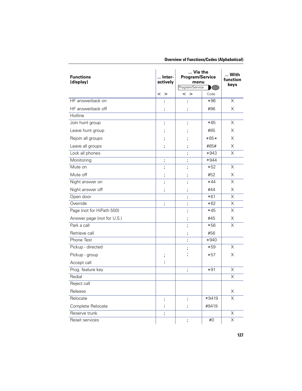| <b>Overview of Functions/Codes (Alphabetical)</b> |  |
|---------------------------------------------------|--|
|---------------------------------------------------|--|

| <b>Functions</b><br>(display) | Inter-<br>actively       | Via the<br><b>Program/Service</b><br>menu<br>Program/Service<br>$\sqrt{2}$ |        | With<br>function<br>keys |
|-------------------------------|--------------------------|----------------------------------------------------------------------------|--------|--------------------------|
|                               | <<br>>                   | < >                                                                        | Code   |                          |
| HF answerback on              | 7                        | 7                                                                          | $*96$  | Χ                        |
| HF answerback off             | 7                        | 7                                                                          | #96    | Χ                        |
| Hotline                       |                          |                                                                            |        |                          |
| Join hunt group               | $\ddot{\phantom{0}}$     | 7                                                                          | $*85$  | Χ                        |
| Leave hunt group              | ;                        | ;                                                                          | #85    | Χ                        |
| Rejoin all groups             | ;                        | ;                                                                          | $*85*$ | X                        |
| Leave all groups              | 7                        | ;                                                                          | #85#   | Χ                        |
| Lock all phones               |                          | $\overline{\phantom{a}}$                                                   | $*943$ | X                        |
| Monitoring                    | $\ddot{\phantom{0}}$     | ;                                                                          | $*944$ |                          |
| Mute on                       | 7                        | 7                                                                          | $*52$  | $\overline{\mathsf{x}}$  |
| Mute off                      | 7                        | 7                                                                          | #52    | Х                        |
| Night answer on               | 7                        | $\ddot{\phantom{0}}$                                                       | $*44$  | $\overline{\mathsf{x}}$  |
| Night answer off              | ;                        | ;                                                                          | #44    | Χ                        |
| Open door                     |                          | 7                                                                          | $*61$  | X                        |
| Override                      | $\overline{\phantom{a}}$ | 7                                                                          | $*62$  | X                        |
| Page (not for HiPath 500)     |                          | 7                                                                          | $*45$  | $\overline{\mathsf{x}}$  |
| Answer page (not for U.S.)    |                          | 7                                                                          | #45    | Χ                        |
| Park a call                   |                          | $\overline{\phantom{a}}$                                                   | *56    | $\overline{\mathsf{x}}$  |
| Retrieve call                 |                          | 7                                                                          | #56    |                          |
| Phone Test                    |                          | 7                                                                          | *940   |                          |
| Pickup - directed             |                          | 7                                                                          | $*59$  | Χ                        |
| Pickup - group                | $\ddot{\phantom{0}}$     | 7                                                                          | $*57$  | X                        |
| Accept call                   | 7                        |                                                                            |        |                          |
| Prog. feature key             |                          | 7                                                                          | $*91$  | X                        |
| Redial                        |                          |                                                                            |        | $\overline{\mathsf{x}}$  |
| Reject call                   |                          |                                                                            |        |                          |
| Release                       |                          |                                                                            |        | Χ                        |
| Relocate                      | 7                        | $\ddot{ }$                                                                 | *9419  | $\overline{\mathsf{x}}$  |
| Complete Relocate             | ;                        | ;                                                                          | #9419  |                          |
| Reserve trunk                 | $\ddot{ }$               |                                                                            |        | X                        |
| Reset services                |                          | 7                                                                          | #0     | $\overline{\mathsf{x}}$  |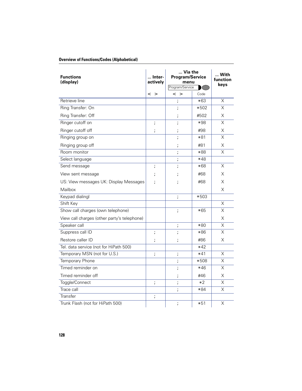| <b>Functions</b><br>(display)               | Inter-<br>actively   | Via the<br><b>Program/Service</b><br>menu<br>Program/Service |        | With<br>function<br>keys |
|---------------------------------------------|----------------------|--------------------------------------------------------------|--------|--------------------------|
|                                             | < >                  | $\leq$ $>$                                                   | Code   |                          |
| Retrieve line                               |                      | 7                                                            | $*63$  | Χ                        |
| Ring Transfer: On                           |                      | ;                                                            | $*502$ | $\overline{\mathsf{x}}$  |
| Ring Transfer: Off                          |                      | ;                                                            | #502   | Χ                        |
| Ringer cutoff on                            | ;                    | ;                                                            | *98    | Χ                        |
| Ringer cutoff off                           | ;                    | ;                                                            | #98    | Χ                        |
| Ringing group on                            |                      | ;                                                            | *81    | X                        |
| Ringing group off                           |                      | ;                                                            | #81    | Χ                        |
| Room monitor                                |                      | ;                                                            | $*88$  | $\overline{\mathsf{x}}$  |
| Select language                             |                      | $\ddot{\phantom{0}}$                                         | $*48$  |                          |
| Send message                                | 7                    | ;                                                            | $*68$  | Χ                        |
| View sent message                           |                      |                                                              | #68    | Χ                        |
| US: View messages UK: Display Messages      | ;                    |                                                              | #68    | Χ                        |
| Mailbox                                     |                      |                                                              |        | Χ                        |
| Keypad dialingl                             |                      | $\ddot{\phantom{0}}$                                         | *503   |                          |
| Shift Key                                   |                      |                                                              |        | X                        |
| Show call charges (own telephone)           |                      | 7                                                            | $*65$  | X                        |
| View call charges (other party's telephone) |                      |                                                              |        | X                        |
| Speaker call                                |                      | ;                                                            | $*80$  | X                        |
| Suppress call ID                            | ;                    | ;                                                            | *86    | X                        |
| Restore caller ID                           | ;                    | ;                                                            | #86    | Χ                        |
| Tel. data service (not for HiPath 500)      |                      |                                                              | $*42$  |                          |
| Temporary MSN (not for U.S.)                | 7                    | 7                                                            | $*41$  | X                        |
| Temporary Phone                             |                      | 7                                                            | *508   | X                        |
| Timed reminder on                           |                      | 7                                                            | $*46$  | X                        |
| Timed reminder off                          |                      | 7                                                            | #46    | X                        |
| Toggle/Connect                              | ;                    | 7                                                            | $*2$   | $\overline{\mathsf{x}}$  |
| Trace call                                  |                      | 7                                                            | $*84$  | $\overline{\mathsf{x}}$  |
| Transfer                                    | $\ddot{\phantom{0}}$ |                                                              |        |                          |
| Trunk Flash (not for HiPath 500)            |                      | 7                                                            | $*51$  | X                        |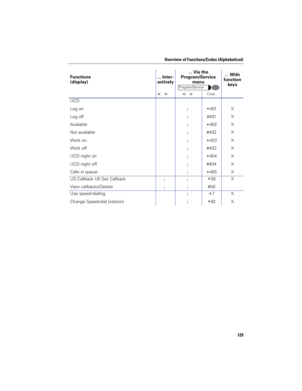| <b>Functions</b><br>(display) | Inter-<br>actively | Via the<br><b>Program/Service</b><br>menu<br>Program/Service |        | … With<br>function<br>keys |
|-------------------------------|--------------------|--------------------------------------------------------------|--------|----------------------------|
|                               | $\leq$ $>$         | $\leq$ $>$                                                   | Code   |                            |
| <b>UCD</b>                    |                    |                                                              |        |                            |
| Log on                        |                    | ;                                                            | $*401$ | X                          |
| Log off                       |                    | ,                                                            | #401   | X                          |
| Available                     |                    | ,                                                            | $*402$ | X                          |
| Not available                 |                    |                                                              | #402   | X                          |
| Work on                       |                    | ,                                                            | $*403$ | X                          |
| Work off                      |                    |                                                              | #403   | X                          |
| UCD night on                  |                    |                                                              | $*404$ | X                          |
| UCD night off                 |                    |                                                              | #404   | X                          |
| Calls in queue                |                    | ,                                                            | *405   | X                          |
| US:Callback UK:Set Callback   | ;                  |                                                              | $*58$  | X                          |
| View callbacks/Delete         | ;                  | ,                                                            | #58    |                            |
| Use speed-dialing             |                    |                                                              | $*7$   | X                          |
| Change Speed-dial (station)   |                    |                                                              | $*92$  | X                          |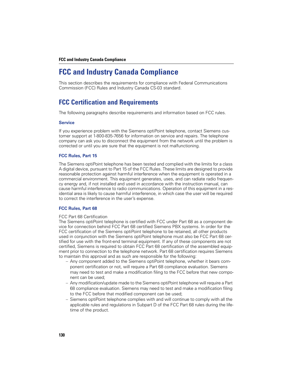#### **FCC and Industry Canada Compliance**

## **FCC and Industry Canada Compliance**

This section describes the requirements for compliance with Federal Communications Commission (FCC) Rules and Industry Canada CS-03 standard.

## **FCC Certification and Requirements**

The following paragraphs describe requirements and information based on FCC rules.

#### **Service**

If you experience problem with the Siemens optiPoint telephone, contact Siemens customer support at 1-800-835-7656 for information on service and repairs. The telephone company can ask you to disconnect the equipment from the network until the problem is corrected or until you are sure that the equipment is not malfunctioning.

### **FCC Rules, Part 15**

The Siemens optiPoint telephone has been tested and complied with the limits for a class A digital device, pursuant to Part 15 of the FCC Rules. These limits are designed to provide reasonable protection against harmful interference when the equipment is operated in a commercial environment. This equipment generates, uses, and can radiate radio frequency energy and, if not installed and used in accordance with the instruction manual, can cause harmful interference to radio communications. Operation of this equipment in a residential area is likely to cause harmful interference, in which case the user will be required to correct the interference in the user's expense.

### **FCC Rules, Part 68**

#### FCC Part 68 Certification

The Siemens optiPoint telephone is certified with FCC under Part 68 as a component device for connection behind FCC Part 68 certified Siemens PBX systems. In order for the FCC certification of the Siemens optiPoint telephone to be retained, all other products used in conjunction with the Siemens optiPoint telephone must also be FCC Part 68 certified for use with the front-end terminal equipment. If any of these components are not certified, Siemens is required to obtain FCC Part 68 certification of the assembled equipment prior to connection to the telephone network. Part 68 certification requires Siemens to maintain this approval and as such are responsible for the following:

- Any component added to the Siemens optiPoint telephone, whether it bears component certification or not, will require a Part 68 compliance evaluation. Siemens may need to test and make a modification filing to the FCC before that new component can be used;
- Any modification/update made to the Siemens optiPoint telephone will require a Part 68 compliance evaluation. Siemens may need to test and make a modification filing to the FCC before that modified component can be used;
- Siemens optiPoint telephone complies with and will continue to comply with all the applicable rules and regulations in Subpart D of the FCC Part 68 rules during the lifetime of the product.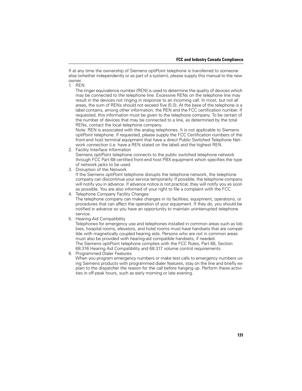If at any time the ownership of Siemens optiPoint telephone is transferred to someone else (whether independently or as part of a system), please supply this manual to the new owner.

1. REN

The ringer equivalence number (REN) is used to determine the quality of devices which may be connected to the telephone line. Excessive RENs on the telephone line may result in the devices not ringing in response to an incoming call. In most, but not all areas, the sum of RENs should not exceed five (5.0). At the base of the telephone is a label contains, among other information, the REN and the FCC certification number. If requested, this information must be given to the telephone company. To be certain of the number of devices that may be connected to a line, as determined by the total RENs, contact the local telephone company.

Note: REN is associated with the analog telephones. It is not applicable to Siemens optiPoint telephone. If requested, please supply the FCC Certification numbers of the front-end host terminal equipment that have a direct Public Switched Telephone Network connection (i.e. have a REN stated on the label) and the highest REN.

#### 2. Facility Interface Information

Siemens optiPoint telephone connects to the public switched telephone network through FCC Part 68 certified front-end host PBX equipment which specifies the type of network jacks to be used.

3. Disruption of the Network

If the Siemens optiPoint telephone disrupts the telephone network, the telephone company can discontinue your service temporarily. If possible, the telephone company will notify you in advance. If advance notice is not practical, they will notify you as soon as possible. You are also informed of your right to file a complaint with the FCC.

4. Telephone Company Facility Changes

The telephone company can make changes in its facilities, equipment, operations, or procedures that can affect the operation of your equipment. If they do, you should be notified in advance so you have an opportunity to maintain uninterrupted telephone service.

5. Hearing-Aid Compatibility

Telephones for emergency use and telephones installed in common areas such as lobbies, hospital rooms, elevators, and hotel rooms must have handsets that are compatible with magnetically coupled hearing aids. Persons who are not in common areas must also be provided with hearing-aid compatible handsets, if needed. The Siemens optiPoint telephone complies with the FCC Rules, Part 68, Section 68.316 Hearing Aid Compatibility and 68.317 volume control requirements.

6. Programmed Dialer Features

When you program emergency numbers or make test calls to emergency numbers using Siemens products with programmed dialer features, stay on the line and briefly explain to the dispatcher the reason for the call before hanging up. Perform these activities in off-peak hours, such as early morning or late evening.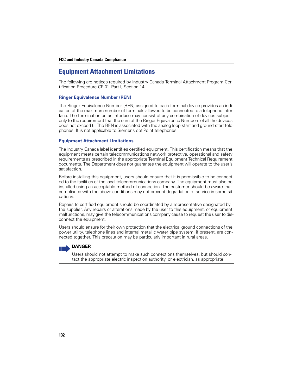### **FCC and Industry Canada Compliance**

### **Equipment Attachment Limitations**

The following are notices required by Industry Canada Terminal Attachment Program Certification Procedure CP-01, Part I, Section 14.

### **Ringer Equivalence Number (REN)**

The Ringer Equivalence Number (REN) assigned to each terminal device provides an indication of the maximum number of terminals allowed to be connected to a telephone interface. The termination on an interface may consist of any combination of devices subject only to the requirement that the sum of the Ringer Equivalence Numbers of all the devices does not exceed 5. The REN is associated with the analog loop-start and ground-start telephones. It is not applicable to Siemens optiPoint telephones.

### **Equipment Attachment Limitations**

The Industry Canada label identifies certified equipment. This certification means that the equipment meets certain telecommunications network protective, operational and safety requirements as prescribed in the appropriate Terminal Equipment Technical Requirement documents. The Department does not guarantee the equipment will operate to the user's satisfaction.

Before installing this equipment, users should ensure that it is permissible to be connected to the facilities of the local telecommunications company. The equipment must also be installed using an acceptable method of connection. The customer should be aware that compliance with the above conditions may not prevent degradation of service in some situations.

Repairs to certified equipment should be coordinated by a representative designated by the supplier. Any repairs or alterations made by the user to this equipment, or equipment malfunctions, may give the telecommunications company cause to request the user to disconnect the equipment.

Users should ensure for their own protection that the electrical ground connections of the power utility, telephone lines and internal metallic water pipe system, if present, are connected together. This precaution may be particularly important in rural areas.

### **DANGER**

Users should not attempt to make such connections themselves, but should contact the appropriate electric inspection authority, or electrician, as appropriate.